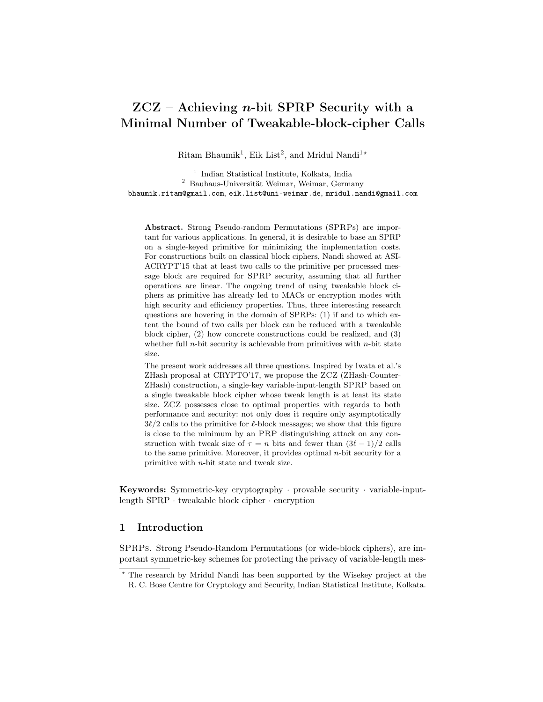# $ZCZ$  – Achieving *n*-bit SPRP Security with a Minimal Number of Tweakable-block-cipher Calls

Ritam Bhaumik<sup>1</sup>, Eik List<sup>2</sup>, and Mridul Nandi<sup>1\*</sup>

1 Indian Statistical Institute, Kolkata, India <sup>2</sup> Bauhaus-Universität Weimar, Weimar, Germany bhaumik.ritam@gmail.com, eik.list@uni-weimar.de, mridul.nandi@gmail.com

Abstract. Strong Pseudo-random Permutations (SPRPs) are important for various applications. In general, it is desirable to base an SPRP on a single-keyed primitive for minimizing the implementation costs. For constructions built on classical block ciphers, Nandi showed at ASI-ACRYPT'15 that at least two calls to the primitive per processed message block are required for SPRP security, assuming that all further operations are linear. The ongoing trend of using tweakable block ciphers as primitive has already led to MACs or encryption modes with high security and efficiency properties. Thus, three interesting research questions are hovering in the domain of SPRPs: (1) if and to which extent the bound of two calls per block can be reduced with a tweakable block cipher, (2) how concrete constructions could be realized, and (3) whether full *n*-bit security is achievable from primitives with *n*-bit state size.

The present work addresses all three questions. Inspired by Iwata et al.'s ZHash proposal at CRYPTO'17, we propose the ZCZ (ZHash-Counter-ZHash) construction, a single-key variable-input-length SPRP based on a single tweakable block cipher whose tweak length is at least its state size. ZCZ possesses close to optimal properties with regards to both performance and security: not only does it require only asymptotically  $3\ell/2$  calls to the primitive for  $\ell$ -block messages; we show that this figure is close to the minimum by an PRP distinguishing attack on any construction with tweak size of  $\tau = n$  bits and fewer than  $(3\ell - 1)/2$  calls to the same primitive. Moreover, it provides optimal  $n$ -bit security for a primitive with n-bit state and tweak size.

Keywords: Symmetric-key cryptography · provable security · variable-inputlength SPRP · tweakable block cipher · encryption

## 1 Introduction

SPRPs. Strong Pseudo-Random Permutations (or wide-block ciphers), are important symmetric-key schemes for protecting the privacy of variable-length mes-

<sup>?</sup> The research by Mridul Nandi has been supported by the Wisekey project at the R. C. Bose Centre for Cryptology and Security, Indian Statistical Institute, Kolkata.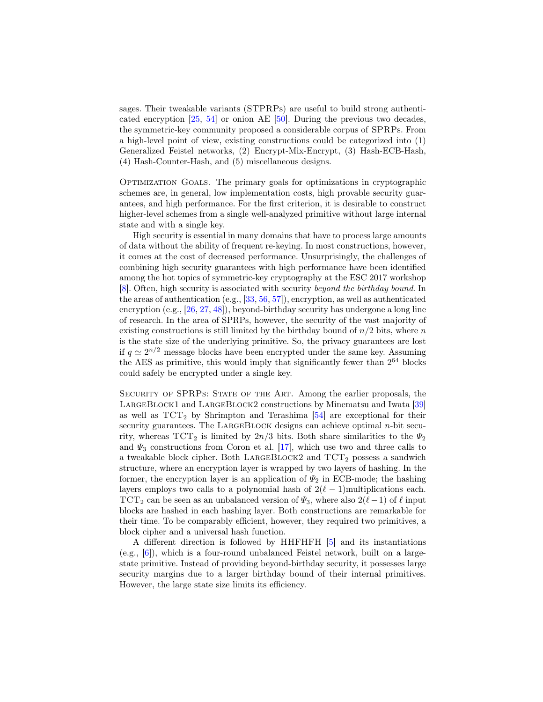sages. Their tweakable variants (STPRPs) are useful to build strong authenticated encryption [\[25,](#page-32-0) [54\]](#page-34-0) or onion AE [\[50\]](#page-33-0). During the previous two decades, the symmetric-key community proposed a considerable corpus of SPRPs. From a high-level point of view, existing constructions could be categorized into (1) Generalized Feistel networks, (2) Encrypt-Mix-Encrypt, (3) Hash-ECB-Hash, (4) Hash-Counter-Hash, and (5) miscellaneous designs.

Optimization Goals. The primary goals for optimizations in cryptographic schemes are, in general, low implementation costs, high provable security guarantees, and high performance. For the first criterion, it is desirable to construct higher-level schemes from a single well-analyzed primitive without large internal state and with a single key.

High security is essential in many domains that have to process large amounts of data without the ability of frequent re-keying. In most constructions, however, it comes at the cost of decreased performance. Unsurprisingly, the challenges of combining high security guarantees with high performance have been identified among the hot topics of symmetric-key cryptography at the ESC 2017 workshop [\[8\]](#page-31-0). Often, high security is associated with security beyond the birthday bound. In the areas of authentication (e.g., [\[33,](#page-32-1) [56,](#page-34-1) [57\]](#page-34-2)), encryption, as well as authenticated encryption (e.g., [\[26,](#page-32-2) [27,](#page-32-3) [48\]](#page-33-1)), beyond-birthday security has undergone a long line of research. In the area of SPRPs, however, the security of the vast majority of existing constructions is still limited by the birthday bound of  $n/2$  bits, where n is the state size of the underlying primitive. So, the privacy guarantees are lost if  $q \simeq 2^{n/2}$  message blocks have been encrypted under the same key. Assuming the AES as primitive, this would imply that significantly fewer than  $2^{64}$  blocks could safely be encrypted under a single key.

SECURITY OF SPRPS: STATE OF THE ART. Among the earlier proposals, the LARGEBLOCK1 and LARGEBLOCK2 constructions by Minematsu and Iwata [\[39\]](#page-33-2) as well as  $TCT_2$  by Shrimpton and Terashima [\[54\]](#page-34-0) are exceptional for their security guarantees. The LARGEBLOCK designs can achieve optimal  $n$ -bit security, whereas  $TCT_2$  is limited by  $2n/3$  bits. Both share similarities to the  $\Psi_2$ and  $\Psi_3$  constructions from Coron et al. [\[17\]](#page-31-1), which use two and three calls to a tweakable block cipher. Both LARGEBLOCK2 and  $TCT_2$  possess a sandwich structure, where an encryption layer is wrapped by two layers of hashing. In the former, the encryption layer is an application of  $\Psi_2$  in ECB-mode; the hashing layers employs two calls to a polynomial hash of  $2(\ell - 1)$ multiplications each. TCT<sub>2</sub> can be seen as an unbalanced version of  $\Psi_3$ , where also 2( $\ell-1$ ) of  $\ell$  input blocks are hashed in each hashing layer. Both constructions are remarkable for their time. To be comparably efficient, however, they required two primitives, a block cipher and a universal hash function.

A different direction is followed by HHFHFH [\[5\]](#page-30-0) and its instantiations (e.g., [\[6\]](#page-31-2)), which is a four-round unbalanced Feistel network, built on a largestate primitive. Instead of providing beyond-birthday security, it possesses large security margins due to a larger birthday bound of their internal primitives. However, the large state size limits its efficiency.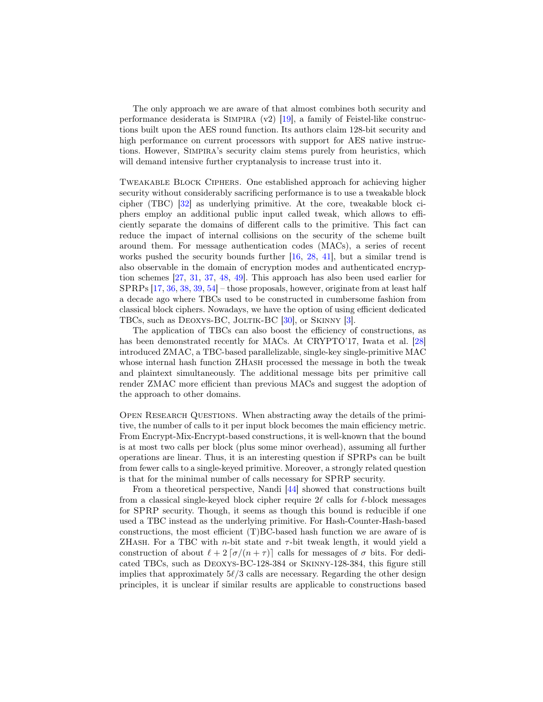The only approach we are aware of that almost combines both security and performance desiderata is SIMPIRA  $(v2)$  [\[19\]](#page-31-3), a family of Feistel-like constructions built upon the AES round function. Its authors claim 128-bit security and high performance on current processors with support for AES native instructions. However, Simpira's security claim stems purely from heuristics, which will demand intensive further cryptanalysis to increase trust into it.

Tweakable Block Ciphers. One established approach for achieving higher security without considerably sacrificing performance is to use a tweakable block cipher (TBC) [\[32\]](#page-32-4) as underlying primitive. At the core, tweakable block ciphers employ an additional public input called tweak, which allows to efficiently separate the domains of different calls to the primitive. This fact can reduce the impact of internal collisions on the security of the scheme built around them. For message authentication codes (MACs), a series of recent works pushed the security bounds further [\[16,](#page-31-4) [28,](#page-32-5) [41\]](#page-33-3), but a similar trend is also observable in the domain of encryption modes and authenticated encryption schemes [\[27,](#page-32-3) [31,](#page-32-6) [37,](#page-32-7) [48,](#page-33-1) [49\]](#page-33-4). This approach has also been used earlier for SPRPs [\[17,](#page-31-1) [36,](#page-32-8) [38,](#page-33-5) [39,](#page-33-2) [54\]](#page-34-0) – those proposals, however, originate from at least half a decade ago where TBCs used to be constructed in cumbersome fashion from classical block ciphers. Nowadays, we have the option of using efficient dedicated TBCs, such as DEOXYS-BC, JOLTIK-BC [\[30\]](#page-32-9), or SKINNY [\[3\]](#page-30-1).

The application of TBCs can also boost the efficiency of constructions, as has been demonstrated recently for MACs. At CRYPTO'17, Iwata et al. [\[28\]](#page-32-5) introduced ZMAC, a TBC-based parallelizable, single-key single-primitive MAC whose internal hash function ZHASH processed the message in both the tweak and plaintext simultaneously. The additional message bits per primitive call render ZMAC more efficient than previous MACs and suggest the adoption of the approach to other domains.

Open Research Questions. When abstracting away the details of the primitive, the number of calls to it per input block becomes the main efficiency metric. From Encrypt-Mix-Encrypt-based constructions, it is well-known that the bound is at most two calls per block (plus some minor overhead), assuming all further operations are linear. Thus, it is an interesting question if SPRPs can be built from fewer calls to a single-keyed primitive. Moreover, a strongly related question is that for the minimal number of calls necessary for SPRP security.

From a theoretical perspective, Nandi [\[44\]](#page-33-6) showed that constructions built from a classical single-keyed block cipher require  $2\ell$  calls for  $\ell$ -block messages for SPRP security. Though, it seems as though this bound is reducible if one used a TBC instead as the underlying primitive. For Hash-Counter-Hash-based constructions, the most efficient (T)BC-based hash function we are aware of is ZHASH. For a TBC with *n*-bit state and  $\tau$ -bit tweak length, it would yield a construction of about  $\ell + 2 \lceil \sigma/(n + \tau) \rceil$  calls for messages of  $\sigma$  bits. For dedicated TBCs, such as Deoxys-BC-128-384 or Skinny-128-384, this figure still implies that approximately  $5\ell/3$  calls are necessary. Regarding the other design principles, it is unclear if similar results are applicable to constructions based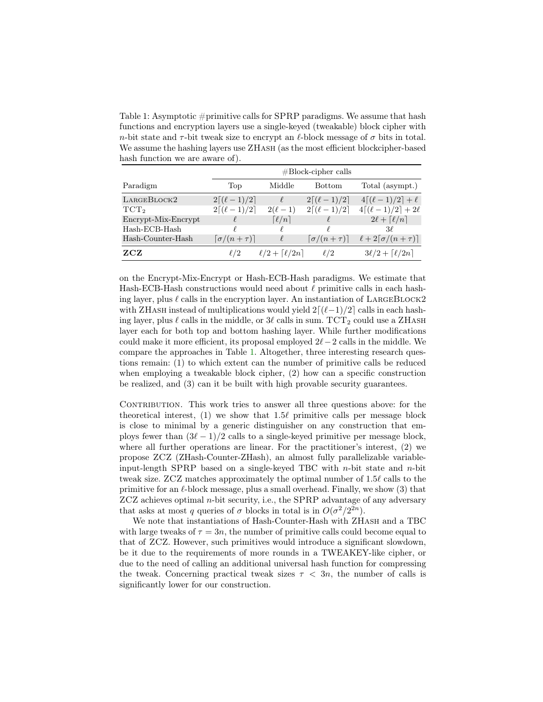<span id="page-3-0"></span>Table 1: Asymptotic  $\#$ primitive calls for SPRP paradigms. We assume that hash functions and encryption layers use a single-keyed (tweakable) block cipher with n-bit state and  $\tau$ -bit tweak size to encrypt an  $\ell$ -block message of  $\sigma$  bits in total. We assume the hashing layers use ZHASH (as the most efficient blockcipher-based hash function we are aware of).

|                     | $\#Block$ -cipher calls         |                                  |                                 |                                         |  |
|---------------------|---------------------------------|----------------------------------|---------------------------------|-----------------------------------------|--|
| Paradigm            | Top                             | Middle                           | <b>Bottom</b>                   | Total (asympt.)                         |  |
| LARGEBLOCK2         | $2[(\ell-1)/2]$                 | $\ell$                           | $2[(\ell-1)/2]$                 | $4[(\ell-1)/2] + \ell$                  |  |
| TCT <sub>2</sub>    | $2[(\ell-1)/2]$                 | $2(\ell - 1)$                    | $2[(\ell-1)/2]$                 | $4[(\ell-1)/2]+2\ell$                   |  |
| Encrypt-Mix-Encrypt |                                 | $\lceil \ell/n \rceil$           |                                 | $2\ell + \lceil \ell/n \rceil$          |  |
| Hash-ECB-Hash       | f.                              | V                                |                                 | $3\ell$                                 |  |
| Hash-Counter-Hash   | $\lceil \sigma/(n+\tau) \rceil$ | $\ell$                           | $\lceil \sigma/(n+\tau) \rceil$ | $\ell + 2\lceil \sigma/(n+\tau) \rceil$ |  |
| ZCZ                 | $\ell/2$                        | $\ell/2 + \lceil \ell/2n \rceil$ | $\ell/2$                        | $3\ell/2 + \lceil \ell/2n \rceil$       |  |

on the Encrypt-Mix-Encrypt or Hash-ECB-Hash paradigms. We estimate that Hash-ECB-Hash constructions would need about  $\ell$  primitive calls in each hashing layer, plus  $\ell$  calls in the encryption layer. An instantiation of LARGEBLOCK2 with ZHASH instead of multiplications would yield  $2[(\ell-1)/2]$  calls in each hashing layer, plus  $\ell$  calls in the middle, or  $3\ell$  calls in sum. TCT<sub>2</sub> could use a ZHASH layer each for both top and bottom hashing layer. While further modifications could make it more efficient, its proposal employed  $2\ell$  −2 calls in the middle. We compare the approaches in Table [1.](#page-3-0) Altogether, three interesting research questions remain: (1) to which extent can the number of primitive calls be reduced when employing a tweakable block cipher,  $(2)$  how can a specific construction be realized, and (3) can it be built with high provable security guarantees.

CONTRIBUTION. This work tries to answer all three questions above: for the theoretical interest,  $(1)$  we show that 1.5 $\ell$  primitive calls per message block is close to minimal by a generic distinguisher on any construction that employs fewer than  $(3\ell - 1)/2$  calls to a single-keyed primitive per message block, where all further operations are linear. For the practitioner's interest, (2) we propose ZCZ (ZHash-Counter-ZHash), an almost fully parallelizable variableinput-length SPRP based on a single-keyed TBC with n-bit state and n-bit tweak size. ZCZ matches approximately the optimal number of  $1.5\ell$  calls to the primitive for an  $\ell$ -block message, plus a small overhead. Finally, we show (3) that ZCZ achieves optimal n-bit security, i.e., the SPRP advantage of any adversary that asks at most q queries of  $\sigma$  blocks in total is in  $O(\sigma^2/2^{2n})$ .

We note that instantiations of Hash-Counter-Hash with ZHash and a TBC with large tweaks of  $\tau = 3n$ , the number of primitive calls could become equal to that of ZCZ. However, such primitives would introduce a significant slowdown, be it due to the requirements of more rounds in a TWEAKEY-like cipher, or due to the need of calling an additional universal hash function for compressing the tweak. Concerning practical tweak sizes  $\tau < 3n$ , the number of calls is significantly lower for our construction.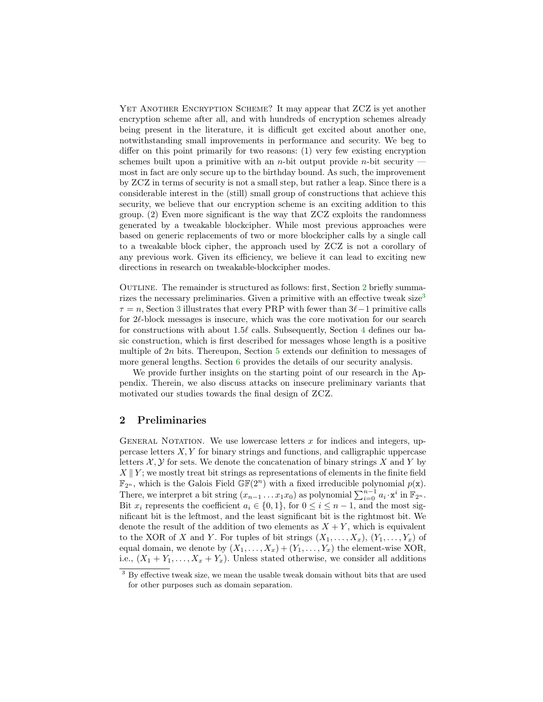YET ANOTHER ENCRYPTION SCHEME? It may appear that  $ZCZ$  is yet another encryption scheme after all, and with hundreds of encryption schemes already being present in the literature, it is difficult get excited about another one, notwithstanding small improvements in performance and security. We beg to differ on this point primarily for two reasons: (1) very few existing encryption schemes built upon a primitive with an *n*-bit output provide *n*-bit security most in fact are only secure up to the birthday bound. As such, the improvement by ZCZ in terms of security is not a small step, but rather a leap. Since there is a considerable interest in the (still) small group of constructions that achieve this security, we believe that our encryption scheme is an exciting addition to this group. (2) Even more significant is the way that ZCZ exploits the randomness generated by a tweakable blockcipher. While most previous approaches were based on generic replacements of two or more blockcipher calls by a single call to a tweakable block cipher, the approach used by ZCZ is not a corollary of any previous work. Given its efficiency, we believe it can lead to exciting new directions in research on tweakable-blockcipher modes.

OUTLINE. The remainder is structured as follows: first, Section [2](#page-4-0) briefly summa-rizes the necessary preliminaries. Given a primitive with an effective tweak size<sup>[3](#page-4-1)</sup>  $\tau = n$ , Section [3](#page-6-0) illustrates that every PRP with fewer than  $3\ell-1$  primitive calls for  $2\ell$ -block messages is insecure, which was the core motivation for our search for constructions with about 1.5 $\ell$  calls. Subsequently, Section [4](#page-9-0) defines our basic construction, which is first described for messages whose length is a positive multiple of  $2n$  bits. Thereupon, Section  $5$  extends our definition to messages of more general lengths. Section  $6$  provides the details of our security analysis.

We provide further insights on the starting point of our research in the Appendix. Therein, we also discuss attacks on insecure preliminary variants that motivated our studies towards the final design of ZCZ.

#### <span id="page-4-0"></span>2 Preliminaries

GENERAL NOTATION. We use lowercase letters  $x$  for indices and integers, uppercase letters  $X, Y$  for binary strings and functions, and calligraphic uppercase letters  $\mathcal{X}, \mathcal{Y}$  for sets. We denote the concatenation of binary strings X and Y by  $X \parallel Y$ ; we mostly treat bit strings as representations of elements in the finite field  $\mathbb{F}_{2^n}$ , which is the Galois Field  $\mathbb{GF}(2^n)$  with a fixed irreducible polynomial  $p(\mathbf{x})$ . There, we interpret a bit string  $(x_{n-1} \ldots x_1 x_0)$  as polynomial  $\sum_{i=0}^{n-1} a_i \cdot x^i$  in  $\mathbb{F}_{2^n}$ . Bit  $x_i$  represents the coefficient  $a_i \in \{0,1\}$ , for  $0 \le i \le n-1$ , and the most significant bit is the leftmost, and the least significant bit is the rightmost bit. We denote the result of the addition of two elements as  $X + Y$ , which is equivalent to the XOR of X and Y. For tuples of bit strings  $(X_1, \ldots, X_x), (Y_1, \ldots, Y_x)$  of equal domain, we denote by  $(X_1, \ldots, X_x) + (Y_1, \ldots, Y_x)$  the element-wise XOR, i.e.,  $(X_1 + Y_1, \ldots, X_x + Y_x)$ . Unless stated otherwise, we consider all additions

<span id="page-4-1"></span> $^3$  By effective tweak size, we mean the usable tweak domain without bits that are used for other purposes such as domain separation.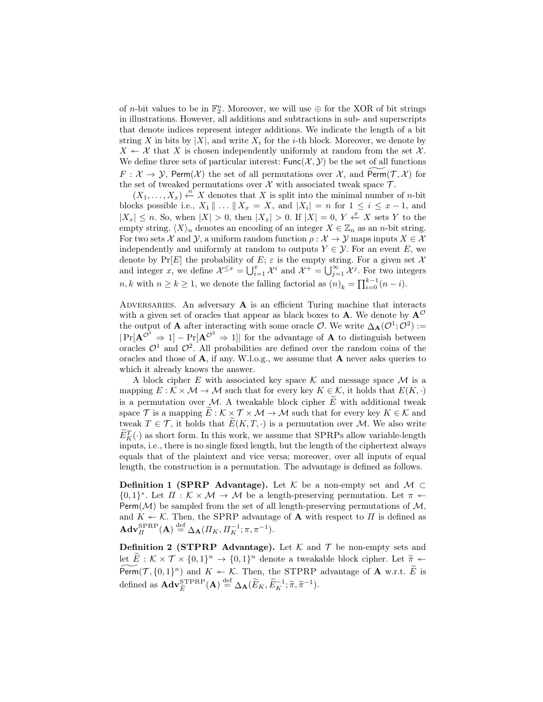of *n*-bit values to be in  $\mathbb{F}_2^n$ . Moreover, we will use  $\oplus$  for the XOR of bit strings in illustrations. However, all additions and subtractions in sub- and superscripts that denote indices represent integer additions. We indicate the length of a bit string X in bits by  $|X|$ , and write  $X_i$  for the *i*-th block. Moreover, we denote by  $X \leftarrow X$  that X is chosen independently uniformly at random from the set X. We define three sets of particular interest:  $Func(X, Y)$  be the set of all functions  $F: \mathcal{X} \to \mathcal{Y}$ , Perm $(\mathcal{X})$  the set of all permutations over  $\mathcal{X}$ , and Perm $(\mathcal{T}, \mathcal{X})$  for the set of tweaked permutations over  $X$  with associated tweak space  $T$ .

 $(X_1, \ldots, X_x) \stackrel{n}{\leftarrow} X$  denotes that X is split into the minimal number of *n*-bit blocks possible i.e.,  $X_1 \parallel ... \parallel X_x = X$ , and  $|X_i| = n$  for  $1 \le i \le x - 1$ , and  $|X_x| \leq n$ . So, when  $|X| > 0$ , then  $|X_x| > 0$ . If  $|X| = 0$ ,  $Y \stackrel{x}{\leftarrow} X$  sets Y to the empty string.  $\langle X \rangle_n$  denotes an encoding of an integer  $X \in \mathbb{Z}_n$  as an n-bit string. For two sets X and Y, a uniform random function  $\rho : \mathcal{X} \to \mathcal{Y}$  maps inputs  $X \in \mathcal{X}$ independently and uniformly at random to outputs  $Y \in \mathcal{Y}$ . For an event E, we denote by  $Pr[E]$  the probability of E;  $\varepsilon$  is the empty string. For a given set X and integer x, we define  $\mathcal{X}^{\leq x} = \bigcup_{i=1}^{x} \mathcal{X}^i$  and  $\mathcal{X}^+ = \bigcup_{j=1}^{\infty} \mathcal{X}^j$ . For two integers  $n, k$  with  $n \geq k \geq 1$ , we denote the falling factorial as  $(n)_k = \prod_{i=0}^{k-1} (n-i)$ .

ADVERSARIES. An adversary  $A$  is an efficient Turing machine that interacts with a given set of oracles that appear as black boxes to **A**. We denote by  $A^{\mathcal{O}}$ the output of **A** after interacting with some oracle  $\mathcal{O}$ . We write  $\Delta_{\mathbf{A}}(\mathcal{O}^1;\mathcal{O}^2)$  :=  $|\Pr[\mathbf{A}^{\mathcal{O}^1} \Rightarrow 1] - \Pr[\mathbf{A}^{\mathcal{O}^2} \Rightarrow 1]|$  for the advantage of **A** to distinguish between oracles  $\mathcal{O}^1$  and  $\mathcal{O}^2$ . All probabilities are defined over the random coins of the oracles and those of  $A$ , if any. W.l.o.g., we assume that  $A$  never asks queries to which it already knows the answer.

A block cipher E with associated key space  $\mathcal K$  and message space  $\mathcal M$  is a mapping  $E : \mathcal{K} \times \mathcal{M} \to \mathcal{M}$  such that for every key  $K \in \mathcal{K}$ , it holds that  $E(K, \cdot)$ is a permutation over M. A tweakable block cipher  $\tilde{E}$  with additional tweak space T is a mapping  $\widetilde{E}: \mathcal{K} \times \mathcal{T} \times \mathcal{M} \to \mathcal{M}$  such that for every key  $K \in \mathcal{K}$  and tweak  $T \in \mathcal{T}$ , it holds that  $\widetilde{E}(K,T,\cdot)$  is a permutation over M. We also write  $\widetilde{E}_K^T(\cdot)$  as short form. In this work, we assume that SPRPs allow variable-length inputs, i.e., there is no single fixed length, but the length of the ciphertext always equals that of the plaintext and vice versa; moreover, over all inputs of equal length, the construction is a permutation. The advantage is defined as follows.

**Definition 1 (SPRP Advantage).** Let K be a non-empty set and  $M \subset$  $\{0,1\}^*$ . Let  $\Pi : \mathcal{K} \times \mathcal{M} \to \mathcal{M}$  be a length-preserving permutation. Let  $\pi$ Perm $(\mathcal{M})$  be sampled from the set of all length-preserving permutations of  $\mathcal{M}$ , and  $K \leftarrow \mathcal{K}$ . Then, the SPRP advantage of **A** with respect to  $\Pi$  is defined as  $\mathbf{Adv}_{\Pi}^{\mathrm{SPRP}}(\mathbf{A}) \stackrel{\mathrm{def}}{=} \Delta_{\mathbf{A}}(\Pi_K, \Pi_K^{-1}; \pi, \pi^{-1}).$ 

**Definition 2 (STPRP Advantage).** Let  $K$  and  $T$  be non-empty sets and let  $\widetilde{E}: \mathcal{K} \times \mathcal{T} \times \{0,1\}^n \to \{0,1\}^n$  denote a tweakable block cipher. Let  $\widetilde{\pi} \leftarrow$  $\widetilde{\text{Perm}}(\mathcal{T}, \{0, 1\}^n)$  and  $K \leftarrow \mathcal{K}$ . Then, the STPRP advantage of **A** w.r.t.  $\widetilde{E}$  is defined as  $\mathbf{Adv}_{\tilde{E}}^{\mathrm{STPRP}}(\mathbf{A}) \stackrel{\text{def}}{=} \Delta_{\mathbf{A}}(\widetilde{E}_K, \widetilde{E}_K^{-1}; \widetilde{\pi}, \widetilde{\pi}^{-1}).$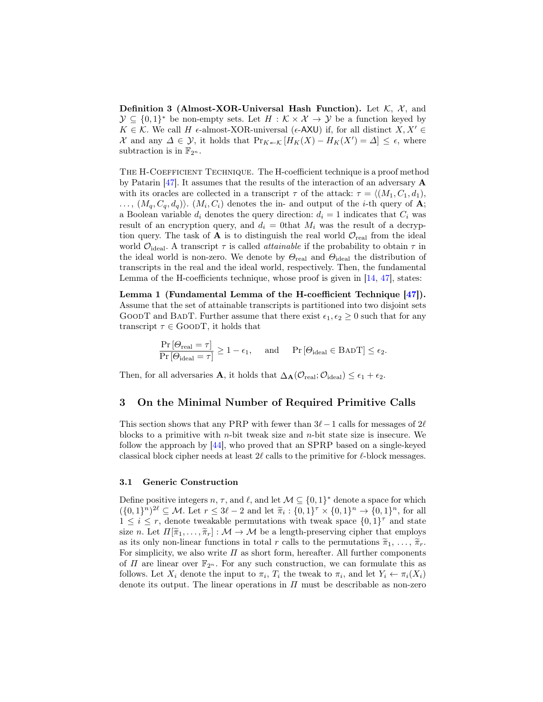Definition 3 (Almost-XOR-Universal Hash Function). Let  $K$ ,  $\mathcal{X}$ , and  $\mathcal{Y} \subseteq \{0,1\}^*$  be non-empty sets. Let  $H : \mathcal{K} \times \mathcal{X} \to \mathcal{Y}$  be a function keyed by  $K \in \mathcal{K}$ . We call H  $\epsilon$ -almost-XOR-universal ( $\epsilon$ -AXU) if, for all distinct  $X, X' \in$ X and any  $\Delta \in \mathcal{Y}$ , it holds that  $Pr_{K \in \mathcal{K}}[H_K(X) - H_K(X') = \Delta] \leq \epsilon$ , where subtraction is in  $\mathbb{F}_{2^n}$ .

The H-Coefficient Technique. The H-coefficient technique is a proof method by Patarin [\[47\]](#page-33-7). It assumes that the results of the interaction of an adversary A with its oracles are collected in a transcript  $\tau$  of the attack:  $\tau = \langle (M_1, C_1, d_1),$  $\ldots, (M_q, C_q, d_q)$ .  $(M_i, C_i)$  denotes the in- and output of the *i*-th query of **A**; a Boolean variable  $d_i$  denotes the query direction:  $d_i = 1$  indicates that  $C_i$  was result of an encryption query, and  $d_i = 0$ that  $M_i$  was the result of a decryption query. The task of  $\bf{A}$  is to distinguish the real world  $\mathcal{O}_{\text{real}}$  from the ideal world  $\mathcal{O}_{\text{ideal}}$ . A transcript  $\tau$  is called *attainable* if the probability to obtain  $\tau$  in the ideal world is non-zero. We denote by  $\Theta_{\text{real}}$  and  $\Theta_{\text{ideal}}$  the distribution of transcripts in the real and the ideal world, respectively. Then, the fundamental Lemma of the H-coefficients technique, whose proof is given in [\[14,](#page-31-5) [47\]](#page-33-7), states:

Lemma 1 (Fundamental Lemma of the H-coefficient Technique [\[47\]](#page-33-7)). Assume that the set of attainable transcripts is partitioned into two disjoint sets GOODT and BADT. Further assume that there exist  $\epsilon_1, \epsilon_2 \geq 0$  such that for any transcript  $\tau \in \text{GOODT}$ , it holds that

<span id="page-6-1"></span>
$$
\frac{\Pr\left[\Theta_{\text{real}}=\tau\right]}{\Pr\left[\Theta_{\text{ideal}}=\tau\right]} \ge 1-\epsilon_1, \quad \text{ and } \quad \Pr\left[\Theta_{\text{ideal}} \in \text{BAD}\,T\right] \le \epsilon_2.
$$

Then, for all adversaries **A**, it holds that  $\Delta_{\mathbf{A}}(\mathcal{O}_{\text{real}};\mathcal{O}_{\text{ideal}}) \leq \epsilon_1 + \epsilon_2$ .

#### <span id="page-6-0"></span>3 On the Minimal Number of Required Primitive Calls

This section shows that any PRP with fewer than  $3\ell-1$  calls for messages of  $2\ell$ blocks to a primitive with  $n$ -bit tweak size and  $n$ -bit state size is insecure. We follow the approach by [\[44\]](#page-33-6), who proved that an SPRP based on a single-keyed classical block cipher needs at least  $2\ell$  calls to the primitive for  $\ell$ -block messages.

#### 3.1 Generic Construction

Define positive integers  $n, \tau$ , and  $\ell$ , and let  $\mathcal{M} \subseteq \{0,1\}^*$  denote a space for which  $({0,1}^n)^{2\ell} \subseteq M$ . Let  $r \leq 3\ell - 2$  and let  $\tilde{\pi}_i : {0,1}^{\tau} \times {0,1}^n \to {0,1}^n$ , for all  $1 \leq i \leq r$ , denote two leaks permutations with two k appear  $[0,1]^\tau$  and state  $1 \leq i \leq r$ , denote tweakable permutations with tweak space  $\{0,1\}^{\tau}$  and state size n. Let  $\Pi[\tilde{\pi}_1,\ldots,\tilde{\pi}_r]:\mathcal{M}\to\mathcal{M}$  be a length-preserving cipher that employs as its only non-linear functions in total r calls to the permutations  $\tilde{\pi}_1, \ldots, \tilde{\pi}_r$ . For simplicity, we also write  $\Pi$  as short form, hereafter. All further components of  $\Pi$  are linear over  $\mathbb{F}_{2^n}$ . For any such construction, we can formulate this as follows. Let  $X_i$  denote the input to  $\pi_i$ ,  $T_i$  the tweak to  $\pi_i$ , and let  $Y_i \leftarrow \pi_i(X_i)$ denote its output. The linear operations in  $\Pi$  must be describable as non-zero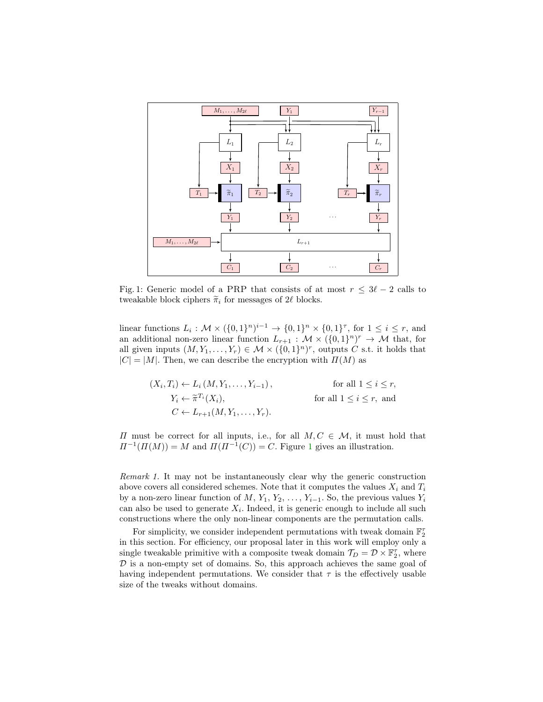<span id="page-7-0"></span>

Fig. 1: Generic model of a PRP that consists of at most  $r \leq 3\ell - 2$  calls to tweakable block ciphers  $\tilde{\pi}_i$  for messages of 2 $\ell$  blocks.

linear functions  $L_i: \mathcal{M} \times (\{0,1\}^n)^{i-1} \to \{0,1\}^n \times \{0,1\}^{\tau}$ , for  $1 \leq i \leq r$ , and an additional non-zero linear function  $L_{r+1} : \mathcal{M} \times (\{0,1\}^n)^r \to \mathcal{M}$  that, for all given inputs  $(M, Y_1, \ldots, Y_r) \in \mathcal{M} \times (\{0,1\}^n)^r$ , outputs C s.t. it holds that  $|C| = |M|$ . Then, we can describe the encryption with  $\Pi(M)$  as

$$
(X_i, T_i) \leftarrow L_i(M, Y_1, \dots, Y_{i-1}), \qquad \text{for all } 1 \le i \le r,
$$
  
\n
$$
Y_i \leftarrow \tilde{\pi}^{T_i}(X_i), \qquad \text{for all } 1 \le i \le r, \text{ and}
$$
  
\n
$$
C \leftarrow L_{r+1}(M, Y_1, \dots, Y_r).
$$

 $\Pi$  must be correct for all inputs, i.e., for all  $M, C ∈ M$ , it must hold that  $\Pi^{-1}(\Pi(M)) = M$  $\Pi^{-1}(\Pi(M)) = M$  $\Pi^{-1}(\Pi(M)) = M$  and  $\Pi(\Pi^{-1}(C)) = C$ . Figure 1 gives an illustration.

Remark 1. It may not be instantaneously clear why the generic construction above covers all considered schemes. Note that it computes the values  $X_i$  and  $T_i$ by a non-zero linear function of  $M, Y_1, Y_2, \ldots, Y_{i-1}$ . So, the previous values  $Y_i$ can also be used to generate  $X_i$ . Indeed, it is generic enough to include all such constructions where the only non-linear components are the permutation calls.

For simplicity, we consider independent permutations with tweak domain  $\mathbb{F}_2^\tau$ in this section. For efficiency, our proposal later in this work will employ only a single tweakable primitive with a composite tweak domain  $\mathcal{T}_D = \mathcal{D} \times \mathbb{F}_2^{\tau}$ , where  $D$  is a non-empty set of domains. So, this approach achieves the same goal of having independent permutations. We consider that  $\tau$  is the effectively usable size of the tweaks without domains.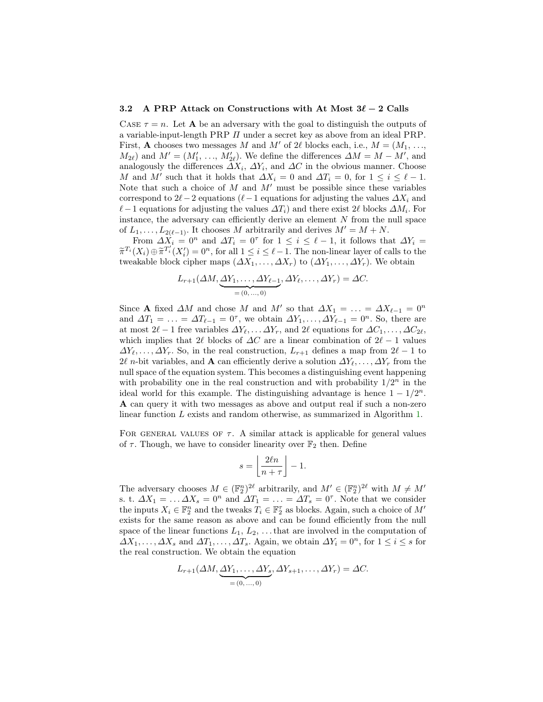#### 3.2 A PRP Attack on Constructions with At Most  $3\ell - 2$  Calls

CASE  $\tau = n$ . Let **A** be an adversary with the goal to distinguish the outputs of a variable-input-length PRP Π under a secret key as above from an ideal PRP. First, **A** chooses two messages M and M' of 2 $\ell$  blocks each, i.e.,  $M = (M_1, \ldots,$  $M_{2\ell}$ ) and  $M' = (M'_1, \ldots, M'_{2\ell})$ . We define the differences  $\Delta M = M - M'$ , and analogously the differences  $\Delta X_i$ ,  $\Delta Y_i$ , and  $\Delta C$  in the obvious manner. Choose M and M' such that it holds that  $\Delta X_i = 0$  and  $\Delta T_i = 0$ , for  $1 \leq i \leq \ell - 1$ . Note that such a choice of  $M$  and  $M'$  must be possible since these variables correspond to  $2\ell-2$  equations ( $\ell-1$  equations for adjusting the values  $\Delta X_i$  and  $\ell$  – 1 equations for adjusting the values  $\Delta T_i$ ) and there exist 2 $\ell$  blocks  $\Delta M_i$ . For instance, the adversary can efficiently derive an element  $N$  from the null space of  $L_1, \ldots, L_{2(\ell-1)}$ . It chooses M arbitrarily and derives  $M' = M + N$ .

From  $\Delta X_i = 0^n$  and  $\Delta T_i = 0^{\tau}$  for  $1 \leq i \leq \ell - 1$ , it follows that  $\Delta Y_i =$  $\widetilde{\pi}^{T_i}(X_i) \oplus \widetilde{\pi}^{T_i'}(X_i') = 0^n$ , for all  $1 \leq i \leq \ell - 1$ . The non-linear layer of calls to the turnshable block either mans  $(AX - AX)$  to  $(AV - AV)$ . We obtain tweakable block cipher maps  $(\Delta X_1, \ldots, \Delta X_r)$  to  $(\Delta Y_1, \ldots, \Delta Y_r)$ . We obtain

$$
L_{r+1}(\Delta M, \underbrace{\Delta Y_1, \ldots, \Delta Y_{\ell-1}}_{=(0, \ldots, 0)}, \Delta Y_{\ell}, \ldots, \Delta Y_r) = \Delta C.
$$

Since **A** fixed  $\Delta M$  and chose M and M' so that  $\Delta X_1 = \ldots = \Delta X_{\ell-1} = 0^n$ and  $\Delta T_1 = \ldots = \Delta T_{\ell-1} = 0^{\tau}$ , we obtain  $\Delta Y_1, \ldots, \Delta Y_{\ell-1} = 0^n$ . So, there are at most  $2\ell - 1$  free variables  $\Delta Y_{\ell}, \ldots \Delta Y_{r}$ , and  $2\ell$  equations for  $\Delta C_1, \ldots, \Delta C_{2\ell}$ , which implies that 2 $\ell$  blocks of  $\Delta C$  are a linear combination of  $2\ell - 1$  values  $\Delta Y_{\ell}, \ldots, \Delta Y_{r}$ . So, in the real construction,  $L_{r+1}$  defines a map from  $2\ell - 1$  to  $2\ell$  n-bit variables, and **A** can efficiently derive a solution  $\Delta Y_\ell, \ldots, \Delta Y_r$  from the null space of the equation system. This becomes a distinguishing event happening with probability one in the real construction and with probability  $1/2^n$  in the ideal world for this example. The distinguishing advantage is hence  $1 - 1/2^n$ . A can query it with two messages as above and output real if such a non-zero linear function L exists and random otherwise, as summarized in Algorithm [1.](#page-9-1)

FOR GENERAL VALUES OF  $\tau$ . A similar attack is applicable for general values of  $\tau$ . Though, we have to consider linearity over  $\mathbb{F}_2$  then. Define

$$
s = \left\lfloor \frac{2\ell n}{n+\tau} \right\rfloor - 1.
$$

The adversary chooses  $M \in (\mathbb{F}_2^n)^{2\ell}$  arbitrarily, and  $M' \in (\mathbb{F}_2^n)^{2\ell}$  with  $M \neq M'$ s. t.  $\Delta X_1 = \dots \Delta X_s = 0^n$  and  $\Delta T_1 = \dots = \Delta T_s = 0^{\tau}$ . Note that we consider the inputs  $X_i \in \mathbb{F}_2^n$  and the tweaks  $T_i \in \mathbb{F}_2^\tau$  as blocks. Again, such a choice of  $M'$ exists for the same reason as above and can be found efficiently from the null space of the linear functions  $L_1, L_2, \ldots$  that are involved in the computation of  $\Delta X_1, \ldots, \Delta X_s$  and  $\Delta T_1, \ldots, \Delta T_s$ . Again, we obtain  $\Delta Y_i = 0^n$ , for  $1 \le i \le s$  for the real construction. We obtain the equation

$$
L_{r+1}(\Delta M, \underbrace{\Delta Y_1, \dots, \Delta Y_s}_{=(0, \dots, 0)}, \Delta Y_{s+1}, \dots, \Delta Y_r) = \Delta C.
$$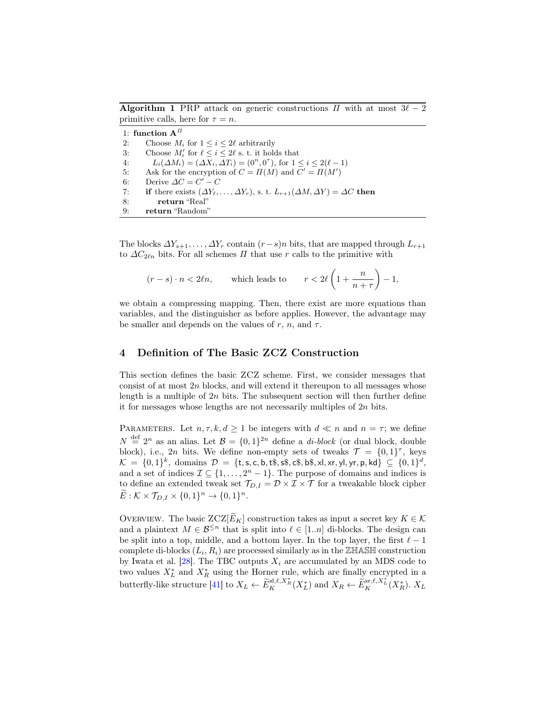<span id="page-9-1"></span>**Algorithm 1** PRP attack on generic constructions  $\Pi$  with at most  $3\ell - 2$ primitive calls, here for  $\tau = n$ .

1: function  $\mathbf{A}^{I\!I}$ 2: Choose  $M_i$  for  $1 \leq i \leq 2\ell$  arbitrarily 3: Choose  $M'_i$  for  $\ell \leq i \leq 2\ell$  s. t. it holds that 4:  $L_i(\Delta M_i) = (\Delta X_i, \Delta T_i) = (0^n, 0^r)$ , for  $1 \le i \le 2(\ell - 1)$ 5: Ask for the encryption of  $C = \Pi(M)$  and  $C' = \Pi(M')$ 6: Derive  $\Delta C = C' - C$ 7: if there exists  $(\Delta Y_{\ell}, \ldots, \Delta Y_{r}),$  s. t.  $L_{r+1}(\Delta M, \Delta Y) = \Delta C$  then 8: return "Real" 9: return "Random"

The blocks  $\Delta Y_{s+1}, \ldots, \Delta Y_r$  contain  $(r-s)n$  bits, that are mapped through  $L_{r+1}$ to  $\Delta C_{2\ell n}$  bits. For all schemes  $\Pi$  that use r calls to the primitive with

$$
(r-s)\cdot n < 2\ell n
$$
, which leads to  $r < 2\ell \left(1 + \frac{n}{n+\tau}\right) - 1$ ,

we obtain a compressing mapping. Then, there exist are more equations than variables, and the distinguisher as before applies. However, the advantage may be smaller and depends on the values of r, n, and  $\tau$ .

# <span id="page-9-0"></span>4 Definition of The Basic ZCZ Construction

This section defines the basic ZCZ scheme. First, we consider messages that consist of at most  $2n$  blocks, and will extend it thereupon to all messages whose length is a multiple of  $2n$  bits. The subsequent section will then further define it for messages whose lengths are not necessarily multiples of 2n bits.

PARAMETERS. Let  $n, \tau, k, d \geq 1$  be integers with  $d \ll n$  and  $n = \tau$ ; we define  $N \stackrel{\text{def}}{=} 2^n$  as an alias. Let  $\mathcal{B} = \{0,1\}^{2n}$  define a *di-block* (or dual block, double block), i.e., 2n bits. We define non-empty sets of tweaks  $\mathcal{T} = \{0,1\}^{\tau}$ , keys  $\mathcal{K} \ = \ \{0,1\}^k, \ \textrm{domains} \ \ \mathcal{D} \ = \ \{\texttt{t},\texttt{s},\texttt{c},\texttt{b},\texttt{t}\$, \texttt{s},\$, \texttt{c}\$, \texttt{b}\$, \texttt{s},\texttt{x},\texttt{y},\texttt{y},\texttt{p},\texttt{kd}\} \ \subseteq \ \{0,1\}^d,$ and a set of indices  $\mathcal{I} \subseteq \{1, \ldots, 2^n - 1\}$ . The purpose of domains and indices is to define an extended tweak set  $\mathcal{T}_{D,I} = \mathcal{D} \times \mathcal{I} \times \mathcal{T}$  for a tweakable block cipher  $\widetilde{E}: \mathcal{K} \times \mathcal{T}_{D,I} \times \{0,1\}^n \to \{0,1\}^n.$ 

OVERVIEW. The basic  $ZCZ[\widetilde{E}_K]$  construction takes as input a secret key  $K \in \mathcal{K}$ and a plaintext  $M \in \mathcal{B}^{\leq n}$  that is split into  $\ell \in [1..n]$  di-blocks. The design can be split into a top, middle, and a bottom layer. In the top layer, the first  $\ell - 1$ complete di-blocks  $(L_i, R_i)$  are processed similarly as in the ZHASH construction by Iwata et al.  $[28]$ . The TBC outputs  $X_i$  are accumulated by an MDS code to two values  $X_L^*$  and  $X_R^*$  using the Horner rule, which are finally encrypted in a butterfly-like structure [\[41\]](#page-33-3) to  $X_L \leftarrow \widetilde{E}_K^{\times l, \ell, X_R^*}(X_L^*)$  and  $X_R \leftarrow \widetilde{E}_K^{\times r, \ell, X_L^*}(X_R^*).$   $X_L$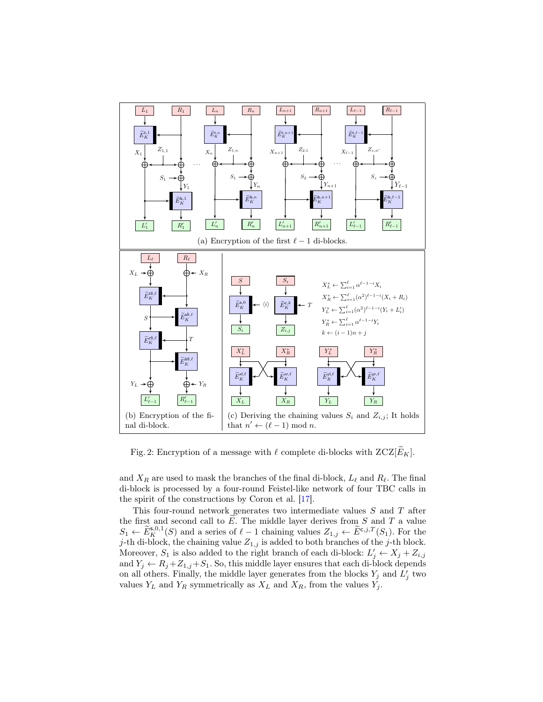<span id="page-10-0"></span>

Fig. 2: Encryption of a message with  $\ell$  complete di-blocks with  $ZCZ[\overline{E}_K]$ .

and  $X_R$  are used to mask the branches of the final di-block,  $L_\ell$  and  $R_\ell$ . The final di-block is processed by a four-round Feistel-like network of four TBC calls in the spirit of the constructions by Coron et al. [\[17\]](#page-31-1).

This four-round network generates two intermediate values S and T after the first and second call to  $E$ . The middle layer derives from S and T a value  $S_1 \leftarrow \widetilde{E}_{K}^{\mathsf{s},0,1}(S)$  and a series of  $\ell-1$  chaining values  $Z_{1,j} \leftarrow \widetilde{E}^{\mathsf{c},j,T}(S_1)$ . For the j-th di-block, the chaining value  $Z_{1,j}$  is added to both branches of the j-th block. Moreover,  $S_1$  is also added to the right branch of each di-block:  $L'_j \leftarrow X_j + Z_{i,j}$ and  $Y_j \leftarrow R_j + Z_{1,j} + S_1$ . So, this middle layer ensures that each di-block depends on all others. Finally, the middle layer generates from the blocks  $Y_j$  and  $L'_j$  two values  $Y_L$  and  $Y_R$  symmetrically as  $X_L$  and  $X_R$ , from the values  $Y_j$ .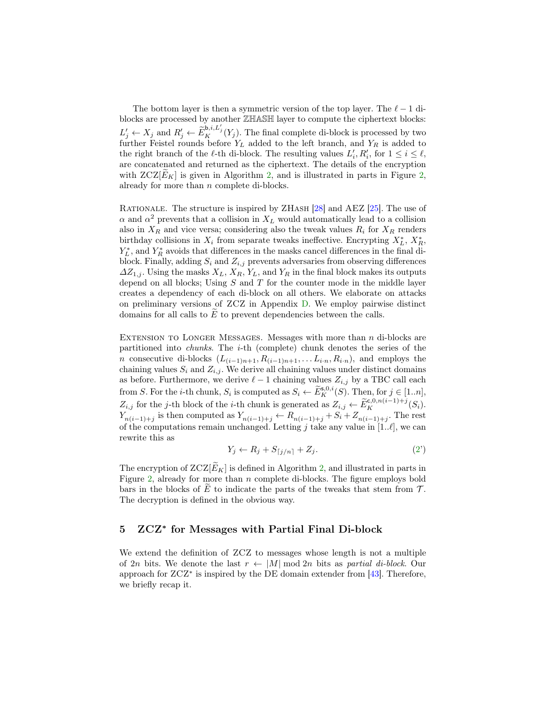The bottom layer is then a symmetric version of the top layer. The  $\ell - 1$  diblocks are processed by another ZHASH layer to compute the ciphertext blocks:  $L'_j \leftarrow X_j$  and  $R'_j \leftarrow \widetilde{E}_K^{\mathbf{b},i,L'_j}(Y_j)$ . The final complete di-block is processed by two further Feistel rounds before  $Y_L$  added to the left branch, and  $Y_R$  is added to the right branch of the  $\ell$ -th di-block. The resulting values  $L'_i, R'_i$ , for  $1 \leq i \leq \ell$ , are concatenated and returned as the ciphertext. The details of the encryption with  $ZCZ[E_K]$  is given in Algorithm [2,](#page-10-0) and is illustrated in parts in Figure 2, already for more than n complete di-blocks.

RATIONALE. The structure is inspired by ZHASH [\[28\]](#page-32-5) and AEZ [\[25\]](#page-32-0). The use of  $\alpha$  and  $\alpha^2$  prevents that a collision in  $X_L$  would automatically lead to a collision also in  $X_R$  and vice versa; considering also the tweak values  $R_i$  for  $X_R$  renders birthday collisions in  $X_i$  from separate tweaks ineffective. Encrypting  $X_L^*$ ,  $X_R^*$ ,  $Y_L^*$ , and  $Y_R^*$  avoids that differences in the masks cancel differences in the final diblock. Finally, adding  $S_i$  and  $Z_{i,j}$  prevents adversaries from observing differences  $\Delta Z_{1,j}$ . Using the masks  $X_L, X_R, Y_L$ , and  $Y_R$  in the final block makes its outputs depend on all blocks; Using  $S$  and  $T$  for the counter mode in the middle layer creates a dependency of each di-block on all others. We elaborate on attacks on preliminary versions of ZCZ in Appendix [D.](#page-38-0) We employ pairwise distinct domains for all calls to  $E$  to prevent dependencies between the calls.

EXTENSION TO LONGER MESSAGES. Messages with more than  $n$  di-blocks are partitioned into chunks. The i-th (complete) chunk denotes the series of the n consecutive di-blocks  $(L_{(i-1)n+1}, R_{(i-1)n+1}, \ldots L_{i\cdot n}, R_{i\cdot n})$ , and employs the chaining values  $S_i$  and  $Z_{i,j}$ . We derive all chaining values under distinct domains as before. Furthermore, we derive  $\ell - 1$  chaining values  $Z_{i,j}$  by a TBC call each from S. For the *i*-th chunk,  $S_i$  is computed as  $S_i \leftarrow \widetilde{E}_K^{s,0,i}(S)$ . Then, for  $j \in [1..n]$ ,  $Z_{i,j}$  for the j-th block of the *i*-th chunk is generated as  $Z_{i,j} \leftarrow \widetilde{E}_K^{c,0,n(i-1)+j}(S_i)$ .  $Y_{n(i-1)+j}$  is then computed as  $Y_{n(i-1)+j} \leftarrow R_{n(i-1)+j} + S_i + Z_{n(i-1)+j}$ . The rest of the computations remain unchanged. Letting j take any value in  $[1..\ell]$ , we can rewrite this as

$$
Y_j \leftarrow R_j + S_{\lceil j/n \rceil} + Z_j. \tag{2'}
$$

The encryption of  $ZCZ[\widetilde{E}_K]$  is defined in Algorithm [2,](#page-12-0) and illustrated in parts in Figure [2,](#page-10-0) already for more than n complete di-blocks. The figure employs bold bars in the blocks of E to indicate the parts of the tweaks that stem from  $\mathcal{T}$ . The decryption is defined in the obvious way.

# <span id="page-11-0"></span>5 ZCZ<sup>∗</sup> for Messages with Partial Final Di-block

We extend the definition of ZCZ to messages whose length is not a multiple of 2n bits. We denote the last  $r \leftarrow |M| \mod 2n$  bits as partial di-block. Our approach for  $ZCZ^*$  is inspired by the DE domain extender from [\[43\]](#page-33-8). Therefore, we briefly recap it.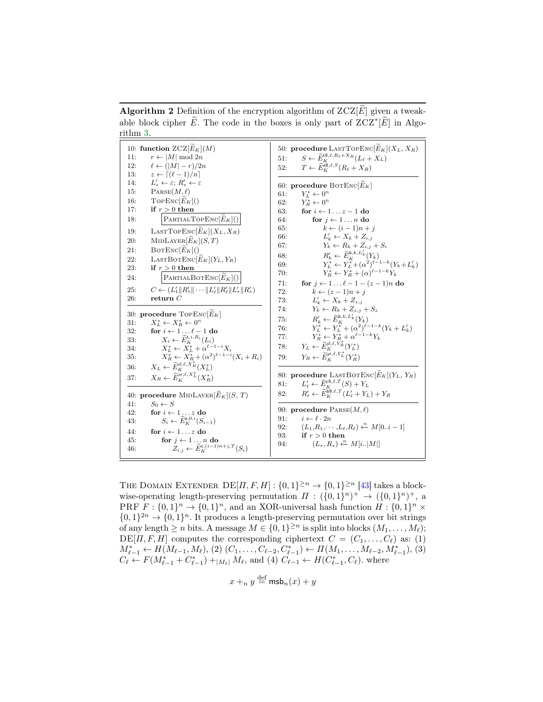<span id="page-12-0"></span>**Algorithm 2** Definition of the encryption algorithm of  $ZCZ[\widetilde{E}]$  given a tweakable block cipher  $\widetilde{E}$ . The code in the boxes is only part of  $ZCZ^*[\widetilde{E}]$  in Algorithm [3.](#page-13-0)

| 10: function $ZCZ[\widetilde{E}_K](M)$<br>11:<br>$r \leftarrow  M  \mod 2n$                  | 50: procedure LASTTOPENC $[\widetilde{E}_K](X_L, X_R)$<br>51:                                                                                   |
|----------------------------------------------------------------------------------------------|-------------------------------------------------------------------------------------------------------------------------------------------------|
| $\ell \leftarrow ( M -r)/2n$<br>12:                                                          | $S \leftarrow \widetilde{E}_{K}^{\mathsf{t}\$,\ell,R_{\ell}+X_{R}}(L_{\ell}+X_{L})$                                                             |
| $z \leftarrow \lceil (\ell-1)/n \rceil$                                                      | $T \leftarrow \widetilde{E}_{\nu}^{\mathsf{ss},\ell,S}(R_{\ell}+X_R)$                                                                           |
| 13:                                                                                          | 52:                                                                                                                                             |
| $L'_* \leftarrow \varepsilon$ ; $R'_* \leftarrow \varepsilon$<br>14.                         |                                                                                                                                                 |
| $\text{PARSE}(M,\ell)$<br>15:                                                                | 60: procedure BOTENC $[E_K]$<br>$Y_L^* \leftarrow 0^n$<br>61:                                                                                   |
| $\text{TopEnc}[E_K]()$                                                                       | $Y_R^* \leftarrow 0^n$                                                                                                                          |
| 16:                                                                                          | 62:                                                                                                                                             |
| 17:                                                                                          | for $i \leftarrow 1z-1$ do                                                                                                                      |
| if $r > 0$ then                                                                              | 63:                                                                                                                                             |
| PARTIALTOPENC $[\widetilde{E}_K]($                                                           | for $i \leftarrow 1n$ do                                                                                                                        |
| 18:                                                                                          | 64:                                                                                                                                             |
|                                                                                              | $k \leftarrow (i-1)n + j$<br>65:                                                                                                                |
| LASTTOPENC $[\widetilde{E}_K](X_L, X_R)$                                                     | $L'_k \leftarrow X_k + Z_{i,i}$                                                                                                                 |
| 19:                                                                                          | 66:                                                                                                                                             |
| $\text{MIDLAYER}[\widetilde{E}_K](S,T)$                                                      | $Y_k \leftarrow R_k + Z_{i,i} + S_i$                                                                                                            |
| 20:                                                                                          | 67:                                                                                                                                             |
| $B$ OTENC $[\widetilde{E}_K]($                                                               | $R'_k \leftarrow \widetilde{E}_K^{\mathsf{b},k,L'_k}(Y_k)$                                                                                      |
| 21:                                                                                          | 68:                                                                                                                                             |
| LASTBOTENC $[\tilde{E}_K](Y_L, Y_R)$                                                         | $Y_L^* \leftarrow Y_L^* + (\alpha^2)^{\ell-1-k} (Y_k + L'_k)$                                                                                   |
| 22:                                                                                          | 69:                                                                                                                                             |
| 23:                                                                                          | $Y_R^* \leftarrow Y_R^* + (\alpha)^{\ell-1-k} Y_R$                                                                                              |
| if $r > 0$ then                                                                              | 70:                                                                                                                                             |
| PARTIALBOTENC $ \widetilde{E}_K ()$                                                          | for $j \leftarrow 1 \ldots \ell - 1 - (z - 1)n$ do                                                                                              |
| 24:                                                                                          | 71:                                                                                                                                             |
| $C \leftarrow (L'_1 \  R'_1 \  \cdots \  L'_{\ell} \  R'_{\ell} \  L'_{*} \  R'_{*})$        | 72:                                                                                                                                             |
| 25:                                                                                          | $k \leftarrow (z-1)n + i$                                                                                                                       |
| 26:                                                                                          | $L'_k \leftarrow X_k + Z_{\tilde{z}} i$                                                                                                         |
| return $C$                                                                                   | 73:                                                                                                                                             |
|                                                                                              | $Y_k \leftarrow R_k + Z_{z,i} + S_z$<br>74:                                                                                                     |
| 30: procedure TOPENC $[\widetilde{E}_K]$                                                     | 75:                                                                                                                                             |
| $X_L^* \leftarrow X_R^* \leftarrow 0^n$                                                      | $\begin{array}{l} R_k' \leftarrow \tilde{E}_K^{\mathbf{b},k,L_k'}(Y_k) \\ Y_L^* \leftarrow Y_L^* + (\alpha^2)^{\ell-1-k}(Y_k+L_k') \end{array}$ |
| 31:                                                                                          | 76:                                                                                                                                             |
| for $i \leftarrow 1 \dots \ell - 1$ do<br>$X_i \leftarrow \widetilde{E}_K^{t,i,R_i}(L_i)$    | $Y_R^* \leftarrow Y_R^* + \alpha^{\ell-1-k} Y_k$                                                                                                |
| 32:                                                                                          | 77:                                                                                                                                             |
| 33:                                                                                          | $Y_L \leftarrow \widetilde{E}_K^{\text{yl}, \ell, Y_R^*}(Y_L^*)$                                                                                |
| $X_L^* \leftarrow \overline{X_L^*} + \alpha^{\ell-1-i} X_i$<br>34:                           | 78:                                                                                                                                             |
| $X_R^* \leftarrow X_R^* + (\alpha^2)^{\ell-1-i}(X_i + R_i)$                                  | $Y_R \leftarrow \widetilde{E}_K^{\text{yr},\ell,Y_L^*}(Y_R^*)$                                                                                  |
| 35:                                                                                          | 79:                                                                                                                                             |
| $X_L \leftarrow \widetilde{E}_K^{\text{xl},\ell,X_R^*}(X_L^*)$<br>36:                        |                                                                                                                                                 |
| $X_R \leftarrow \widetilde{E}_{\nu}^{x_r, \ell, X_L^*}(X_R^*)$<br>37:                        | 80: procedure LASTBOTENC $[\widetilde{E}_K](Y_L, Y_R)$                                                                                          |
|                                                                                              | $L'_{\ell} \leftarrow \widetilde{E}_{\kappa}^{\mathfrak{c} \mathfrak{F},\ell,T}(S) + Y_L$<br>81:                                                |
| 40: procedure MIDLAYER $[\tilde{E}_K](S, T)$                                                 | $R'_\ell \leftarrow \widetilde{E}_K^{\widehat{\mathtt{bs}}\!,\ell,T}(L'_\ell+Y_L)+Y_R$<br>82:                                                   |
| 41:<br>$S_0 \leftarrow S$                                                                    |                                                                                                                                                 |
| 42:<br>for $i \leftarrow 1z$ do                                                              | 90: procedure $PARSE(M,\ell)$                                                                                                                   |
| $S_i \leftarrow \widetilde{E}_K^{\text{s},0,i}(S_{i-1})$                                     | $i \leftarrow \ell \cdot 2n$                                                                                                                    |
| 43:                                                                                          | 91:                                                                                                                                             |
| 44:                                                                                          | $(L_1,R_1,\dots,L_\ell,R_\ell)\stackrel{n}{\leftarrow}M[0i-1]$                                                                                  |
| for $i \leftarrow 1z$ do                                                                     | 92:                                                                                                                                             |
| 45:                                                                                          | if $r > 0$ then<br>93:                                                                                                                          |
| for $j \leftarrow 1 \ldots n$ do<br>$Z_{i,j} \leftarrow \widetilde{E}_K^{c,(i-1)n+j,T}(S_i)$ | $(L_*,R_*)\xleftarrow{n} M[i M ]$                                                                                                               |
| 46:                                                                                          | 94:                                                                                                                                             |
|                                                                                              |                                                                                                                                                 |

THE DOMAIN EXTENDER  $DE[I, F, H] : \{0, 1\}^{\geq n} \to \{0, 1\}^{\geq n}$  [\[43\]](#page-33-8) takes a blockwise-operating length-preserving permutation  $\Pi : (\{0,1\}^n)^+ \rightarrow (\{0,1\}^n)^+$ , a PRF  $F: \{0,1\}^n \to \{0,1\}^n$ , and an XOR-universal hash function  $H: \{0,1\}^n \times$  $\{0,1\}^{2n} \rightarrow \{0,1\}^n$ . It produces a length-preserving permutation over bit strings of any length  $\geq n$  bits. A message  $M \in \{0,1\}^{\geq n}$  is split into blocks  $(M_1, \ldots, M_\ell);$  $DE[I, F, H]$  computes the corresponding ciphertext  $C = (C_1, \ldots, C_\ell)$  as: (1)  $M^*_{\ell-1} \leftarrow H(M_{\ell-1}, M_{\ell}), (2) (C_1, \ldots, C_{\ell-2}, C^*_{\ell-1}) \leftarrow \Pi(M_1, \ldots, M_{\ell-2}, M^*_{\ell-1}), (3)$  $C_{\ell} \leftarrow F(M_{\ell-1}^* + C_{\ell-1}^*) +_{|M_{\ell}|} M_{\ell}$ , and (4)  $C_{\ell-1} \leftarrow H(C_{\ell-1}^*, C_{\ell})$ . where

$$
x +_n y \stackrel{\text{def}}{=} \mathsf{msb}_n(x) + y
$$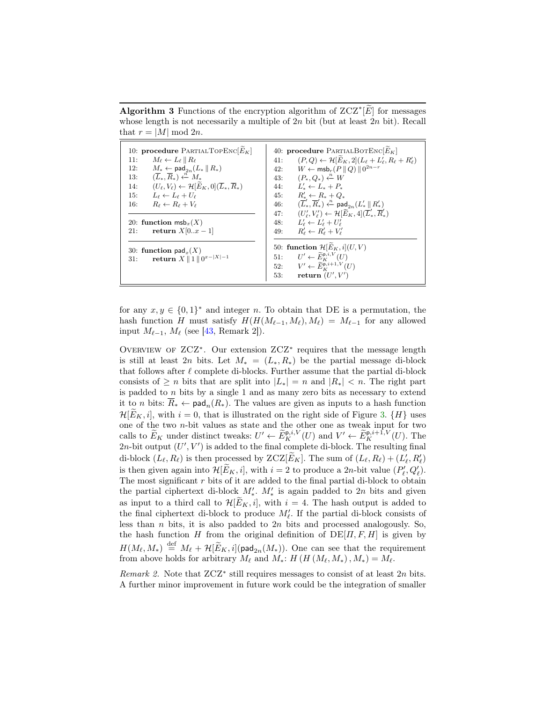<span id="page-13-0"></span>Algorithm 3 Functions of the encryption algorithm of  $ZCZ^*[\widetilde{E}]$  for messages whose length is not necessarily a multiple of  $2n$  bit (but at least  $2n$  bit). Recall that  $r = |M| \bmod 2n$ .

| 10: procedure PARTIALTOPENC $[\widetilde{E}_K]$                                              | 40: procedure PARTIALBOTENC $[E_K]$                                                                          |
|----------------------------------------------------------------------------------------------|--------------------------------------------------------------------------------------------------------------|
| 11:<br>$M_{\ell} \leftarrow L_{\ell} \parallel R_{\ell}$                                     | $(P,Q) \leftarrow \mathcal{H}[\tilde{E}_K,2](L_{\ell}+L'_{\ell},R_{\ell}+R'_{\ell})$<br>41:                  |
| 12:<br>$M_* \leftarrow \textsf{pad}_{2n}(L_* \, \  \, R_*)$                                  | $W \leftarrow \textsf{msb}_r(P    Q)    0^{2n-r}$<br>42:                                                     |
| $(\overline{L}_*, \overline{R}_*) \xleftarrow{n} M_*$<br>13:                                 | 43: $(P_*, Q_*) \xleftarrow{n} W$                                                                            |
| $(U_{\ell}, V_{\ell}) \leftarrow \mathcal{H}[E_K, 0](\overline{L}_*, \overline{R}_*)$<br>14: | 44: $L'_* \leftarrow L_* + P_*$                                                                              |
| $L_{\ell} \leftarrow L_{\ell} + U_{\ell}$<br>15:                                             | $R'_* \leftarrow R_* + Q_*$<br>45:                                                                           |
| $R_{\ell} \leftarrow R_{\ell} + V_{\ell}$<br>16:                                             | $(\overline{L}'_*, \overline{R}'_*) \stackrel{n}{\leftarrow} \mathsf{pad}_{2n}(L'_* \parallel R'_*)$<br>46:  |
|                                                                                              | $(U'_{\ell}, V'_{\ell}) \leftarrow \mathcal{H}[\widetilde{E}_K, 4](\overline{L}'_*, \overline{R}'_*)$<br>47: |
| 20: function $msb_x(X)$                                                                      | 48: $L'_{\ell} \leftarrow L'_{\ell} + U'_{\ell}$                                                             |
| return $X[0x-1]$<br>21:                                                                      | $R'_\ell \leftarrow R'_\ell + V'_\ell$<br>49:                                                                |
| 30: function $\textsf{pad}_r(X)$                                                             | 50: function $\mathcal{H}[E_K, i](U, V)$                                                                     |
| return $X \parallel 1 \parallel 0^{x- X -1}$<br>31:                                          | 51: $U' \leftarrow \widetilde{E}_{\kappa}^{\mathsf{p},i,V}(U)$                                               |
|                                                                                              | 52: $V' \leftarrow \widetilde{E}_{\kappa}^{\mathsf{p},i+1,V}(U)$                                             |
|                                                                                              | return $(U', V')$<br>53:                                                                                     |
|                                                                                              |                                                                                                              |

for any  $x, y \in \{0, 1\}^*$  and integer n. To obtain that DE is a permutation, the hash function H must satisfy  $H(H(M_{\ell-1}, M_{\ell}), M_{\ell}) = M_{\ell-1}$  for any allowed input  $M_{\ell-1}$ ,  $M_{\ell}$  (see [\[43,](#page-33-8) Remark 2]).

OVERVIEW OF  $ZCZ^*$ . Our extension  $ZCZ^*$  requires that the message length is still at least 2n bits. Let  $M_* = (L_*, R_*)$  be the partial message di-block that follows after  $\ell$  complete di-blocks. Further assume that the partial di-block consists of  $\geq n$  bits that are split into  $|L_*| = n$  and  $|R_*| < n$ . The right part is padded to n bits by a single 1 and as many zero bits as necessary to extend it to *n* bits:  $\overline{R}_* \leftarrow \text{pad}_n(R_*)$ . The values are given as inputs to a hash function  $\mathcal{H}[E_K, i]$ , with  $i = 0$ , that is illustrated on the right side of Figure [3.](#page-14-1)  $\{H\}$  uses one of the two n-bit values as state and the other one as tweak input for two calls to  $\widetilde{E}_K$  under distinct tweaks:  $U' \leftarrow \widetilde{E}_K^{\mathsf{p},i,V}(U)$  and  $V' \leftarrow \widetilde{E}_K^{\mathsf{p},i+1,V}(U)$ . The 2n-bit output  $(U', V')$  is added to the final complete di-block. The resulting final di-block  $(L_\ell, R_\ell)$  is then processed by  $ZCZ[\widetilde{E}_K]$ . The sum of  $(L_\ell, R_\ell) + (L'_\ell, R'_\ell)$ is then given again into  $\mathcal{H}[\tilde{E}_K, i]$ , with  $i = 2$  to produce a 2n-bit value  $(P'_\ell, Q'_\ell)$ . The most significant  $r$  bits of it are added to the final partial di-block to obtain the partial ciphertext di-block  $M'_*$ .  $M'_*$  is again padded to 2n bits and given as input to a third call to  $\mathcal{H}[E_K, i]$ , with  $i = 4$ . The hash output is added to the final ciphertext di-block to produce  $M'_\ell$ . If the partial di-block consists of less than  $n$  bits, it is also padded to  $2n$  bits and processed analogously. So, the hash function H from the original definition of  $DE[*II*, *F*, *H*]$  is given by  $H(M_\ell, M_*) \stackrel{\text{def}}{=} M_\ell + \mathcal{H}[\widetilde{E}_K, i](\text{pad}_{2n}(M_*))$ . One can see that the requirement from above holds for arbitrary  $M_{\ell}$  and  $M_*: H (H (M_{\ell}, M_*) , M_*) = M_{\ell}$ .

Remark 2. Note that  $ZCZ^*$  still requires messages to consist of at least  $2n$  bits. A further minor improvement in future work could be the integration of smaller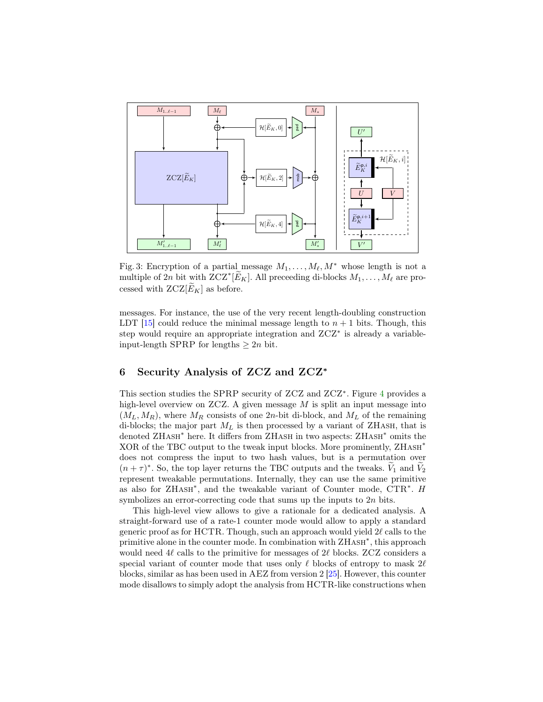<span id="page-14-1"></span>

Fig. 3: Encryption of a partial message  $M_1, \ldots, M_\ell, M^*$  whose length is not a multiple of 2n bit with  $ZCZ^*[\widetilde{E}_K]$ . All preceeding di-blocks  $M_1, \ldots, M_\ell$  are processed with  $ZCZ[\widetilde{E}_K]$  as before.

messages. For instance, the use of the very recent length-doubling construction LDT [\[15\]](#page-31-6) could reduce the minimal message length to  $n + 1$  bits. Though, this step would require an appropriate integration and ZCZ<sup>∗</sup> is already a variableinput-length SPRP for lengths  $\geq 2n$  bit.

# <span id="page-14-0"></span>6 Security Analysis of ZCZ and ZCZ<sup>∗</sup>

This section studies the SPRP security of ZCZ and ZCZ<sup>\*</sup>. Figure [4](#page-15-0) provides a high-level overview on ZCZ. A given message  $M$  is split an input message into  $(M_L, M_R)$ , where  $M_R$  consists of one 2n-bit di-block, and  $M_L$  of the remaining di-blocks; the major part  $M_L$  is then processed by a variant of ZHASH, that is denoted ZHASH<sup>\*</sup> here. It differs from ZHASH in two aspects: ZHASH<sup>\*</sup> omits the XOR of the TBC output to the tweak input blocks. More prominently, ZHASH<sup>\*</sup> does not compress the input to two hash values, but is a permutation over  $(n + \tau)^*$ . So, the top layer returns the TBC outputs and the tweaks.  $V_1$  and  $V_2$ represent tweakable permutations. Internally, they can use the same primitive as also for ZHASH<sup>\*</sup>, and the tweakable variant of Counter mode, CTR<sup>\*</sup>. H symbolizes an error-correcting code that sums up the inputs to 2n bits.

This high-level view allows to give a rationale for a dedicated analysis. A straight-forward use of a rate-1 counter mode would allow to apply a standard generic proof as for HCTR. Though, such an approach would yield  $2\ell$  calls to the primitive alone in the counter mode. In combination with  $\text{ZHASH}^*$ , this approach would need  $4\ell$  calls to the primitive for messages of  $2\ell$  blocks. ZCZ considers a special variant of counter mode that uses only  $\ell$  blocks of entropy to mask 2 $\ell$ blocks, similar as has been used in AEZ from version 2 [\[25\]](#page-32-0). However, this counter mode disallows to simply adopt the analysis from HCTR-like constructions when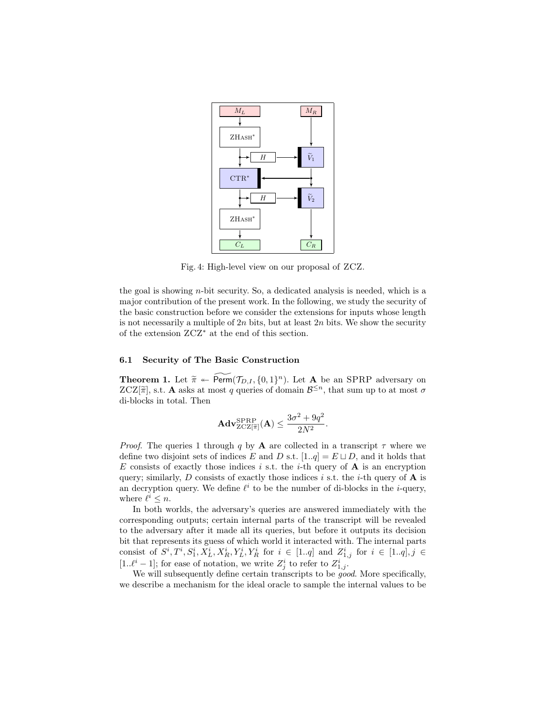<span id="page-15-0"></span>

Fig. 4: High-level view on our proposal of ZCZ.

the goal is showing  $n$ -bit security. So, a dedicated analysis is needed, which is a major contribution of the present work. In the following, we study the security of the basic construction before we consider the extensions for inputs whose length is not necessarily a multiple of  $2n$  bits, but at least  $2n$  bits. We show the security of the extension ZCZ<sup>∗</sup> at the end of this section.

#### 6.1 Security of The Basic Construction

<span id="page-15-1"></span>**Theorem 1.** Let  $\tilde{\pi} \leftarrow \widetilde{\text{Perm}}(\mathcal{T}_{D,I}, \{0,1\}^n)$ . Let **A** be an SPRP adversary on  $ZCZ[\tilde{\pi}]$  at **A** asks at most *a* quories of domain  $R^{\leq n}$  that sum up to at most *a*  $ZCZ[\tilde{\pi}]$ , s.t. **A** asks at most q queries of domain  $\mathcal{B}^{\leq n}$ , that sum up to at most  $\sigma$  di blocks in total. Then di-blocks in total. Then

$$
\mathbf{Adv}_{\mathrm{ZCZ}[\widetilde{\pi}]}^{\mathrm{SPRP}}(\mathbf{A}) \le \frac{3\sigma^2 + 9q^2}{2N^2}.
$$

*Proof.* The queries 1 through q by **A** are collected in a transcript  $\tau$  where we define two disjoint sets of indices E and D s.t.  $[1..q] = E \sqcup D$ , and it holds that E consists of exactly those indices i s.t. the i-th query of  $A$  is an encryption query; similarly,  $D$  consists of exactly those indices i s.t. the i-th query of  $A$  is an decryption query. We define  $\ell^i$  to be the number of di-blocks in the *i*-query, where  $\ell^i \leq n$ .

In both worlds, the adversary's queries are answered immediately with the corresponding outputs; certain internal parts of the transcript will be revealed to the adversary after it made all its queries, but before it outputs its decision bit that represents its guess of which world it interacted with. The internal parts consist of  $S^i, T^i, S_1^i, X_L^i, X_R^i, Y_L^i, Y_R^i$  for  $i \in [1..q]$  and  $Z_{1,j}^i$  for  $i \in [1..q], j \in$ [1.. $\ell^i - 1$ ]; for ease of notation, we write  $Z_j^i$  to refer to  $Z_{1,j}^i$ .

We will subsequently define certain transcripts to be *good*. More specifically, we describe a mechanism for the ideal oracle to sample the internal values to be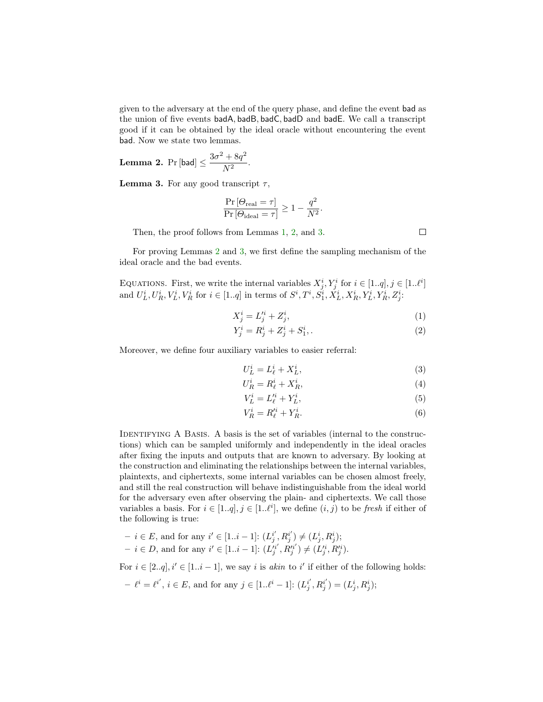given to the adversary at the end of the query phase, and define the event bad as the union of five events badA, badB, badC, badD and badE. We call a transcript good if it can be obtained by the ideal oracle without encountering the event bad. Now we state two lemmas.

<span id="page-16-1"></span>**Lemma 2.** Pr [bad]  $\leq \frac{3\sigma^2 + 8q^2}{N^2}$  $\frac{1}{N^2}$ .

<span id="page-16-2"></span>**Lemma 3.** For any good transcript  $\tau$ ,

$$
\frac{\Pr\left[\Theta_{\text{real}}=\tau\right]}{\Pr\left[\Theta_{\text{ideal}}=\tau\right]} \ge 1 - \frac{q^2}{N^2}
$$

Then, the proof follows from Lemmas [1,](#page-6-1) [2,](#page-16-1) and [3.](#page-16-2)

For proving Lemmas [2](#page-16-1) and [3,](#page-16-2) we first define the sampling mechanism of the ideal oracle and the bad events.

EQUATIONS. First, we write the internal variables  $X_j^i, Y_j^i$  for  $i \in [1..q], j \in [1..\ell^i]$ and  $U_L^i, U_R^i, V_L^i, V_R^i$  for  $i \in [1..q]$  in terms of  $S^i, T^i, S_1^i, X_L^i, X_R^i, Y_L^i, Y_R^i, Z_j^i$ .

$$
X_j^i = L_j'^i + Z_j^i,\tag{1}
$$

.

$$
Y_j^i = R_j^i + Z_j^i + S_1^i.
$$
 (2)

Moreover, we define four auxiliary variables to easier referral:

$$
U_L^i = L_\ell^i + X_L^i,\tag{3}
$$

$$
U_R^i = R_\ell^i + X_R^i,\tag{4}
$$

<span id="page-16-4"></span>
$$
V_L^i = L_\ell'^i + Y_L^i,\tag{5}
$$

$$
V_R^i = R_\ell'^i + Y_R^i. \tag{6}
$$

IDENTIFYING A BASIS. A basis is the set of variables (internal to the constructions) which can be sampled uniformly and independently in the ideal oracles after fixing the inputs and outputs that are known to adversary. By looking at the construction and eliminating the relationships between the internal variables, plaintexts, and ciphertexts, some internal variables can be chosen almost freely, and still the real construction will behave indistinguishable from the ideal world for the adversary even after observing the plain- and ciphertexts. We call those variables a basis. For  $i \in [1..q], j \in [1..l^i]$ , we define  $(i, j)$  to be fresh if either of the following is true:

- $i \in E$ , and for any  $i' \in [1..i-1]$ :  $(L_j^{i'}, R_j^{i'}) \neq (L_j^{i}, R_j^{i})$ ;
- *i* ∈ *D*, and for any *i'* ∈ [1..*i* 1]:  $(L_j^{i'}, R_j^{i'})$  ≠  $(L_j^{i}, R_j^{i'})$ .

For  $i \in [2..q], i' \in [1..i-1]$ , we say i is akin to i' if either of the following holds:

$$
-\ell^i = \ell^{i'}, i \in E
$$
, and for any  $j \in [1..\ell^i - 1]$ :  $(L_j^{i'}, R_j^{i'}) = (L_j^i, R_j^i)$ ;

<span id="page-16-5"></span><span id="page-16-3"></span><span id="page-16-0"></span> $\Box$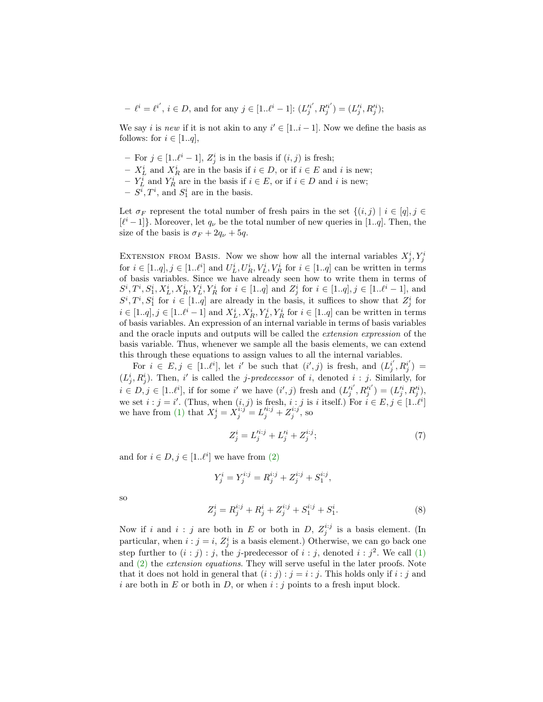$$
- \ell^i = \ell^{i'}, i \in D, \text{ and for any } j \in [1..\ell^i - 1] : (L_j'^{i'}, R_j'^{i'}) = (L_j'^{i}, R_j'^{i});
$$

We say *i* is new if it is not akin to any  $i' \in [1..i-1]$ . Now we define the basis as follows: for  $i \in [1..q]$ ,

- For  $j \in [1..\ell^i-1]$ ,  $Z_j^i$  is in the basis if  $(i, j)$  is fresh;
- $X^i_L$  and  $X^i_R$  are in the basis if  $i \in D$ , or if  $i \in E$  and i is new;
- $Y_L^i$  and  $Y_R^i$  are in the basis if  $i \in E$ , or if  $i \in D$  and i is new;
- $S^i, T^i$ , and  $S_1^i$  are in the basis.

Let  $\sigma_F$  represent the total number of fresh pairs in the set  $\{(i, j) | i \in [q], j \in$  $[\ell^i-1]$ . Moreover, let  $q_{\nu}$  be the total number of new queries in [1..q]. Then, the size of the basis is  $\sigma_F + 2q_\nu + 5q$ .

EXTENSION FROM BASIS. Now we show how all the internal variables  $X_j^i, Y_j^i$ for  $i \in [1..q], j \in [1..\ell^i]$  and  $U_L^i, U_R^i, V_L^i, V_R^i$  for  $i \in [1..q]$  can be written in terms of basis variables. Since we have already seen how to write them in terms of  $S^i, T^i, S_1^i, X_L^i, X_R^i, Y_L^i, Y_R^i$  for  $i \in [1..q]$  and  $Z_j^i$  for  $i \in [1..q], j \in [1..\ell^i-1]$ , and  $S^i, T^i, S_1^i$  for  $i \in [1..q]$  are already in the basis, it suffices to show that  $Z_j^i$  for  $i \in [1..q], j \in [1..l^i - 1]$  and  $X_L^i, X_R^i, Y_L^i, Y_R^i$  for  $i \in [1..q]$  can be written in terms of basis variables. An expression of an internal variable in terms of basis variables and the oracle inputs and outputs will be called the extension expression of the basis variable. Thus, whenever we sample all the basis elements, we can extend this through these equations to assign values to all the internal variables.

For  $i \in E, j \in [1..l^i]$ , let i' be such that  $(i',j)$  is fresh, and  $(L_j^{i'}, R_j^{i'}) =$  $(L_j^i, R_j^i)$ . Then, i' is called the *j-predecessor* of i, denoted i : j. Similarly, for  $i \in D, j \in [1..l^{i}],$  if for some i' we have  $(i', j)$  fresh and  $(L_j^{n'}, R_j^{n'}) = (L_j^{n}, R_j^{n'}),$ we set  $i : j = i'$ . (Thus, when  $(i, j)$  is fresh,  $i : j$  is i itself.) For  $i \in E, j \in [1..l<sup>i</sup>]$ we have from [\(1\)](#page-16-3) that  $X_j^i = X_j^{i:j} = L_j'^{i:j} + Z_j^{i:j}$ , so

<span id="page-17-0"></span>
$$
Z_j^i = L_j'^{i:j} + L_j'^i + Z_j^{i:j};\tag{7}
$$

and for  $i \in D, j \in [1..\ell^i]$  we have from [\(2\)](#page-16-0)

$$
Y_j^i = Y_j^{i:j} = R_j^{i:j} + Z_j^{i:j} + S_1^{i:j},
$$

so

<span id="page-17-1"></span>
$$
Z_j^i = R_j^{i:j} + R_j^i + Z_j^{i:j} + S_1^{i:j} + S_1^i.
$$
 (8)

Now if i and i: j are both in E or both in D,  $Z_j^{i:j}$  is a basis element. (In particular, when  $i : j = i$ ,  $Z_j^i$  is a basis element.) Otherwise, we can go back one step further to  $(i : j) : j$ , the j-predecessor of  $i : j$ , denoted  $i : j<sup>2</sup>$ . We call [\(1\)](#page-16-3) and [\(2\)](#page-16-0) the extension equations. They will serve useful in the later proofs. Note that it does not hold in general that  $(i : j) : j = i : j$ . This holds only if  $i : j$  and i are both in E or both in D, or when  $i : j$  points to a fresh input block.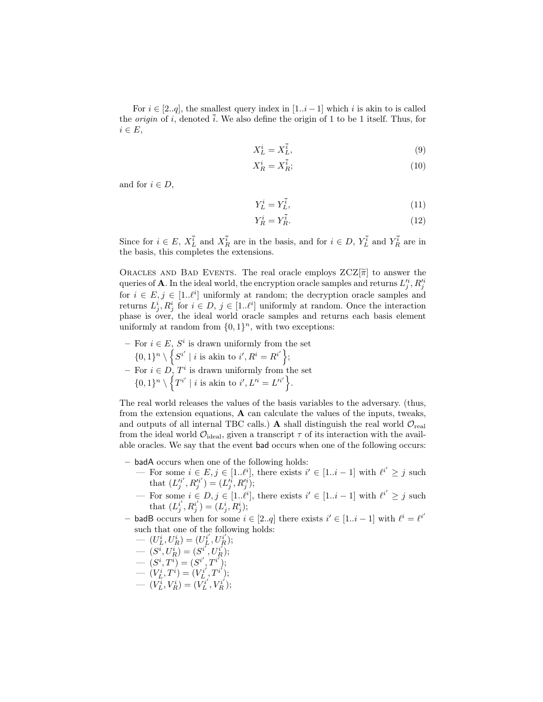For  $i \in [2..q]$ , the smallest query index in  $[1..i-1]$  which i is akin to is called the *origin* of i, denoted i. We also define the origin of 1 to be 1 itself. Thus, for  $i \in E$ ,

$$
X_L^i = X_L^{\bar{i}},\tag{9}
$$

$$
X_R^i = X_R^{\bar{i}};
$$
\n<sup>(10)</sup>

and for  $i \in D$ ,

$$
Y_L^i = Y_L^{\bar{i}},\tag{11}
$$

$$
Y_R^i = Y_R^i. \tag{12}
$$

Since for  $i \in E$ ,  $X_L^i$  and  $X_R^i$  are in the basis, and for  $i \in D$ ,  $Y_L^i$  and  $Y_R^i$  are in the basis, this completes the extensions.

ORACLES AND BAD EVENTS. The real oracle employs  $ZCZ[\tilde{\pi}]$  to answer the queries of **A**. In the ideal world, the encryption oracle samples and returns  $L_j^{\prime i}$ ,  $R_j^{\prime i}$ for  $i \in E, j \in [1..l^i]$  uniformly at random; the decryption oracle samples and returns  $L^i_j, R^i_j$  for  $i \in D, j \in [1..l^i]$  uniformly at random. Once the interaction phase is over, the ideal world oracle samples and returns each basis element uniformly at random from  $\{0,1\}^n$ , with two exceptions:

 $-$  For  $i \in E$ ,  $S^i$  is drawn uniformly from the set  $\{0,1\}^n \setminus \left\{ S^{i'} \mid i \text{ is akin to } i', R^i = R^{i'} \right\};$  $-$  For  $i \in D$ ,  $T^i$  is drawn uniformly from the set  $\{0,1\}^n \setminus \{T^{i'} \mid i \text{ is akin to } i', L'^i = L'^{i'}\}.$ 

The real world releases the values of the basis variables to the adversary. (thus, from the extension equations, A can calculate the values of the inputs, tweaks, and outputs of all internal TBC calls.) A shall distinguish the real world  $\mathcal{O}_{\text{real}}$ from the ideal world  $\mathcal{O}_{\text{ideal}}$ , given a transcript  $\tau$  of its interaction with the available oracles. We say that the event bad occurs when one of the following occurs:

- badA occurs when one of the following holds:
	- For some  $i \in E, j \in [1..l<sup>i</sup>]$ , there exists  $i' \in [1..i-1]$  with  $l<sup>i'</sup> ≥ j$  such that  $(L_j^{\prime i'}, R_j^{\prime i'}) = (L_j^{\prime i}, R_j^{\prime i});$
	- For some  $i \in D, j \in [1..l<sup>i</sup>]$ , there exists  $i' \in [1..i-1]$  with  $l<sup>i'</sup> ≥ j$  such that  $(L_j^{i'}, R_j^{i'}) = (L_j^{i}, R_j^{i});$
- badB occurs when for some  $i \in [2..q]$  there exists  $i' \in [1..i-1]$  with  $\ell^i = \ell^i$ such that one of the following holds:

$$
- (U_L^i, U_R^i) = (U_L^{i'}, U_R^{i'});
$$

$$
- (S^{\vec{i}}, U^{\vec{i}}_R) = (S^{\vec{i}}, U^{\vec{i}}_R);
$$

- $(S^i, T^i) = (S^{i'}, T^{i'});$
- $-\left(V_{L}^{i},T^{i}\right)=\left(V_{L}^{i'},T^{i'}\right);$
- $(V_L^i, V_R^i) = (V_L^{i'}, V_R^{i'});$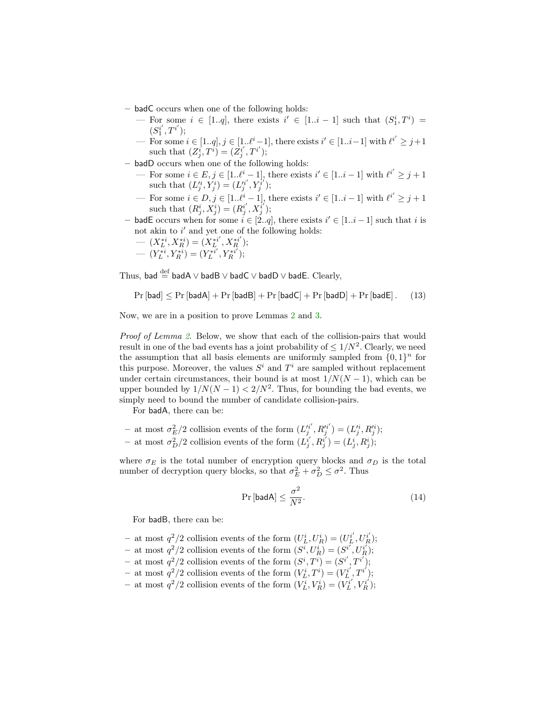- badC occurs when one of the following holds:
	- For some  $i \in [1..q]$ , there exists  $i' \in [1..i-1]$  such that  $(S_1^i, T^i) =$  $(S_1^{i'}, T^{i'});$
	- For some  $i \in [1..q], j \in [1..\ell^i-1]$ , there exists  $i' \in [1..i-1]$  with  $\ell^{i'} \geq j+1$ such that  $(Z_j^i, T^i) = (Z_j^{i'}, T^{i'});$
- badD occurs when one of the following holds:
	- For some  $i \in E, j \in [1..l^i-1]$ , there exists  $i' \in [1..i-1]$  with  $l^{i'} \geq j+1$ such that  $(L_j^{i}, Y_j^{i}) = (L_j^{i'}, Y_j^{i'});$
	- For some  $i \in D, j \in [1..l^i-1]$ , there exists  $i' \in [1..i-1]$  with  $l^{i'} \geq j+1$ such that  $(R_j^i, X_j^i) = (R_j^{i'}, X_j^{i'});$
- badE occurs when for some  $i \in [2..q]$ , there exists  $i' \in [1..i-1]$  such that i is not akin to  $i'$  and yet one of the following holds:

$$
\begin{aligned} &\quad -\ (X_L^{*i},X_R^{*i})=(X_L^{*i'},X_R^{*i'});\\ &\quad -\ (Y_L^{*i},Y_R^{*i})=(Y_L^{*i'},Y_R^{*i'}); \end{aligned}
$$

$$
\left(\begin{array}{cccc}\nE & \wedge & R\n\end{array}\right) \quad \left(\begin{array}{cccc}\nE & \wedge & R\n\end{array}\right) \quad \left(\begin{array}{cccc}\nE & \wedge & R\n\end{array}\right)
$$

Thus, bad  $\stackrel{\text{def}}{=}$  badA  $\vee$  badB  $\vee$  badD  $\vee$  badE. Clearly,

<span id="page-19-0"></span>
$$
\Pr\left[\mathsf{bad}\right] \leq \Pr\left[\mathsf{badA}\right] + \Pr\left[\mathsf{badB}\right] + \Pr\left[\mathsf{badC}\right] + \Pr\left[\mathsf{badD}\right] + \Pr\left[\mathsf{badE}\right].\tag{13}
$$

Now, we are in a position to prove Lemmas [2](#page-16-1) and [3.](#page-16-2)

Proof of Lemma [2](#page-16-1). Below, we show that each of the collision-pairs that would result in one of the bad events has a joint probability of  $\leq 1/N^2$ . Clearly, we need the assumption that all basis elements are uniformly sampled from  $\{0,1\}^n$  for this purpose. Moreover, the values  $S^i$  and  $T^i$  are sampled without replacement under certain circumstances, their bound is at most  $1/N(N-1)$ , which can be upper bounded by  $1/N(N-1) < 2/N^2$ . Thus, for bounding the bad events, we simply need to bound the number of candidate collision-pairs.

For badA, there can be:

- at most  $\sigma_E^2/2$  collision events of the form  $(L_j^{n'} , R_j^{n'}) = (L_j^{n}, R_j^{n'})$ ; - at most  $\sigma_D^2/2$  collision events of the form  $(L_j^{i'}, R_j^{i'}) = (L_j^i, R_j^i);$ 

where  $\sigma_E$  is the total number of encryption query blocks and  $\sigma_D$  is the total number of decryption query blocks, so that  $\sigma_E^2 + \sigma_D^2 \leq \sigma^2$ . Thus

$$
\Pr\left[\text{badA}\right] \le \frac{\sigma^2}{N^2}.\tag{14}
$$

For badB, there can be:

- at most  $q^2/2$  collision events of the form  $(U_L^i, U_R^i) = (U_L^{i'}, U_R^{i'})$ ;
- at most  $q^2/2$  collision events of the form  $(S^i, U^i_R) = (S^{i'}, U^{i'}_R);$
- at most  $q^2/2$  collision events of the form  $(S^i, T^i) = (S^{i'}, T^{i'});$
- at most  $q^2/2$  collision events of the form  $(V_L^i, T^i) = (V_L^{i'}, T^{i'});$
- at most  $q^2/2$  collision events of the form  $(V_L^i, V_R^i) = (V_L^{i'}, V_R^{i'})$ ;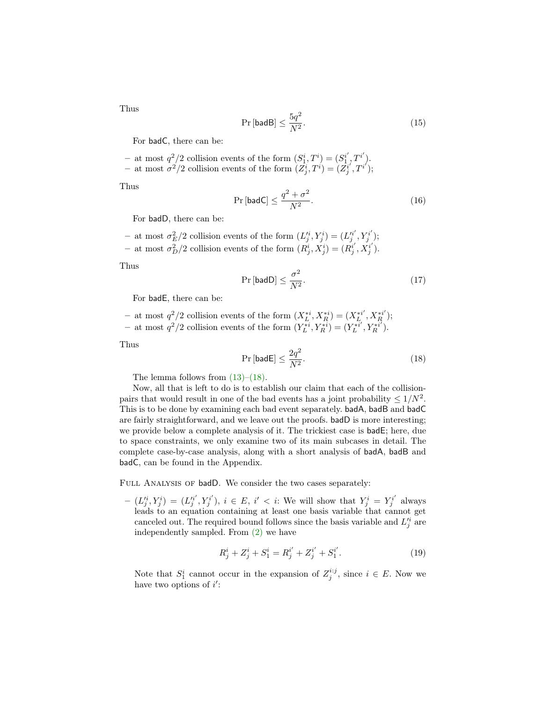Thus

$$
\Pr\left[\text{badB}\right] \le \frac{5q^2}{N^2}.\tag{15}
$$

For badC, there can be:

- at most  $q^2/2$  collision events of the form  $(S_1^i, T^i) = (S_1^{i'}, T^{i'})$ . - at most  $\sigma^2/2$  collision events of the form  $(Z_j^i, T^i) = (Z_j^{i'} , T^{i'});$ 

Thus

$$
\Pr\left[\text{badC}\right] \le \frac{q^2 + \sigma^2}{N^2}.\tag{16}
$$

For badD, there can be:

- at most  $\sigma_E^2/2$  collision events of the form  $(L_j^{i}, Y_j^{i}) = (L_j^{i'}, Y_j^{i'});$ - at most  $\sigma_D^2/2$  collision events of the form  $(R_j^i, X_j^i) = (R_j^{i'}, X_j^{i'})$ .

Thus

$$
\Pr\left[\text{badD}\right] \le \frac{\sigma^2}{N^2}.\tag{17}
$$

For badE, there can be:

− at most  $q^2/2$  collision events of the form  $(X_L^{*i}, X_R^{*i}) = (X_L^{*i'}, X_R^{*i'})$ ; − at most  $q^2/2$  collision events of the form  $(Y_L^{*i}, Y_R^{*i}) = (Y_L^{*i'}, Y_R^{*i'})$ .

Thus

<span id="page-20-0"></span>
$$
\Pr\left[\text{badE}\right] \le \frac{2q^2}{N^2}.\tag{18}
$$

The lemma follows from  $(13)$ – $(18)$ .

Now, all that is left to do is to establish our claim that each of the collisionpairs that would result in one of the bad events has a joint probability  $\leq 1/N^2$ . This is to be done by examining each bad event separately. badA, badB and badC are fairly straightforward, and we leave out the proofs. badD is more interesting; we provide below a complete analysis of it. The trickiest case is badE; here, due to space constraints, we only examine two of its main subcases in detail. The complete case-by-case analysis, along with a short analysis of badA, badB and badC, can be found in the Appendix.

FULL ANALYSIS OF badD. We consider the two cases separately:

 $(- (L_j^{i}, Y_j^{i}) = (L_j^{i'}, Y_j^{i'}), i \in E, i' < i$ : We will show that  $Y_j^{i} = Y_j^{i'}$  always leads to an equation containing at least one basis variable that cannot get canceled out. The required bound follows since the basis variable and  $L_j^i$  are independently sampled. From [\(2\)](#page-16-0) we have

<span id="page-20-1"></span>
$$
R_j^i + Z_j^i + S_1^i = R_j^{i'} + Z_j^{i'} + S_1^{i'}.
$$
\n(19)

Note that  $S_1^i$  cannot occur in the expansion of  $Z_j^{i:j}$ , since  $i \in E$ . Now we have two options of  $i'$ :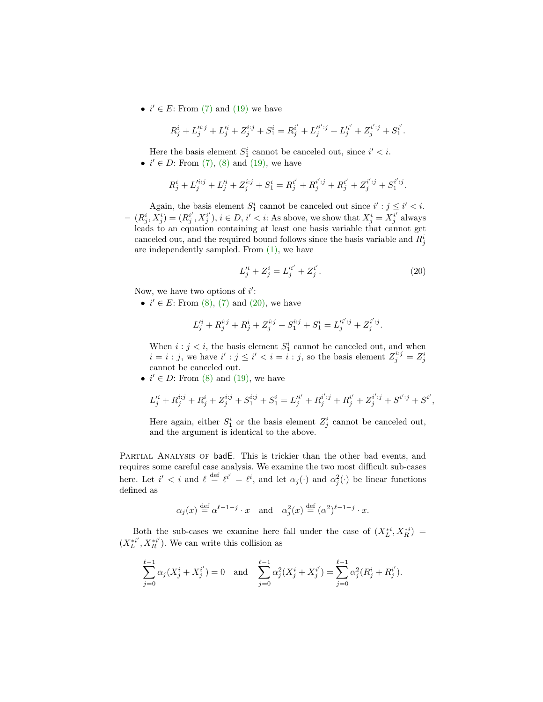•  $i' \in E$ : From [\(7\)](#page-17-0) and [\(19\)](#page-20-1) we have

$$
R_j^i + L_j^{'i:j} + L_j'^i + Z_j^{i:j} + S_1^i = R_j^{i'} + L_j'^{i':j} + L_j'^{i'} + Z_j^{i':j} + S_1^{i'}.
$$

Here the basis element  $S_1^i$  cannot be canceled out, since  $i' < i$ .

•  $i' \in D$ : From [\(7\),](#page-17-0) [\(8\)](#page-17-1) and [\(19\),](#page-20-1) we have

$$
R_j^i + L_j'^{i:j} + L_j'^i + Z_j^{i:j} + S_1^i = R_j^{i'} + R_j^{i' : j} + R_j^{i'} + Z_j^{i' : j} + S_1^{i' : j}.
$$

Again, the basis element  $S_1^i$  cannot be canceled out since  $i' : j \leq i' < i$ .  $(- (R_j^i, X_j^i) = (R_j^{i'}, X_j^{i'}), i \in D, i' < i$ : As above, we show that  $X_j^i = X_j^{i'}$  always leads to an equation containing at least one basis variable that cannot get canceled out, and the required bound follows since the basis variable and  $R_j^i$ are independently sampled. From [\(1\),](#page-16-3) we have

<span id="page-21-0"></span>
$$
L_j'^i + Z_j^i = L_j'^{i'} + Z_j^{i'}.
$$
 (20)

Now, we have two options of  $i'$ :

•  $i' \in E$ : From [\(8\),](#page-17-1) [\(7\)](#page-17-0) and [\(20\),](#page-21-0) we have

$$
L_j'^i + R_j^{i:j} + R_j^i + Z_j^{i:j} + S_1^{i:j} + S_1^i = L_j'^{i':j} + Z_j^{i':j}.
$$

When  $i : j < i$ , the basis element  $S_1^i$  cannot be canceled out, and when  $i = i : j$ , we have  $i' : j \leq i' < i = \hat{i} : j$ , so the basis element  $Z_j^{i:j} = Z_j^i$ cannot be canceled out.

•  $i' \in D$ : From [\(8\)](#page-17-1) and [\(19\),](#page-20-1) we have

$$
L_j'^i + R_j^{i:j} + R_j^i + Z_j^{i:j} + S_1^{i:j} + S_1^i = L_j'^{i'} + R_j^{i' : j} + R_j^{i'} + Z_j^{i' : j} + S^{i' : j} + S^{i'},
$$

Here again, either  $S_1^i$  or the basis element  $Z_j^i$  cannot be canceled out, and the argument is identical to the above.

Partial Analysis of badE. This is trickier than the other bad events, and requires some careful case analysis. We examine the two most difficult sub-cases here. Let  $i' < i$  and  $\ell \stackrel{\text{def}}{=} \ell^{i'} = \ell^i$ , and let  $\alpha_j(\cdot)$  and  $\alpha_j^2(\cdot)$  be linear functions defined as

$$
\alpha_j(x) \stackrel{\text{def}}{=} \alpha^{\ell-1-j} \cdot x
$$
 and  $\alpha_j^2(x) \stackrel{\text{def}}{=} (\alpha^2)^{\ell-1-j} \cdot x$ .

Both the sub-cases we examine here fall under the case of  $(X_L^{*i}, X_R^{*i})$  =  $(X_L^{*i'}, X_R^{*i'})$ . We can write this collision as

$$
\sum_{j=0}^{\ell-1} \alpha_j (X_j^i + X_j^{i'}) = 0 \text{ and } \sum_{j=0}^{\ell-1} \alpha_j^2 (X_j^i + X_j^{i'}) = \sum_{j=0}^{\ell-1} \alpha_j^2 (R_j^i + R_j^{i'}).
$$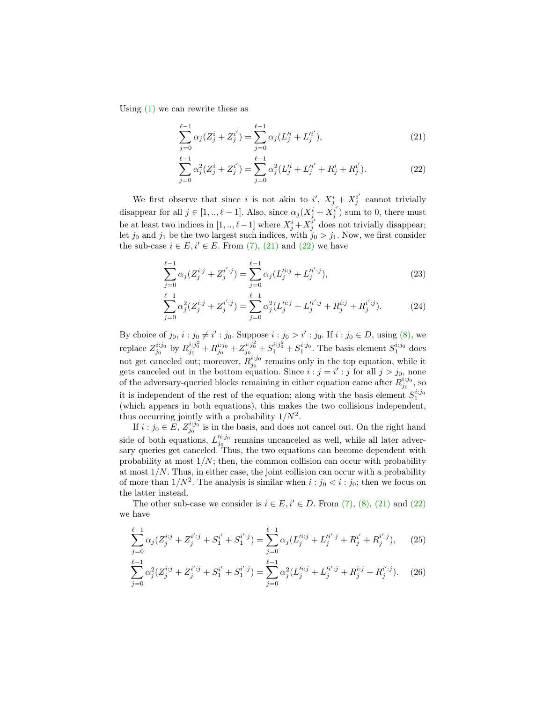Using [\(1\)](#page-16-3) we can rewrite these as

<span id="page-22-0"></span>
$$
\sum_{j=0}^{\ell-1} \alpha_j (Z_j^i + Z_j^{i'}) = \sum_{j=0}^{\ell-1} \alpha_j (L_j'^i + L_j'^{i'}),\tag{21}
$$

<span id="page-22-1"></span>
$$
\sum_{j=0}^{\ell-1} \alpha_j^2 (Z_j^i + Z_j^{i'}) = \sum_{j=0}^{\ell-1} \alpha_j^2 (L_j'^i + L_j'^{i'} + R_j^i + R_j^{i'}).
$$
 (22)

We first observe that since i is not akin to  $i'$ ,  $X_j^i + X_j^{i'}$  cannot trivially disappear for all  $j \in [1, ..., \ell - 1]$ . Also, since  $\alpha_j (X_j^i + X_j^{i'})$  sum to 0, there must be at least two indices in  $[1, ..., \ell-1]$  where  $X_j^i + X_j^{i'}$  does not trivially disappear; let  $j_0$  and  $j_1$  be the two largest such indices, with  $j_0 > j_1$ . Now, we first consider the sub-case  $i \in E$ ,  $i' \in E$ . From [\(7\),](#page-17-0) [\(21\)](#page-22-0) and [\(22\)](#page-22-1) we have

$$
\sum_{j=0}^{\ell-1} \alpha_j (Z_j^{i:j} + Z_j^{i' : j}) = \sum_{j=0}^{\ell-1} \alpha_j (L_j'^{i:j} + L_j'^{i' : j}),\tag{23}
$$

$$
\sum_{j=0}^{\ell-1} \alpha_j^2 (Z_j^{i:j} + Z_j^{i' : j}) = \sum_{j=0}^{\ell-1} \alpha_j^2 (L_j'^{i:j} + L_j'^{i' : j} + R_j^{i:j} + R_j^{i' : j}).\tag{24}
$$

By choice of  $j_0, i : j_0 \neq i' : j_0$ . Suppose  $i : j_0 > i' : j_0$ . If  $i : j_0 \in D$ , using [\(8\),](#page-17-1) we replace  $Z_{j_0}^{i:j_0}$  by  $R_{j_0}^{i:j_0^2} + R_{j_0}^{i:j_0} + Z_{j_0}^{i:j_0^2} + S_1^{i:j_0^2} + S_1^{i:j_0}$ . The basis element  $S_1^{i:j_0}$  does not get canceled out; moreover,  $R_{j_0}^{i:j_0}$  remains only in the top equation, while it gets canceled out in the bottom equation. Since  $i : j = i' : j$  for all  $j > j_0$ , none of the adversary-queried blocks remaining in either equation came after  $R_{j_0}^{i:j_0}$ , so it is independent of the rest of the equation; along with the basis element  $S_1^{i:j_0}$ (which appears in both equations), this makes the two collisions independent, thus occurring jointly with a probability  $1/N^2$ .

If  $i : j_0 \in E$ ,  $Z_{j_0}^{i:j_0}$  is in the basis, and does not cancel out. On the right hand side of both equations,  $L_{j_0}^{i,j_0}$  remains uncanceled as well, while all later adversary queries get canceled. Thus, the two equations can become dependent with probability at most  $1/N$ ; then, the common collision can occur with probability at most  $1/N$ . Thus, in either case, the joint collision can occur with a probability of more than  $1/N^2$ . The analysis is similar when  $i : j_0 < i : j_0$ ; then we focus on the latter instead.

The other sub-case we consider is  $i \in E$ ,  $i' \in D$ . From [\(7\),](#page-17-0) [\(8\),](#page-17-1) [\(21\)](#page-22-0) and [\(22\)](#page-22-1) we have

<span id="page-22-2"></span>
$$
\sum_{j=0}^{\ell-1} \alpha_j (Z_j^{i:j} + Z_j^{i' : j} + S_1^{i'} + S_1^{i' : j}) = \sum_{j=0}^{\ell-1} \alpha_j (L_j'^{i:j} + L_j'^{i' : j} + R_j^{i'} + R_j^{i' : j}), \qquad (25)
$$

<span id="page-22-3"></span>
$$
\sum_{j=0}^{\ell-1} \alpha_j^2 (Z_j^{i:j} + Z_j^{i' : j} + S_1^{i'} + S_1^{i' : j}) = \sum_{j=0}^{\ell-1} \alpha_j^2 (L_j^{i:j} + L_j^{i' : j} + R_j^{i : j} + R_j^{i' : j}).
$$
 (26)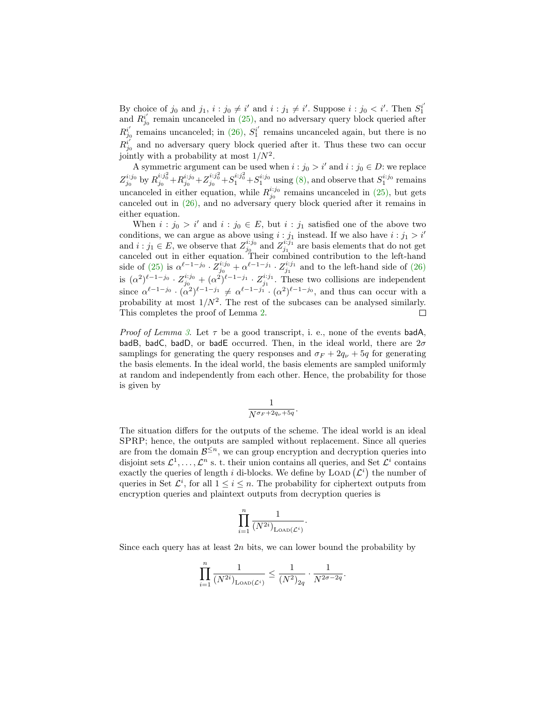By choice of  $j_0$  and  $j_1, i : j_0 \neq i'$  and  $i : j_1 \neq i'$ . Suppose  $i : j_0 < i'$ . Then  $S_1^{i'}$ and  $R_{j_0}^{i'}$  remain uncanceled in [\(25\),](#page-22-2) and no adversary query block queried after  $R_{j_0}^{i'}$  remains uncanceled; in [\(26\),](#page-22-3)  $S_1^{i'}$  remains uncanceled again, but there is no  $R_{j_0}^{i'}$  and no adversary query block queried after it. Thus these two can occur jointly with a probability at most  $1/N^2$ .

A symmetric argument can be used when  $i : j_0 > i'$  and  $i : j_0 \in D$ : we replace  $Z_{j_0}^{i:j_0}$  by  $R_{j_0}^{i:j_0^2}+R_{j_0}^{i:j_0^2}+Z_{j_0}^{i:j_0^2}+S_1^{i:j_0^2}$  using [\(8\),](#page-17-1) and observe that  $S_1^{i:j_0}$  remains uncanceled in either equation, while  $R_{j_0}^{i:j_0}$  remains uncanceled in [\(25\),](#page-22-2) but gets canceled out in [\(26\),](#page-22-3) and no adversary query block queried after it remains in either equation.

When  $i : j_0 > i'$  and  $i : j_0 \in E$ , but  $i : j_1$  satisfied one of the above two conditions, we can argue as above using  $i : j_1$  instead. If we also have  $i : j_1 > i'$ and  $i : j_1 \in E$ , we observe that  $Z_{j_0}^{i:j_0}$  and  $Z_{j_1}^{i:j_1}$  are basis elements that do not get canceled out in either equation. Their combined contribution to the left-hand side of [\(25\)](#page-22-2) is  $\alpha^{\ell-1-j_0} \cdot \bar{Z}_{j_0}^{i:j_0} + \alpha^{\ell-1-j_1} \cdot Z_{j_1}^{i:j_1}$  and to the left-hand side of [\(26\)](#page-22-3) is  $(\alpha^2)^{\ell-1-j_0} \cdot Z_{j_0}^{i:j_0} + (\alpha^2)^{\ell-1-j_1} \cdot Z_{j_1}^{i:j_1}$ . These two collisions are independent since  $\alpha^{\ell-1-j_0} \cdot (\alpha^2)^{\ell-1-j_1} \neq \alpha^{\ell-1-j_1} \cdot (\alpha^2)^{\ell-1-j_0}$ , and thus can occur with a probability at most  $1/N^2$ . The rest of the subcases can be analysed similarly. This completes the proof of Lemma [2.](#page-16-1)  $\Box$ 

*Proof of Lemma [3](#page-16-2).* Let  $\tau$  be a good transcript, i. e., none of the events badA, badB, badC, badD, or badE occurred. Then, in the ideal world, there are  $2\sigma$ samplings for generating the query responses and  $\sigma_F + 2q_\nu + 5q$  for generating the basis elements. In the ideal world, the basis elements are sampled uniformly at random and independently from each other. Hence, the probability for those is given by

$$
\frac{1}{N^{\sigma_F+2q_{\nu}+5q}}.
$$

The situation differs for the outputs of the scheme. The ideal world is an ideal SPRP; hence, the outputs are sampled without replacement. Since all queries are from the domain  $\mathcal{B}^{\leq n}$ , we can group encryption and decryption queries into disjoint sets  $\mathcal{L}^1, \ldots, \mathcal{L}^n$  s. t. their union contains all queries, and Set  $\mathcal{L}^i$  contains exactly the queries of length i di-blocks. We define by LOAD  $(\mathcal{L}^i)$  the number of queries in Set  $\mathcal{L}^i$ , for all  $1 \leq i \leq n$ . The probability for ciphertext outputs from encryption queries and plaintext outputs from decryption queries is

$$
\prod_{i=1}^n \frac{1}{(N^{2i})_{\mathrm{LOAD}(\mathcal{L}^i)}}.
$$

Since each query has at least  $2n$  bits, we can lower bound the probability by

$$
\prod_{i=1}^n \frac{1}{(N^{2i})_{\text{LOAD}}(\mathcal{L}^i)} \le \frac{1}{(N^2)_{2q}} \cdot \frac{1}{N^{2\sigma-2q}}.
$$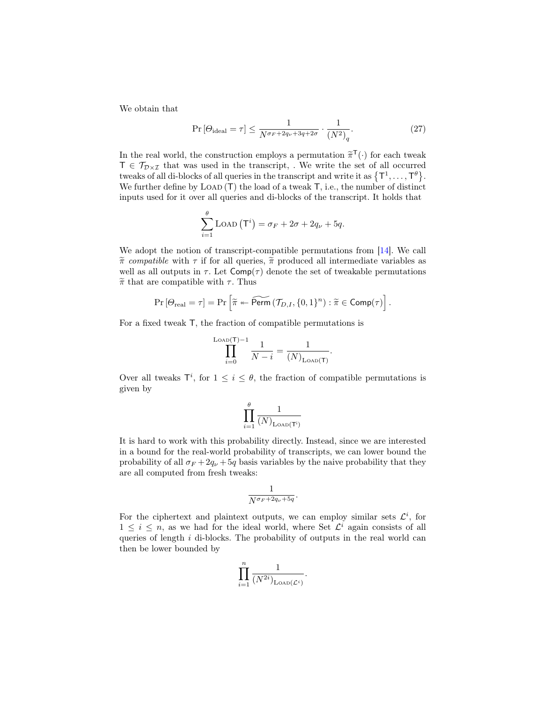We obtain that

$$
\Pr\left[\Theta_{\text{ideal}} = \tau\right] \le \frac{1}{N^{\sigma_F + 2q_\nu + 3q + 2\sigma}} \cdot \frac{1}{(N^2)_q}.\tag{27}
$$

In the real world, the construction employs a permutation  $\tilde{\pi}^{\mathsf{T}}(\cdot)$  for each tweak<br> $\mathsf{T} \in \mathcal{T}_{\text{c}}$  is that we used in the transmited We write the set of all equivarial  $T \in \mathcal{T}_{\mathcal{D}\times\mathcal{I}}$  that was used in the transcript, . We write the set of all occurred tweaks of all di-blocks of all queries in the transcript and write it as  $\{\mathsf{T}^1,\ldots,\mathsf{T}^\theta\}.$ We further define by  $\text{LOAD}(\mathsf{T})$  the load of a tweak  $\mathsf{T}$ , i.e., the number of distinct inputs used for it over all queries and di-blocks of the transcript. It holds that

$$
\sum_{i=1}^{\theta} \text{LOAD} (\mathsf{T}^i) = \sigma_F + 2\sigma + 2q_{\nu} + 5q.
$$

We adopt the notion of transcript-compatible permutations from [\[14\]](#page-31-5). We call  $\tilde{\pi}$  compatible with  $\tau$  if for all queries,  $\tilde{\pi}$  produced all intermediate variables as well as all outputs in  $\tau$ . Let  $\mathsf{Comp}(\tau)$  denote the set of tweakable permutations  $\widetilde{\pi}$  that are compatible with  $\tau$ . Thus

$$
\Pr\left[\Theta_{\text{real}} = \tau\right] = \Pr\left[\widetilde{\pi} \leftarrow \widetilde{\text{Perm}}\left(\mathcal{T}_{D,I}, \{0,1\}^n\right) : \widetilde{\pi} \in \text{Comp}(\tau)\right].
$$

For a fixed tweak T, the fraction of compatible permutations is

$$
\prod_{i=0}^{\text{load}(T)-1} \frac{1}{N-i} = \frac{1}{(N)_{\text{load}(T)}}
$$

.

Over all tweaks  $\mathsf{T}^i$ , for  $1 \leq i \leq \theta$ , the fraction of compatible permutations is given by

$$
\prod_{i=1}^{\theta} \frac{1}{(N)_{\mathrm{loadD}(\mathsf{T}^{\mathsf{i}})}}
$$

It is hard to work with this probability directly. Instead, since we are interested in a bound for the real-world probability of transcripts, we can lower bound the probability of all  $\sigma_F + 2q_\nu + 5q$  basis variables by the naive probability that they are all computed from fresh tweaks:

$$
\frac{1}{N^{\sigma_F+2q_\nu+5q}}.
$$

For the ciphertext and plaintext outputs, we can employ similar sets  $\mathcal{L}^i$ , for  $1 \leq i \leq n$ , as we had for the ideal world, where Set  $\mathcal{L}^i$  again consists of all queries of length  $i$  di-blocks. The probability of outputs in the real world can then be lower bounded by

$$
\prod_{i=1}^n\frac{1}{(N^{2i})_{\mathrm{LoAD}(\mathcal{L}^i)}}.
$$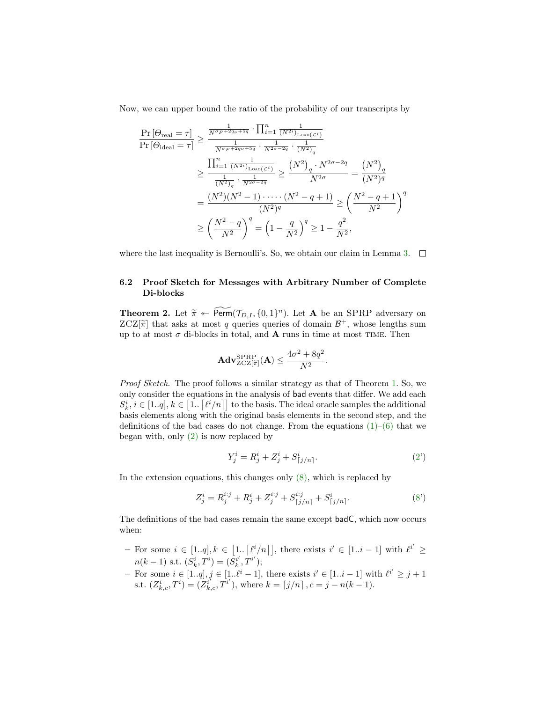Now, we can upper bound the ratio of the probability of our transcripts by

$$
\frac{\Pr\left[\Theta_{\text{real}}=\tau\right]}{\Pr\left[\Theta_{\text{ideal}}=\tau\right]} \ge \frac{\frac{1}{N^{\sigma_F+2q_{\nu}+5q}} \cdot \prod_{i=1}^{n} \frac{1}{(N^{2i})_{\text{LoAD}}(c^{i})}}{\frac{1}{N^{\sigma_F+2q_{\nu}+5q}} \cdot \frac{1}{N^{2\sigma-2q}} \cdot \frac{1}{(N^{2})_{q}}}
$$
\n
$$
\ge \frac{\prod_{i=1}^{n} \frac{1}{(N^{2i})_{\text{LoAD}}(c^{i})}}{\frac{1}{(N^{2})_{q}} \cdot \frac{1}{N^{2\sigma-2q}}} \ge \frac{(N^{2})_{q} \cdot N^{2\sigma-2q}}{N^{2\sigma}} = \frac{(N^{2})_{q}}{(N^{2})^{q}}
$$
\n
$$
= \frac{(N^{2})(N^{2}-1)\cdot\cdots\cdot(N^{2}-q+1)}{(N^{2})^{q}} \ge \left(\frac{N^{2}-q+1}{N^{2}}\right)^{q}
$$
\n
$$
\ge \left(\frac{N^{2}-q}{N^{2}}\right)^{q} = \left(1-\frac{q}{N^{2}}\right)^{q} \ge 1-\frac{q^{2}}{N^{2}},
$$

where the last inequality is Bernoulli's. So, we obtain our claim in Lemma [3.](#page-16-2)  $\Box$ 

#### 6.2 Proof Sketch for Messages with Arbitrary Number of Complete Di-blocks

<span id="page-25-0"></span>**Theorem 2.** Let  $\widetilde{\pi} \leftarrow \widetilde{\text{Perm}}(\mathcal{T}_{D,I}, \{0,1\}^n)$ . Let **A** be an SPRP adversary on  $ZCZ[\widetilde{\pi}]$  that asks at most *a* quories quories of domain  $\mathcal{B}^+$ , whose longths sum  $ZCZ[\tilde{\pi}]$  that asks at most q queries queries of domain  $\mathcal{B}^+$ , whose lengths sum up to at most  $\sigma$  di blocks in total, and  $\Lambda$  runs in time at most  $TME$ . Then up to at most  $\sigma$  di-blocks in total, and **A** runs in time at most TIME. Then

$$
\mathbf{Adv}_{\mathrm{ZCZ}[\widetilde{\pi}]}^{\mathrm{SPRP}}(\mathbf{A}) \le \frac{4\sigma^2 + 8q^2}{N^2}
$$

Proof Sketch. The proof follows a similar strategy as that of Theorem [1.](#page-15-1) So, we only consider the equations in the analysis of bad events that differ. We add each  $S_k^i, i \in [1..q], k \in [1..\lceil \ell^i/n \rceil]$  to the basis. The ideal oracle samples the additional basis elements along with the original basis elements in the second step, and the definitions of the bad cases do not change. From the equations  $(1)-(6)$  $(1)-(6)$  that we began with, only [\(2\)](#page-16-0) is now replaced by

$$
Y_j^i = R_j^i + Z_j^i + S_{[j/n]}^i.
$$
 (2')

.

In the extension equations, this changes only  $(8)$ , which is replaced by

$$
Z_j^i = R_j^{i:j} + R_j^i + Z_j^{i:j} + S_{[j/n]}^{i:j} + S_{[j/n]}^i.
$$
 (8')

The definitions of the bad cases remain the same except badC, which now occurs when:

- For some  $i \in [1..q], k \in [1.. [l^i/n]],$  there exists  $i' \in [1..i-1]$  with  $l^{i'} \geq$  $n(k-1)$  s.t.  $(S_k^i, T^i) = (S_k^{i'}, T^{i'});$
- For some  $i \in [1..q], j \in [1..l^i-1]$ , there exists  $i' \in [1..i-1]$  with  $l^{i'} \geq j+1$ s.t.  $(Z_{k,c}^i, T^i) = (Z_{k,c}^{i'} , T^{i'}),$  where  $k = [j/n], c = j - n(k-1).$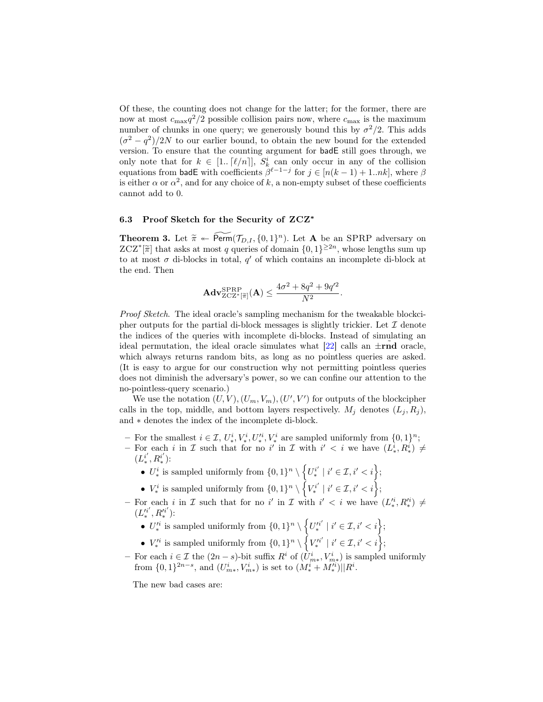Of these, the counting does not change for the latter; for the former, there are now at most  $c_{\text{max}}q^2/2$  possible collision pairs now, where  $c_{\text{max}}$  is the maximum number of chunks in one query; we generously bound this by  $\sigma^2/2$ . This adds  $(\sigma^2 - q^2)/2N$  to our earlier bound, to obtain the new bound for the extended version. To ensure that the counting argument for badE still goes through, we only note that for  $k \in [1..\lfloor \ell/n \rfloor], S_k^i$  can only occur in any of the collision equations from badE with coefficients  $\beta^{\ell-1-j}$  for  $j \in [n(k-1)+1..nk]$ , where  $\beta$ is either  $\alpha$  or  $\alpha^2$ , and for any choice of k, a non-empty subset of these coefficients cannot add to 0.

#### 6.3 Proof Sketch for the Security of ZCZ<sup>∗</sup>

<span id="page-26-0"></span>**Theorem 3.** Let  $\widetilde{\pi} \leftarrow \widetilde{\text{Perm}}(\mathcal{T}_{D,I}, \{0,1\}^n)$ . Let **A** be an SPRP adversary on  $ZCT^*$  is that asks at most a quarios of domain  $[0, 1]^{2n}$  whose langths sum up  $ZCZ^*[\tilde{\pi}]$  that asks at most q queries of domain  $\{0,1\}^{\geq 2n}$ , whose lengths sum up to at most  $\sigma$  di-blocks in total,  $q'$  of which contains an incomplete di-block at the end. Then

$$
\mathbf{Adv}_{\mathrm{ZCZ}^*[\widetilde{\pi}]}^{\mathrm{SPRP}}(\mathbf{A}) \le \frac{4\sigma^2 + 8q^2 + 9q'^2}{N^2}.
$$

Proof Sketch. The ideal oracle's sampling mechanism for the tweakable blockcipher outputs for the partial di-block messages is slightly trickier. Let  $\mathcal I$  denote the indices of the queries with incomplete di-blocks. Instead of simulating an ideal permutation, the ideal oracle simulates what  $[22]$  calls an  $\pm \text{rnd}$  oracle, which always returns random bits, as long as no pointless queries are asked. (It is easy to argue for our construction why not permitting pointless queries does not diminish the adversary's power, so we can confine our attention to the no-pointless-query scenario.)

We use the notation  $(U, V), (U_m, V_m), (U', V')$  for outputs of the blockcipher calls in the top, middle, and bottom layers respectively.  $M_i$  denotes  $(L_i, R_i)$ , and ∗ denotes the index of the incomplete di-block.

- − For the smallest  $i \in \mathcal{I}, U^i_*, V^i_*, U'^i_*, V^i_*$  are sampled uniformly from  $\{0,1\}^n$ ;
- For each i in I such that for no i' in I with  $i' < i$  we have  $(L_*^i, R_*^i) \neq$  $(L_*^{i'}, R_*^{i'})$ :
	- $U^i_*$  is sampled uniformly from  $\{0,1\}^n \setminus \{U^{i'}_* \mid i' \in \mathcal{I}, i' < i\}$ ;
	- $V^i_*$  is sampled uniformly from  $\{0,1\}^n \setminus \{V^{i'}_* \mid i' \in \mathcal{I}, i' < i\}$ ;
- − For each i in I such that for no i' in I with  $i' < i$  we have  $(L_*^{i}, R_*^{i}) \neq$  $(L'^{i'}_{*}, R'^{i'}_{*})$ :  $^*, \mathbf{n}_*$ 
	- $U_*^i$  is sampled uniformly from  $\{0,1\}^n \setminus \{U_*^{i'} \mid i' \in \mathcal{I}, i' < i\}$ ;
	- $V'^i_*$  is sampled uniformly from  $\{0,1\}^n \setminus \{V'^i_* \mid i' \in \mathcal{I}, i' < i\}$ ;
- For each  $i \in \mathcal{I}$  the  $(2n s)$ -bit suffix  $R^i$  of  $(U^i_{m*}, V^i_{m*})$  is sampled uniformly from  $\{0,1\}^{2n-s}$ , and  $(U_{m*}^i, V_{m*}^i)$  is set to  $(M_*^i + M_*^i)||R^i$ .

The new bad cases are: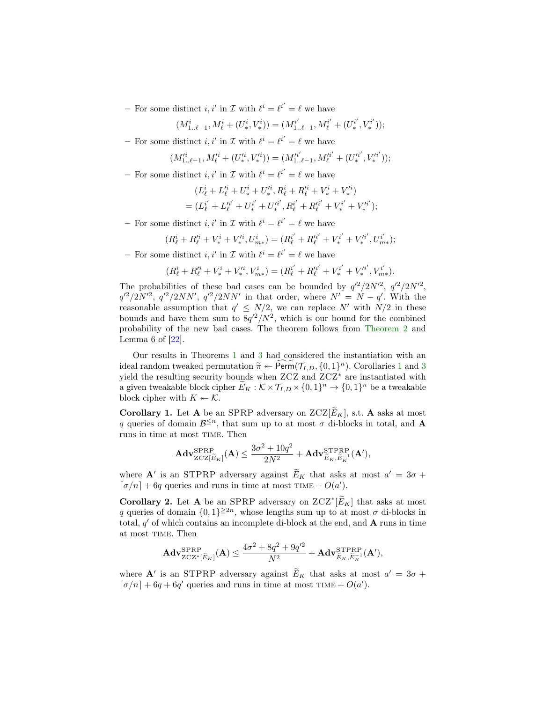- For some distinct  $i, i'$  in  $\mathcal I$  with  $\ell^i = \ell^{i'} = \ell$  we have

$$
(M^i_{1\ldots \ell-1},M^i_{\ell}+(U^i_*,V^i_*))=(M^{i'}_{1\ldots \ell-1},M^{i'}_{\ell}+(U^{i'}_*,V^{i'}_*));
$$

- For some distinct *i*, *i'* in  $\mathcal{I}$  with  $\ell^i = \ell^{i'} = \ell$  we have

$$
(M'^{i}_{1..\ell-1},M'^{i}_{\ell}+(U'^{i}_{*},V'^{i}_{*}))=(M'^{i'}_{1..\ell-1},M'^{i'}_{\ell}+(U'^{i'}_{*},V'^{i'}_{*}));
$$

- For some distinct  $i, i'$  in  $\mathcal I$  with  $\ell^i = \ell^{i'} = \ell$  we have

$$
(L^i_{\ell} + L'^i_{\ell} + U'^i_* + U'^i_* , R^i_{\ell} + R'^i_{\ell} + V'^i_* + V'^i_*)
$$
  
=  $(L^{i'}_{\ell} + L'^{i'}_{\ell} + U^{i'}_* + U'^i_* , R^{i'}_{\ell} + R'^i_{\ell} + V'^i_* + V'^i_*);$ 

- For some distinct *i*, *i'* in  $\mathcal{I}$  with  $\ell^i = \ell^{i'} = \ell$  we have

$$
(R_\ell^i+R_\ell'^i+V_*^i+V_*'^i,U_{m*}^i)=(R_\ell^{i'}+R_\ell'^{i'}+V_*^{i'}+V_*^{i'},U_{m*}^{i'});
$$

- For some distinct *i*, *i'* in  $\mathcal{I}$  with  $\ell^i = \ell^{i'} = \ell$  we have

$$
(R^i_{\ell} + R'^i_{\ell} + V^i_* + V'^i_*, V^i_{m*}) = (R^{i'}_{\ell} + R'^{i'}_{\ell} + V^{i'}_* + V'^{i'}_*, V'^i_{m*}).
$$

The probabilities of these bad cases can be bounded by  $q'^2/2N'^2$ ,  $q'^2/2N'^2$ ,  $q'^2/2N'^2$ ,  $q'^2/2NN'$ ,  $q'^2/2NN'$  in that order, where  $N' = N - q'$ . With the reasonable assumption that  $q' \leq N/2$ , we can replace N' with  $N/2$  in these bounds and have them sum to  $8q'^2/N^2$ , which is our bound for the combined probability of the new bad cases. The theorem follows from [Theorem 2](#page-25-0) and Lemma  $6$  of  $[22]$ .

Our results in Theorems [1](#page-15-1) and [3](#page-26-0) had considered the instantiation with an ideal random tweaked permutation  $\tilde{\pi} \leftarrow \text{Perm}(\mathcal{T}_{I,D}, \{0,1\}^n)$  $\tilde{\pi} \leftarrow \text{Perm}(\mathcal{T}_{I,D}, \{0,1\}^n)$  $\tilde{\pi} \leftarrow \text{Perm}(\mathcal{T}_{I,D}, \{0,1\}^n)$ . Corollaries 1 and [3](#page-26-0) vield the resulting sequrity bounds when  $ZCZ$  and  $ZCZ^*$  are instantiated with yield the resulting security bounds when ZCZ and ZCZ<sup>∗</sup> are instantiated with a given tweakable block cipher  $\widetilde{E}_K : \mathcal{K} \times \mathcal{T}_{I,D} \times \{0,1\}^n \to \{0,1\}^n$  be a tweakable block cipher with  $K \leftarrow \mathcal{K}$ .

<span id="page-27-0"></span>**Corollary 1.** Let **A** be an SPRP adversary on  $ZCZ[\widetilde{E}_K]$ , s.t. **A** asks at most q queries of domain  $\mathcal{B}^{\leq n}$ , that sum up to at most  $\sigma$  di-blocks in total, and **A** runs in time at most time. Then

$$
\mathbf{Adv}_{\mathrm{ZCZ}[\widetilde{E}_K]}^{\mathrm{SPRP}}(\mathbf{A}) \le \frac{3\sigma^2 + 10q^2}{2N^2} + \mathbf{Adv}_{\widetilde{E}_K, \widetilde{E}_K^{-1}}^{\mathrm{STPRP}}(\mathbf{A}'),
$$

where  $\mathbf{A}'$  is an STPRP adversary against  $\widetilde{E}_K$  that asks at most  $a' = 3\sigma +$  $\lceil \sigma/n \rceil + 6q$  queries and runs in time at most TIME +  $O(a')$ .

**Corollary 2.** Let **A** be an SPRP adversary on  $ZCZ^*[\widetilde{E}_K]$  that asks at most q queries of domain  $\{0,1\}^{\geq 2n}$ , whose lengths sum up to at most  $\sigma$  di-blocks in total,  $q'$  of which contains an incomplete di-block at the end, and  $A$  runs in time at most time. Then

$$
\mathbf{Adv}_{\mathrm{ZCZ}^*[\widetilde{E}_K]}^{\mathrm{SPRP}}(\mathbf{A}) \leq \frac{4\sigma^2 + 8q^2 + 9q'^2}{N^2} + \mathbf{Adv}_{\widetilde{E}_K,\widetilde{E}_K^{-1}}^{\mathrm{STPRP}}(\mathbf{A}'),
$$

where  $\mathbf{A}'$  is an STPRP adversary against  $\widetilde{E}_K$  that asks at most  $a' = 3\sigma +$  $\lceil \sigma/n \rceil + 6q + 6q'$  queries and runs in time at most TIME +  $O(a')$ .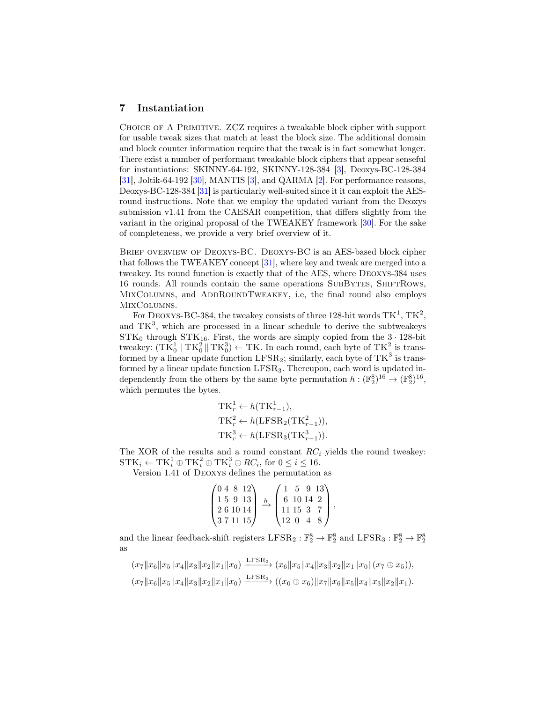# 7 Instantiation

Choice of A Primitive. ZCZ requires a tweakable block cipher with support for usable tweak sizes that match at least the block size. The additional domain and block counter information require that the tweak is in fact somewhat longer. There exist a number of performant tweakable block ciphers that appear senseful for instantiations: SKINNY-64-192, SKINNY-128-384 [\[3\]](#page-30-1), Deoxys-BC-128-384 [\[31\]](#page-32-6), Joltik-64-192 [\[30\]](#page-32-9), MANTIS [\[3\]](#page-30-1), and QARMA [\[2\]](#page-30-2). For performance reasons, Deoxys-BC-128-384 [\[31\]](#page-32-6) is particularly well-suited since it it can exploit the AESround instructions. Note that we employ the updated variant from the Deoxys submission v1.41 from the CAESAR competition, that differs slightly from the variant in the original proposal of the TWEAKEY framework [\[30\]](#page-32-9). For the sake of completeness, we provide a very brief overview of it.

BRIEF OVERVIEW OF DEOXYS-BC. DEOXYS-BC is an AES-based block cipher that follows the TWEAKEY concept [\[31\]](#page-32-6), where key and tweak are merged into a tweakey. Its round function is exactly that of the AES, where Deoxys-384 uses 16 rounds. All rounds contain the same operations SUBBYTES, SHIFTROWS, MIXCOLUMNS, and ADDROUNDTWEAKEY, i.e, the final round also employs MIXCOLUMNS.

For DEOXYS-BC-384, the tweakey consists of three 128-bit words  $TK^1$ ,  $TK^2$ , and  $TK^3$ , which are processed in a linear schedule to derive the subtweakeys  $STK_0$  through  $STK_{16}$ . First, the words are simply copied from the  $3 \cdot 128$ -bit tweakey:  $(\text{TK}_0^1 \| \text{TK}_0^2 \| \text{TK}_0^3) \leftarrow \text{TK}$ . In each round, each byte of  $\text{TK}_0^2$  is transformed by a linear update function  $LFSR<sub>2</sub>$ ; similarly, each byte of  $TK<sup>3</sup>$  is transformed by a linear update function LFSR<sub>3</sub>. Thereupon, each word is updated independently from the others by the same byte permutation  $h: (\mathbb{F}_2^8)^{16} \to (\mathbb{F}_2^8)^{16}$ , which permutes the bytes.

$$
TK_r^1 \leftarrow h(TK_{r-1}^1),
$$
  
\n
$$
TK_r^2 \leftarrow h(LFSR_2(TK_{r-1}^2)),
$$
  
\n
$$
TK_r^3 \leftarrow h(LFSR_3(TK_{r-1}^3)).
$$

The XOR of the results and a round constant  $RC_i$  yields the round tweakey:  $\text{STK}_i \leftarrow \text{TK}_i^1 \oplus \text{TK}_i^2 \oplus \text{TK}_i^3 \oplus RC_i$ , for  $0 \le i \le 16$ .

Version 1.41 of Deoxys defines the permutation as

$$
\begin{pmatrix} 0 & 4 & 8 & 12 \\ 1 & 5 & 9 & 13 \\ 2 & 6 & 10 & 14 \\ 3 & 7 & 11 & 15 \end{pmatrix} \xrightarrow{h} \begin{pmatrix} 1 & 5 & 9 & 13 \\ 6 & 10 & 14 & 2 \\ 11 & 15 & 3 & 7 \\ 12 & 0 & 4 & 8 \end{pmatrix},
$$

and the linear feedback-shift registers  $LFSR_2 : \mathbb{F}_2^8 \to \mathbb{F}_2^8$  and  $LFSR_3 : \mathbb{F}_2^8 \to \mathbb{F}_2^8$ as

$$
(x_7||x_6||x_5||x_4||x_3||x_2||x_1||x_0) \xrightarrow{\text{LFSR}_2} (x_6||x_5||x_4||x_3||x_2||x_1||x_0||(x_7 \oplus x_5)),
$$
  

$$
(x_7||x_6||x_5||x_4||x_3||x_2||x_1||x_0) \xrightarrow{\text{LFSR}_3} ((x_0 \oplus x_6)||x_7||x_6||x_5||x_4||x_3||x_2||x_1).
$$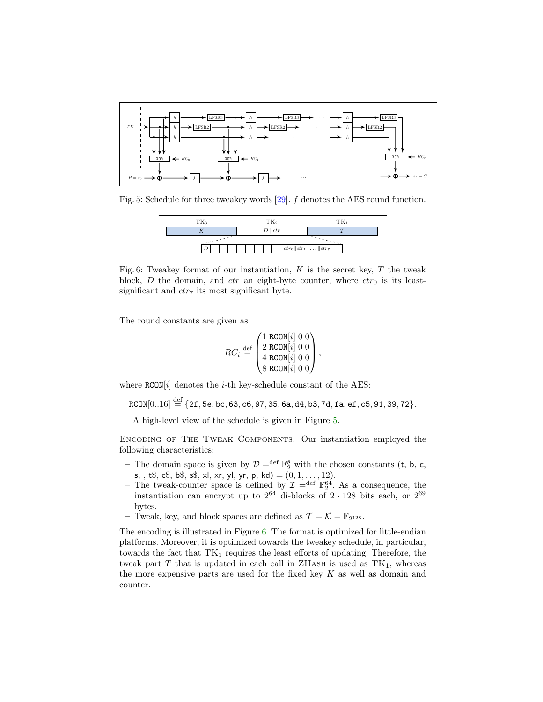<span id="page-29-0"></span>

<span id="page-29-1"></span>Fig. 5: Schedule for three tweakey words  $[29]$ .  $f$  denotes the AES round function.

| TK <sub>3</sub> | $TK_2$            | $TK_1$                         |  |
|-----------------|-------------------|--------------------------------|--|
|                 | $D \parallel ctr$ |                                |  |
|                 |                   |                                |  |
|                 |                   | $ctr_0  ctr_1   \dots   ctr_7$ |  |

Fig. 6: Tweakey format of our instantiation,  $K$  is the secret key,  $T$  the tweak block, D the domain, and ctr an eight-byte counter, where  $ctr_0$  is its leastsignificant and  $ctr<sub>7</sub>$  its most significant byte.

The round constants are given as

$$
RC_i \stackrel{\text{def}}{=} \begin{pmatrix} 1 \text{ RCON}[i] & 0 & 0 \\ 2 \text{ RCON}[i] & 0 & 0 \\ 4 \text{ RCON}[i] & 0 & 0 \\ 8 \text{ RCON}[i] & 0 & 0 \end{pmatrix},
$$

where  $RCON[i]$  denotes the *i*-th key-schedule constant of the AES:

 $RCON[0..16] \stackrel{\text{def}}{=} \{2f, 5e, bc, 63, c6, 97, 35, 6a, d4, b3, 7d, fa, ef, c5, 91, 39, 72\}.$ 

A high-level view of the schedule is given in Figure [5.](#page-29-0)

Encoding of The Tweak Components. Our instantiation employed the following characteristics:

- The domain space is given by  $\mathcal{D} =$ <sup>def</sup>  $\mathbb{F}_2^8$  with the chosen constants (t, b, c, s, , t\$, c\$, b\$, s\$, xl, xr, yl, yr, p, kd) =  $(0, 1, \ldots, 12)$ .
- The tweak-counter space is defined by  $\mathcal{I} =$ <sup>def</sup>  $\mathbb{F}_2^{64}$ . As a consequence, the instantiation can encrypt up to  $2^{64}$  di-blocks of  $2 \cdot 128$  bits each, or  $2^{69}$ bytes.
- Tweak, key, and block spaces are defined as  $\mathcal{T} = \mathcal{K} = \mathbb{F}_{2^{128}}$ .

The encoding is illustrated in Figure [6.](#page-29-1) The format is optimized for little-endian platforms. Moreover, it is optimized towards the tweakey schedule, in particular, towards the fact that  $TK_1$  requires the least efforts of updating. Therefore, the tweak part T that is updated in each call in ZHASH is used as  $TK_1$ , whereas the more expensive parts are used for the fixed key  $K$  as well as domain and counter.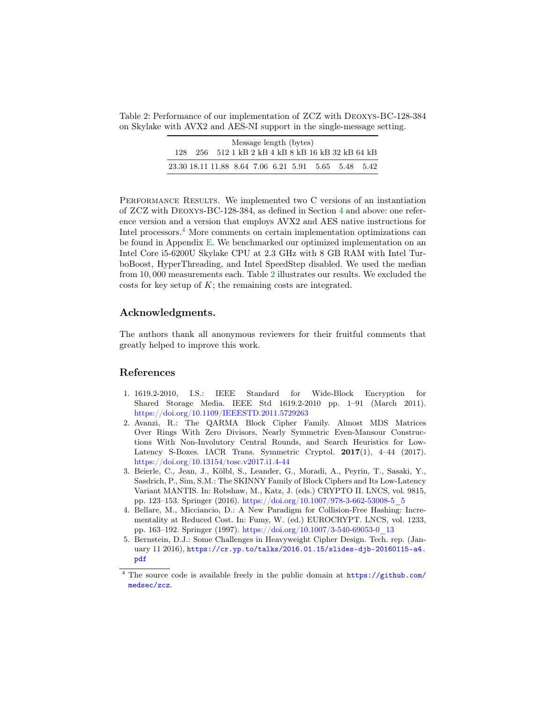<span id="page-30-4"></span>Table 2: Performance of our implementation of ZCZ with Deoxys-BC-128-384 on Skylake with AVX2 and AES-NI support in the single-message setting.

| Message length (bytes) |  |  |  |  |  |  |  |                                                      |
|------------------------|--|--|--|--|--|--|--|------------------------------------------------------|
|                        |  |  |  |  |  |  |  | 128 256 512 1 kB 2 kB 4 kB 8 kB 16 kB 32 kB 64 kB    |
|                        |  |  |  |  |  |  |  | 23.30 18.11 11.88 8.64 7.06 6.21 5.91 5.65 5.48 5.42 |

PERFORMANCE RESULTS. We implemented two C versions of an instantiation of ZCZ with Deoxys-BC-128-384, as defined in Section [4](#page-9-0) and above: one reference version and a version that employs AVX2 and AES native instructions for Intel processors.<sup>[4](#page-30-3)</sup> More comments on certain implementation optimizations can be found in Appendix [E.](#page-43-0) We benchmarked our optimized implementation on an Intel Core i5-6200U Skylake CPU at 2.3 GHz with 8 GB RAM with Intel TurboBoost, HyperThreading, and Intel SpeedStep disabled. We used the median from 10, 000 measurements each. Table [2](#page-30-4) illustrates our results. We excluded the costs for key setup of K; the remaining costs are integrated.

# Acknowledgments.

The authors thank all anonymous reviewers for their fruitful comments that greatly helped to improve this work.

## References

- <span id="page-30-5"></span>1. 1619.2-2010, I.S.: IEEE Standard for Wide-Block Encryption for Shared Storage Media. IEEE Std 1619.2-2010 pp. 1–91 (March 2011). <https://doi.org/10.1109/IEEESTD.2011.5729263>
- <span id="page-30-2"></span>2. Avanzi, R.: The QARMA Block Cipher Family. Almost MDS Matrices Over Rings With Zero Divisors, Nearly Symmetric Even-Mansour Constructions With Non-Involutory Central Rounds, and Search Heuristics for Low-Latency S-Boxes. IACR Trans. Symmetric Cryptol. 2017(1), 4-44 (2017). <https://doi.org/10.13154/tosc.v2017.i1.4-44>
- <span id="page-30-1"></span>3. Beierle, C., Jean, J., Kölbl, S., Leander, G., Moradi, A., Peyrin, T., Sasaki, Y., Sasdrich, P., Sim, S.M.: The SKINNY Family of Block Ciphers and Its Low-Latency Variant MANTIS. In: Robshaw, M., Katz, J. (eds.) CRYPTO II. LNCS, vol. 9815, pp. 123–153. Springer (2016). [https://doi.org/10.1007/978-3-662-53008-5\\_5](https://doi.org/10.1007/978-3-662-53008-5_5)
- <span id="page-30-6"></span>4. Bellare, M., Micciancio, D.: A New Paradigm for Collision-Free Hashing: Incrementality at Reduced Cost. In: Fumy, W. (ed.) EUROCRYPT. LNCS, vol. 1233, pp. 163–192. Springer (1997). [https://doi.org/10.1007/3-540-69053-0\\_13](https://doi.org/10.1007/3-540-69053-0_13)
- <span id="page-30-0"></span>5. Bernstein, D.J.: Some Challenges in Heavyweight Cipher Design. Tech. rep. (January 11 2016), [https://cr.yp.to/talks/2016.01.15/slides-djb-20160115-a4.](https://cr.yp.to/talks/2016.01.15/slides-djb-20160115-a4.pdf) [pdf](https://cr.yp.to/talks/2016.01.15/slides-djb-20160115-a4.pdf)

<span id="page-30-3"></span><sup>&</sup>lt;sup>4</sup> The source code is available freely in the public domain at [https://github.com/](https://github.com/medsec/zcz) [medsec/zcz](https://github.com/medsec/zcz).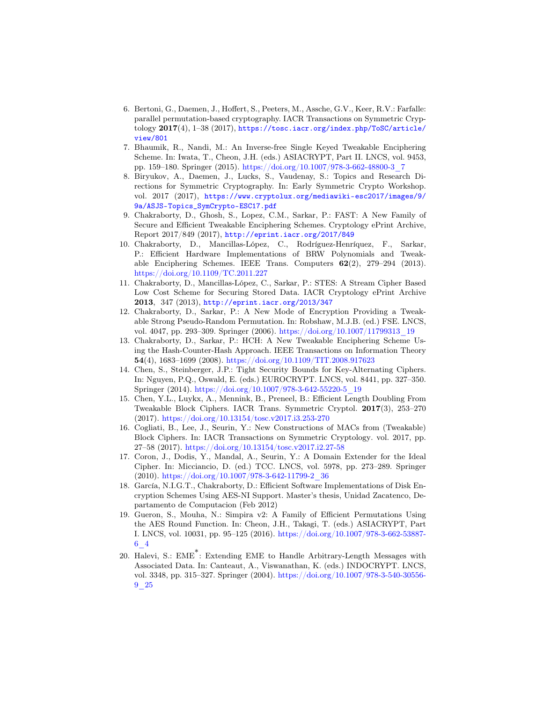- <span id="page-31-2"></span>6. Bertoni, G., Daemen, J., Hoffert, S., Peeters, M., Assche, G.V., Keer, R.V.: Farfalle: parallel permutation-based cryptography. IACR Transactions on Symmetric Cryptology  $2017(4)$ , 1–38 (2017), [https://tosc.iacr.org/index.php/ToSC/article/](https://tosc.iacr.org/index.php/ToSC/article/view/801) [view/801](https://tosc.iacr.org/index.php/ToSC/article/view/801)
- <span id="page-31-8"></span>7. Bhaumik, R., Nandi, M.: An Inverse-free Single Keyed Tweakable Enciphering Scheme. In: Iwata, T., Cheon, J.H. (eds.) ASIACRYPT, Part II. LNCS, vol. 9453, pp. 159–180. Springer (2015). [https://doi.org/10.1007/978-3-662-48800-3\\_7](https://doi.org/10.1007/978-3-662-48800-3_7)
- <span id="page-31-0"></span>8. Biryukov, A., Daemen, J., Lucks, S., Vaudenay, S.: Topics and Research Directions for Symmetric Cryptography. In: Early Symmetric Crypto Workshop. vol. 2017 (2017), [https://www.cryptolux.org/mediawiki-esc2017/images/9/](https://www.cryptolux.org/mediawiki-esc2017/images/9/9a/ASJS-Topics_SymCrypto-ESC17.pdf) [9a/ASJS-Topics\\_SymCrypto-ESC17.pdf](https://www.cryptolux.org/mediawiki-esc2017/images/9/9a/ASJS-Topics_SymCrypto-ESC17.pdf)
- <span id="page-31-13"></span>9. Chakraborty, D., Ghosh, S., Lopez, C.M., Sarkar, P.: FAST: A New Family of Secure and Efficient Tweakable Enciphering Schemes. Cryptology ePrint Archive, Report 2017/849 (2017), <http://eprint.iacr.org/2017/849>
- <span id="page-31-11"></span>10. Chakraborty, D., Mancillas-López, C., Rodríguez-Henríquez, F., Sarkar, P.: Efficient Hardware Implementations of BRW Polynomials and Tweakable Enciphering Schemes. IEEE Trans. Computers 62(2), 279–294 (2013). <https://doi.org/10.1109/TC.2011.227>
- <span id="page-31-14"></span>11. Chakraborty, D., Mancillas-López, C., Sarkar, P.: STES: A Stream Cipher Based Low Cost Scheme for Securing Stored Data. IACR Cryptology ePrint Archive 2013, 347 (2013), <http://eprint.iacr.org/2013/347>
- <span id="page-31-9"></span>12. Chakraborty, D., Sarkar, P.: A New Mode of Encryption Providing a Tweakable Strong Pseudo-Random Permutation. In: Robshaw, M.J.B. (ed.) FSE. LNCS, vol. 4047, pp. 293–309. Springer (2006). [https://doi.org/10.1007/11799313\\_19](https://doi.org/10.1007/11799313_19)
- <span id="page-31-10"></span>13. Chakraborty, D., Sarkar, P.: HCH: A New Tweakable Enciphering Scheme Using the Hash-Counter-Hash Approach. IEEE Transactions on Information Theory 54(4), 1683–1699 (2008). <https://doi.org/10.1109/TIT.2008.917623>
- <span id="page-31-5"></span>14. Chen, S., Steinberger, J.P.: Tight Security Bounds for Key-Alternating Ciphers. In: Nguyen, P.Q., Oswald, E. (eds.) EUROCRYPT. LNCS, vol. 8441, pp. 327–350. Springer (2014). [https://doi.org/10.1007/978-3-642-55220-5\\_19](https://doi.org/10.1007/978-3-642-55220-5_19)
- <span id="page-31-6"></span>15. Chen, Y.L., Luykx, A., Mennink, B., Preneel, B.: Efficient Length Doubling From Tweakable Block Ciphers. IACR Trans. Symmetric Cryptol. 2017(3), 253–270 (2017). <https://doi.org/10.13154/tosc.v2017.i3.253-270>
- <span id="page-31-4"></span>16. Cogliati, B., Lee, J., Seurin, Y.: New Constructions of MACs from (Tweakable) Block Ciphers. In: IACR Transactions on Symmetric Cryptology. vol. 2017, pp. 27–58 (2017). <https://doi.org/10.13154/tosc.v2017.i2.27-58>
- <span id="page-31-1"></span>17. Coron, J., Dodis, Y., Mandal, A., Seurin, Y.: A Domain Extender for the Ideal Cipher. In: Micciancio, D. (ed.) TCC. LNCS, vol. 5978, pp. 273–289. Springer (2010). [https://doi.org/10.1007/978-3-642-11799-2\\_36](https://doi.org/10.1007/978-3-642-11799-2_36)
- <span id="page-31-12"></span>18. García, N.I.G.T., Chakraborty, D.: Efficient Software Implementations of Disk Encryption Schemes Using AES-NI Support. Master's thesis, Unidad Zacatenco, Departamento de Computacion (Feb 2012)
- <span id="page-31-3"></span>19. Gueron, S., Mouha, N.: Simpira v2: A Family of Efficient Permutations Using the AES Round Function. In: Cheon, J.H., Takagi, T. (eds.) ASIACRYPT, Part I. LNCS, vol. 10031, pp. 95–125 (2016). [https://doi.org/10.1007/978-3-662-53887-](https://doi.org/10.1007/978-3-662-53887-6_4) [6\\_4](https://doi.org/10.1007/978-3-662-53887-6_4)
- <span id="page-31-7"></span>20. Halevi, S.: EME\* : Extending EME to Handle Arbitrary-Length Messages with Associated Data. In: Canteaut, A., Viswanathan, K. (eds.) INDOCRYPT. LNCS, vol. 3348, pp. 315–327. Springer (2004). [https://doi.org/10.1007/978-3-540-30556-](https://doi.org/10.1007/978-3-540-30556-9_25) [9\\_25](https://doi.org/10.1007/978-3-540-30556-9_25)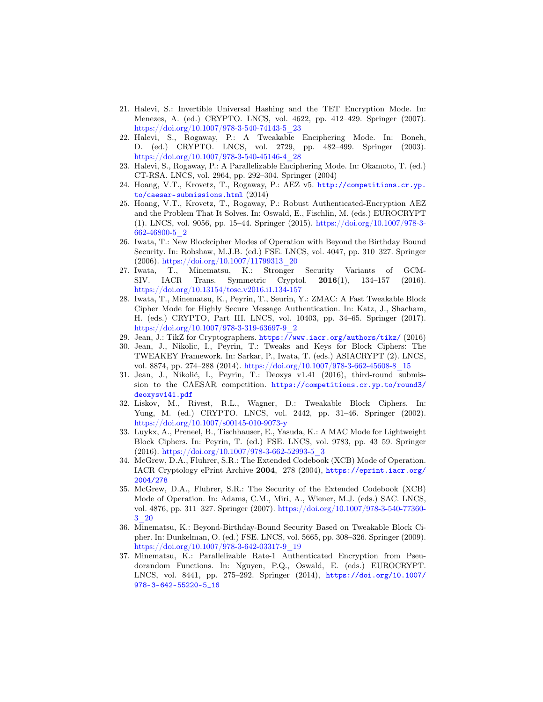- <span id="page-32-14"></span>21. Halevi, S.: Invertible Universal Hashing and the TET Encryption Mode. In: Menezes, A. (ed.) CRYPTO. LNCS, vol. 4622, pp. 412–429. Springer (2007). [https://doi.org/10.1007/978-3-540-74143-5\\_23](https://doi.org/10.1007/978-3-540-74143-5_23)
- <span id="page-32-10"></span>22. Halevi, S., Rogaway, P.: A Tweakable Enciphering Mode. In: Boneh, D. (ed.) CRYPTO. LNCS, vol. 2729, pp. 482–499. Springer (2003). [https://doi.org/10.1007/978-3-540-45146-4\\_28](https://doi.org/10.1007/978-3-540-45146-4_28)
- <span id="page-32-12"></span>23. Halevi, S., Rogaway, P.: A Parallelizable Enciphering Mode. In: Okamoto, T. (ed.) CT-RSA. LNCS, vol. 2964, pp. 292–304. Springer (2004)
- <span id="page-32-13"></span>24. Hoang, V.T., Krovetz, T., Rogaway, P.: AEZ v5. [http://competitions.cr.yp.](http://competitions.cr.yp.to/caesar-submissions.html) [to/caesar-submissions.html](http://competitions.cr.yp.to/caesar-submissions.html) (2014)
- <span id="page-32-0"></span>25. Hoang, V.T., Krovetz, T., Rogaway, P.: Robust Authenticated-Encryption AEZ and the Problem That It Solves. In: Oswald, E., Fischlin, M. (eds.) EUROCRYPT (1). LNCS, vol. 9056, pp. 15–44. Springer (2015). [https://doi.org/10.1007/978-3-](https://doi.org/10.1007/978-3-662-46800-5_2) [662-46800-5\\_2](https://doi.org/10.1007/978-3-662-46800-5_2)
- <span id="page-32-2"></span>26. Iwata, T.: New Blockcipher Modes of Operation with Beyond the Birthday Bound Security. In: Robshaw, M.J.B. (ed.) FSE. LNCS, vol. 4047, pp. 310–327. Springer  $(2006)$ . [https://doi.org/10.1007/11799313\\_20](https://doi.org/10.1007/11799313_20)
- <span id="page-32-3"></span>27. Iwata, T., Minematsu, K.: Stronger Security Variants of GCM-SIV. IACR Trans. Symmetric Cryptol. 2016(1), 134–157 (2016). <https://doi.org/10.13154/tosc.v2016.i1.134-157>
- <span id="page-32-5"></span>28. Iwata, T., Minematsu, K., Peyrin, T., Seurin, Y.: ZMAC: A Fast Tweakable Block Cipher Mode for Highly Secure Message Authentication. In: Katz, J., Shacham, H. (eds.) CRYPTO, Part III. LNCS, vol. 10403, pp. 34–65. Springer (2017). [https://doi.org/10.1007/978-3-319-63697-9\\_2](https://doi.org/10.1007/978-3-319-63697-9_2)
- <span id="page-32-11"></span>29. Jean, J.: TikZ for Cryptographers. <https://www.iacr.org/authors/tikz/> (2016)
- <span id="page-32-9"></span>30. Jean, J., Nikolic, I., Peyrin, T.: Tweaks and Keys for Block Ciphers: The TWEAKEY Framework. In: Sarkar, P., Iwata, T. (eds.) ASIACRYPT (2). LNCS, vol. 8874, pp. 274–288 (2014). [https://doi.org/10.1007/978-3-662-45608-8\\_15](https://doi.org/10.1007/978-3-662-45608-8_15)
- <span id="page-32-6"></span>31. Jean, J., Nikolić, I., Peyrin, T.: Deoxys v1.41 (2016), third-round submission to the CAESAR competition. [https://competitions.cr.yp.to/round3/](https://competitions.cr.yp.to/round3/deoxysv141.pdf) [deoxysv141.pdf](https://competitions.cr.yp.to/round3/deoxysv141.pdf)
- <span id="page-32-4"></span>32. Liskov, M., Rivest, R.L., Wagner, D.: Tweakable Block Ciphers. In: Yung, M. (ed.) CRYPTO. LNCS, vol. 2442, pp. 31–46. Springer (2002). <https://doi.org/10.1007/s00145-010-9073-y>
- <span id="page-32-1"></span>33. Luykx, A., Preneel, B., Tischhauser, E., Yasuda, K.: A MAC Mode for Lightweight Block Ciphers. In: Peyrin, T. (ed.) FSE. LNCS, vol. 9783, pp. 43–59. Springer  $(2016)$ . [https://doi.org/10.1007/978-3-662-52993-5\\_3](https://doi.org/10.1007/978-3-662-52993-5_3)
- <span id="page-32-15"></span>34. McGrew, D.A., Fluhrer, S.R.: The Extended Codebook (XCB) Mode of Operation. IACR Cryptology ePrint Archive 2004, 278 (2004), [https://eprint.iacr.org/](https://eprint.iacr.org/2004/278) [2004/278](https://eprint.iacr.org/2004/278)
- <span id="page-32-16"></span>35. McGrew, D.A., Fluhrer, S.R.: The Security of the Extended Codebook (XCB) Mode of Operation. In: Adams, C.M., Miri, A., Wiener, M.J. (eds.) SAC. LNCS, vol. 4876, pp. 311–327. Springer (2007). [https://doi.org/10.1007/978-3-540-77360-](https://doi.org/10.1007/978-3-540-77360-3_20) [3\\_20](https://doi.org/10.1007/978-3-540-77360-3_20)
- <span id="page-32-8"></span>36. Minematsu, K.: Beyond-Birthday-Bound Security Based on Tweakable Block Cipher. In: Dunkelman, O. (ed.) FSE. LNCS, vol. 5665, pp. 308–326. Springer (2009). [https://doi.org/10.1007/978-3-642-03317-9\\_19](https://doi.org/10.1007/978-3-642-03317-9_19)
- <span id="page-32-7"></span>37. Minematsu, K.: Parallelizable Rate-1 Authenticated Encryption from Pseudorandom Functions. In: Nguyen, P.Q., Oswald, E. (eds.) EUROCRYPT. LNCS, vol. 8441, pp. 275–292. Springer (2014), [https://doi.org/10.1007/](https://doi.org/10.1007/978-3-642-55220-5_16) [978-3-642-55220-5\\_16](https://doi.org/10.1007/978-3-642-55220-5_16)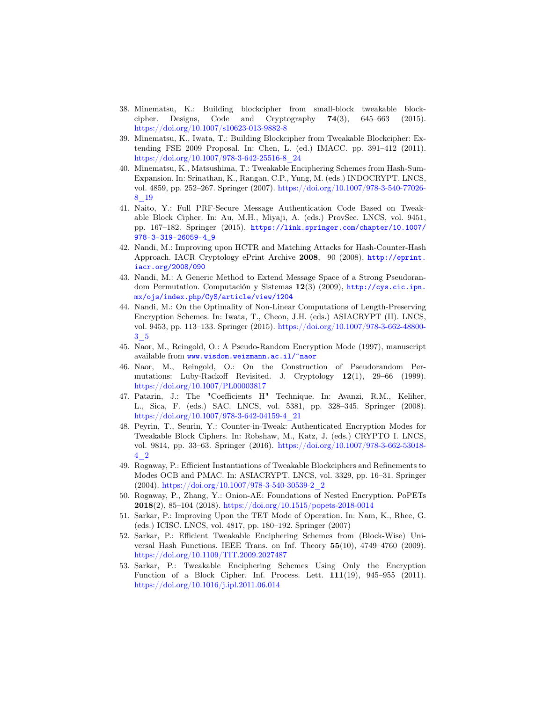- <span id="page-33-5"></span>38. Minematsu, K.: Building blockcipher from small-block tweakable blockcipher. Designs, Code and Cryptography  $74(3)$ ,  $645-663$  (2015). <https://doi.org/10.1007/s10623-013-9882-8>
- <span id="page-33-2"></span>39. Minematsu, K., Iwata, T.: Building Blockcipher from Tweakable Blockcipher: Extending FSE 2009 Proposal. In: Chen, L. (ed.) IMACC. pp. 391–412 (2011). [https://doi.org/10.1007/978-3-642-25516-8\\_24](https://doi.org/10.1007/978-3-642-25516-8_24)
- <span id="page-33-13"></span>40. Minematsu, K., Matsushima, T.: Tweakable Enciphering Schemes from Hash-Sum-Expansion. In: Srinathan, K., Rangan, C.P., Yung, M. (eds.) INDOCRYPT. LNCS, vol. 4859, pp. 252–267. Springer (2007). [https://doi.org/10.1007/978-3-540-77026-](https://doi.org/10.1007/978-3-540-77026-8_19) [8\\_19](https://doi.org/10.1007/978-3-540-77026-8_19)
- <span id="page-33-3"></span>41. Naito, Y.: Full PRF-Secure Message Authentication Code Based on Tweakable Block Cipher. In: Au, M.H., Miyaji, A. (eds.) ProvSec. LNCS, vol. 9451, pp. 167–182. Springer (2015), [https://link.springer.com/chapter/10.1007/](https://link.springer.com/chapter/10.1007/978-3-319-26059-4_9) [978-3-319-26059-4\\_9](https://link.springer.com/chapter/10.1007/978-3-319-26059-4_9)
- <span id="page-33-12"></span>42. Nandi, M.: Improving upon HCTR and Matching Attacks for Hash-Counter-Hash Approach. IACR Cryptology ePrint Archive 2008, 90 (2008), [http://eprint.](http://eprint.iacr.org/2008/090) [iacr.org/2008/090](http://eprint.iacr.org/2008/090)
- <span id="page-33-8"></span>43. Nandi, M.: A Generic Method to Extend Message Space of a Strong Pseudorandom Permutation. Computación y Sistemas 12(3) (2009), [http://cys.cic.ipn.](http://cys.cic.ipn.mx/ojs/index.php/CyS/article/view/1204) [mx/ojs/index.php/CyS/article/view/1204](http://cys.cic.ipn.mx/ojs/index.php/CyS/article/view/1204)
- <span id="page-33-6"></span>44. Nandi, M.: On the Optimality of Non-Linear Computations of Length-Preserving Encryption Schemes. In: Iwata, T., Cheon, J.H. (eds.) ASIACRYPT (II). LNCS, vol. 9453, pp. 113–133. Springer (2015). [https://doi.org/10.1007/978-3-662-48800-](https://doi.org/10.1007/978-3-662-48800-3_5) [3\\_5](https://doi.org/10.1007/978-3-662-48800-3_5)
- <span id="page-33-10"></span>45. Naor, M., Reingold, O.: A Pseudo-Random Encryption Mode (1997), manuscript available from <www.wisdom.weizmann.ac.il/~naor>
- <span id="page-33-9"></span>46. Naor, M., Reingold, O.: On the Construction of Pseudorandom Permutations: Luby-Rackoff Revisited. J. Cryptology 12(1), 29–66 (1999). <https://doi.org/10.1007/PL00003817>
- <span id="page-33-7"></span>47. Patarin, J.: The "Coefficients H" Technique. In: Avanzi, R.M., Keliher, L., Sica, F. (eds.) SAC. LNCS, vol. 5381, pp. 328–345. Springer (2008). [https://doi.org/10.1007/978-3-642-04159-4\\_21](https://doi.org/10.1007/978-3-642-04159-4_21)
- <span id="page-33-1"></span>48. Peyrin, T., Seurin, Y.: Counter-in-Tweak: Authenticated Encryption Modes for Tweakable Block Ciphers. In: Robshaw, M., Katz, J. (eds.) CRYPTO I. LNCS, vol. 9814, pp. 33–63. Springer (2016). [https://doi.org/10.1007/978-3-662-53018-](https://doi.org/10.1007/978-3-662-53018-4_2) [4\\_2](https://doi.org/10.1007/978-3-662-53018-4_2)
- <span id="page-33-4"></span>49. Rogaway, P.: Efficient Instantiations of Tweakable Blockciphers and Refinements to Modes OCB and PMAC. In: ASIACRYPT. LNCS, vol. 3329, pp. 16–31. Springer  $(2004)$ . [https://doi.org/10.1007/978-3-540-30539-2\\_2](https://doi.org/10.1007/978-3-540-30539-2_2)
- <span id="page-33-0"></span>50. Rogaway, P., Zhang, Y.: Onion-AE: Foundations of Nested Encryption. PoPETs 2018(2), 85–104 (2018). <https://doi.org/10.1515/popets-2018-0014>
- <span id="page-33-11"></span>51. Sarkar, P.: Improving Upon the TET Mode of Operation. In: Nam, K., Rhee, G. (eds.) ICISC. LNCS, vol. 4817, pp. 180–192. Springer (2007)
- <span id="page-33-14"></span>52. Sarkar, P.: Efficient Tweakable Enciphering Schemes from (Block-Wise) Universal Hash Functions. IEEE Trans. on Inf. Theory 55(10), 4749–4760 (2009). <https://doi.org/10.1109/TIT.2009.2027487>
- <span id="page-33-15"></span>53. Sarkar, P.: Tweakable Enciphering Schemes Using Only the Encryption Function of a Block Cipher. Inf. Process. Lett. 111(19), 945–955 (2011). <https://doi.org/10.1016/j.ipl.2011.06.014>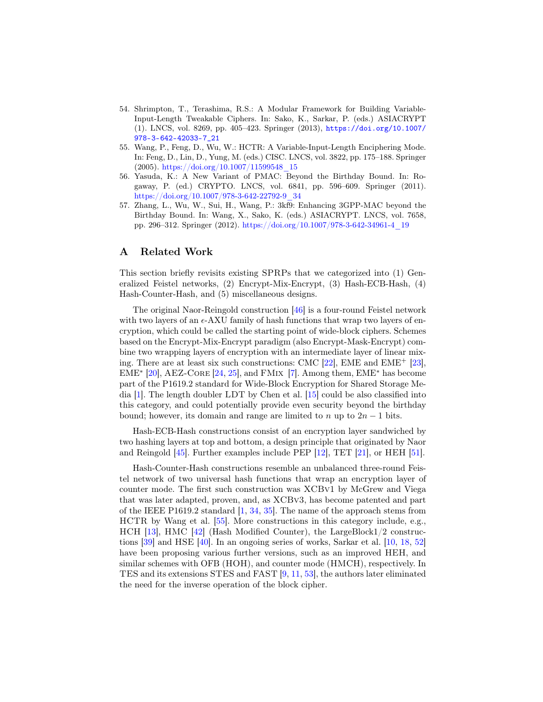- <span id="page-34-0"></span>54. Shrimpton, T., Terashima, R.S.: A Modular Framework for Building Variable-Input-Length Tweakable Ciphers. In: Sako, K., Sarkar, P. (eds.) ASIACRYPT (1). LNCS, vol. 8269, pp. 405–423. Springer (2013), [https://doi.org/10.1007/](https://doi.org/10.1007/978-3-642-42033-7_21) [978-3-642-42033-7\\_21](https://doi.org/10.1007/978-3-642-42033-7_21)
- <span id="page-34-3"></span>55. Wang, P., Feng, D., Wu, W.: HCTR: A Variable-Input-Length Enciphering Mode. In: Feng, D., Lin, D., Yung, M. (eds.) CISC. LNCS, vol. 3822, pp. 175–188. Springer (2005). [https://doi.org/10.1007/11599548\\_15](https://doi.org/10.1007/11599548_15)
- <span id="page-34-1"></span>56. Yasuda, K.: A New Variant of PMAC: Beyond the Birthday Bound. In: Rogaway, P. (ed.) CRYPTO. LNCS, vol. 6841, pp. 596–609. Springer (2011). [https://doi.org/10.1007/978-3-642-22792-9\\_34](https://doi.org/10.1007/978-3-642-22792-9_34)
- <span id="page-34-2"></span>57. Zhang, L., Wu, W., Sui, H., Wang, P.: 3kf9: Enhancing 3GPP-MAC beyond the Birthday Bound. In: Wang, X., Sako, K. (eds.) ASIACRYPT. LNCS, vol. 7658, pp. 296–312. Springer (2012). [https://doi.org/10.1007/978-3-642-34961-4\\_19](https://doi.org/10.1007/978-3-642-34961-4_19)

# A Related Work

This section briefly revisits existing SPRPs that we categorized into (1) Generalized Feistel networks, (2) Encrypt-Mix-Encrypt, (3) Hash-ECB-Hash, (4) Hash-Counter-Hash, and (5) miscellaneous designs.

The original Naor-Reingold construction [\[46\]](#page-33-9) is a four-round Feistel network with two layers of an  $\epsilon$ -AXU family of hash functions that wrap two layers of encryption, which could be called the starting point of wide-block ciphers. Schemes based on the Encrypt-Mix-Encrypt paradigm (also Encrypt-Mask-Encrypt) combine two wrapping layers of encryption with an intermediate layer of linear mixing. There are at least six such constructions: CMC [\[22\]](#page-32-10), EME and EME<sup>+</sup> [\[23\]](#page-32-12),  $EME<sup>*</sup>$  [\[20\]](#page-31-7), AEZ-CORE [\[24,](#page-32-13) [25\]](#page-32-0), and FMIX [\[7\]](#page-31-8). Among them, EME<sup>\*</sup> has become part of the P1619.2 standard for Wide-Block Encryption for Shared Storage Media [\[1\]](#page-30-5). The length doubler LDT by Chen et al. [\[15\]](#page-31-6) could be also classified into this category, and could potentially provide even security beyond the birthday bound; however, its domain and range are limited to n up to  $2n-1$  bits.

Hash-ECB-Hash constructions consist of an encryption layer sandwiched by two hashing layers at top and bottom, a design principle that originated by Naor and Reingold [\[45\]](#page-33-10). Further examples include PEP [\[12\]](#page-31-9), TET [\[21\]](#page-32-14), or HEH [\[51\]](#page-33-11).

Hash-Counter-Hash constructions resemble an unbalanced three-round Feistel network of two universal hash functions that wrap an encryption layer of counter mode. The first such construction was XCBv1 by McGrew and Viega that was later adapted, proven, and, as XCBv3, has become patented and part of the IEEE P1619.2 standard  $[1, 34, 35]$  $[1, 34, 35]$  $[1, 34, 35]$  $[1, 34, 35]$  $[1, 34, 35]$ . The name of the approach stems from HCTR by Wang et al. [\[55\]](#page-34-3). More constructions in this category include, e.g., HCH [\[13\]](#page-31-10), HMC [\[42\]](#page-33-12) (Hash Modified Counter), the LargeBlock1/2 constructions [\[39\]](#page-33-2) and HSE [\[40\]](#page-33-13). In an ongoing series of works, Sarkar et al. [\[10,](#page-31-11) [18,](#page-31-12) [52\]](#page-33-14) have been proposing various further versions, such as an improved HEH, and similar schemes with OFB (HOH), and counter mode (HMCH), respectively. In TES and its extensions STES and FAST [\[9,](#page-31-13) [11,](#page-31-14) [53\]](#page-33-15), the authors later eliminated the need for the inverse operation of the block cipher.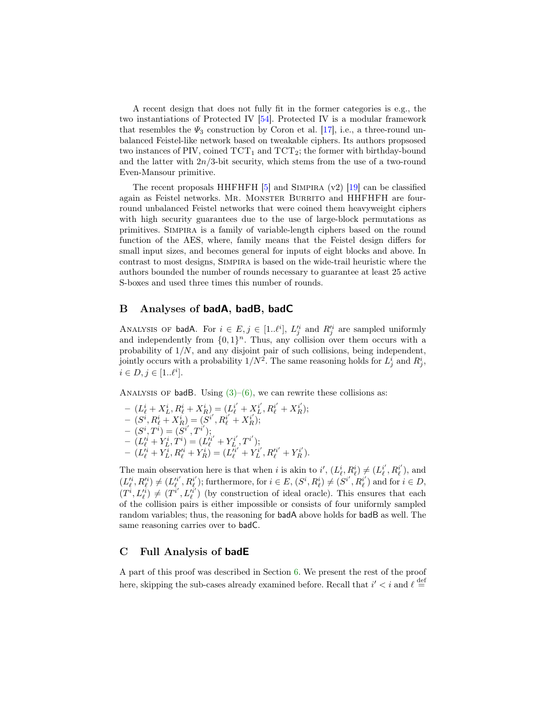A recent design that does not fully fit in the former categories is e.g., the two instantiations of Protected IV [\[54\]](#page-34-0). Protected IV is a modular framework that resembles the  $\Psi_3$  construction by Coron et al. [\[17\]](#page-31-1), i.e., a three-round unbalanced Feistel-like network based on tweakable ciphers. Its authors propsosed two instances of PIV, coined  $TCT_1$  and  $TCT_2$ ; the former with birthday-bound and the latter with  $2n/3$ -bit security, which stems from the use of a two-round Even-Mansour primitive.

The recent proposals HHFHFH  $[5]$  and SIMPIRA (v2)  $[19]$  can be classified again as Feistel networks. MR. MONSTER BURRITO and HHFHFH are fourround unbalanced Feistel networks that were coined them heavyweight ciphers with high security guarantees due to the use of large-block permutations as primitives. Simpira is a family of variable-length ciphers based on the round function of the AES, where, family means that the Feistel design differs for small input sizes, and becomes general for inputs of eight blocks and above. In contrast to most designs, Simpira is based on the wide-trail heuristic where the authors bounded the number of rounds necessary to guarantee at least 25 active S-boxes and used three times this number of rounds.

# B Analyses of badA, badB, badC

ANALYSIS OF badA. For  $i \in E, j \in [1..\ell^i], L_j^i$  and  $R_j^i$  are sampled uniformly and independently from  $\{0,1\}^n$ . Thus, any collision over them occurs with a probability of 1/N, and any disjoint pair of such collisions, being independent, jointly occurs with a probability  $1/N^2$ . The same reasoning holds for  $L^i_j$  and  $R^i_j$ ,  $i \in D, j \in [1..\ell^i].$ 

ANALYSIS OF badB. Using  $(3)$ – $(6)$ , we can rewrite these collisions as:

 $- (L^i_{\ell} + X^i_{L}, R^i_{\ell} + X^i_{R}) = (L^{i'}_{\ell} + X^{i'}_{L}, R^{i'}_{\ell} + X^{i'}_{R});$  $- \,\, \overline{\left(S^i, R^i_\ell + X^i_R\right)} = \overline{\left(S^{i'}, R^{i'}_\ell + X^i_R\right)};$  $- (S^i, T^{\tilde{i}}) = (S^{i'}, T^{i'});$  ${}- \stackrel{\cdot}{(L_{\ell}^{\prime i}} + \stackrel{\cdot}{Y_{L}^i}, \stackrel{\cdot}{T}^i) = (\stackrel{\cdot}{L_{\ell}^{\prime i'}} + Y_{L}^{i'}, T^{i'});$  $- (L_{\ell}^{i_1} + Y_L^{i_1}, R_{\ell}^{i_1} + Y_R^{i_1}) = (L_{\ell}^{i_1'} + Y_L^{i'}, R_{\ell}^{i_1'} + Y_R^{i'}).$ 

The main observation here is that when i is akin to  $i'$ ,  $(L^i_\ell, R^i_\ell) \neq (L^{i'}_\ell, R^{i'}_\ell)$ , and  $(L_{\ell}^{i}, R_{\ell}^{i}) \neq (L_{\ell}^{i'}, R_{\ell}^{i'})$ ; furthermore, for  $i \in E$ ,  $(S^{i}, R_{\ell}^{i}) \neq (S^{i'}, R_{\ell}^{i'})$  and for  $i \in D$ ,  $(T^i, L_{\ell}^{i}) \neq (T^{i'}, L_{\ell}^{i'})$  (by construction of ideal oracle). This ensures that each of the collision pairs is either impossible or consists of four uniformly sampled random variables; thus, the reasoning for badA above holds for badB as well. The same reasoning carries over to badC.

#### C Full Analysis of badE

A part of this proof was described in Section [6.](#page-14-0) We present the rest of the proof here, skipping the sub-cases already examined before. Recall that  $i' < i$  and  $\ell \stackrel{\text{def}}{=}$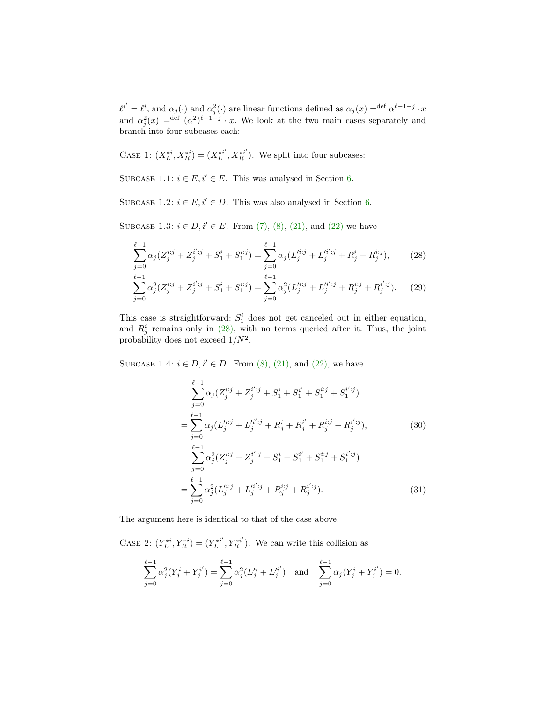$\ell^{i'} = \ell^i$ , and  $\alpha_j(\cdot)$  and  $\alpha_j^2(\cdot)$  are linear functions defined as  $\alpha_j(x) = \det \alpha^{\ell-1-j} \cdot x$ and  $\alpha_j^2(x) = \det^{\text{def}} (\alpha^2)^{\ell-1-j} \cdot x$ . We look at the two main cases separately and branch into four subcases each:

CASE 1:  $(X_L^{*i}, X_R^{*i}) = (X_L^{*i'}, X_R^{*i'})$ . We split into four subcases:

SUBCASE 1.1:  $i \in E$ ,  $i' \in E$ . This was analysed in Section [6.](#page-14-0)

SUBCASE 1.2:  $i \in E$ ,  $i' \in D$ . This was also analysed in Section [6.](#page-14-0)

SUBCASE 1.3:  $i \in D, i' \in E$ . From [\(7\),](#page-17-0) [\(8\),](#page-17-1) [\(21\),](#page-22-0) and [\(22\)](#page-22-1) we have

$$
\sum_{j=0}^{\ell-1} \alpha_j (Z_j^{i:j} + Z_j^{i' : j} + S_1^i + S_1^{i:j}) = \sum_{j=0}^{\ell-1} \alpha_j (L_j'^{i:j} + L_j'^{i' : j} + R_j^i + R_j^{i:j}),\tag{28}
$$

$$
\sum_{j=0}^{\ell-1} \alpha_j^2 (Z_j^{i:j} + Z_j^{i' : j} + S_1^i + S_1^{i:j}) = \sum_{j=0}^{\ell-1} \alpha_j^2 (L_j'^{i:j} + L_j'^{i' : j} + R_j^{i:j} + R_j^{i' : j}).
$$
 (29)

This case is straightforward:  $S_1^i$  does not get canceled out in either equation, and  $R_j^i$  remains only in [\(28\),](#page-36-0) with no terms queried after it. Thus, the joint probability does not exceed  $1/N^2$ .

SUBCASE 1.4:  $i \in D, i' \in D$ . From [\(8\),](#page-17-1) [\(21\),](#page-22-0) and [\(22\),](#page-22-1) we have

<span id="page-36-0"></span>
$$
\sum_{j=0}^{\ell-1} \alpha_j (Z_j^{i:j} + Z_j^{i' : j} + S_1^{i} + S_1^{i'} + S_1^{i:j} + S_1^{i' : j})
$$
\n
$$
= \sum_{j=0}^{\ell-1} \alpha_j (L_j'^{i:j} + L_j'^{i' : j} + R_j^{i} + R_j^{i'} + R_j^{i:j} + R_j^{i' : j}),
$$
\n
$$
\sum_{j=0}^{\ell-1} \alpha_j^2 (Z_j^{i:j} + Z_j^{i' : j} + S_1^{i} + S_1^{i'} + S_1^{i:j} + S_1^{i' : j})
$$
\n
$$
= \sum_{j=0}^{\ell-1} \alpha_j^2 (L_j'^{i:j} + L_j'^{i' : j} + R_j^{i:j} + R_j^{i' : j}).
$$
\n(31)

The argument here is identical to that of the case above.

CASE 2:  $(Y_L^{*i}, Y_R^{*i}) = (Y_L^{*i'}, Y_R^{*i'})$ . We can write this collision as

$$
\sum_{j=0}^{\ell-1} \alpha_j^2 (Y_j^i + Y_j^{i'}) = \sum_{j=0}^{\ell-1} \alpha_j^2 (L_j'^i + L_j'^{i'}) \text{ and } \sum_{j=0}^{\ell-1} \alpha_j (Y_j^i + Y_j^{i'}) = 0.
$$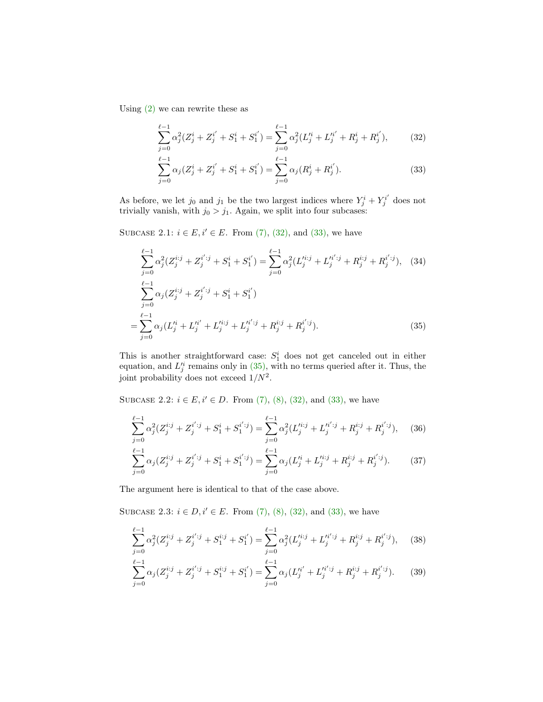Using [\(2\)](#page-16-0) we can rewrite these as

<span id="page-37-0"></span>
$$
\sum_{j=0}^{\ell-1} \alpha_j^2 (Z_j^i + Z_j^{i'} + S_1^i + S_1^{i'}) = \sum_{j=0}^{\ell-1} \alpha_j^2 (L_j'^i + L_j'^{i'} + R_j^i + R_j^{i'}),\tag{32}
$$

<span id="page-37-1"></span>
$$
\sum_{j=0}^{\ell-1} \alpha_j (Z_j^i + Z_j^{i'} + S_1^i + S_1^{i'}) = \sum_{j=0}^{\ell-1} \alpha_j (R_j^i + R_j^{i'}).
$$
 (33)

As before, we let  $j_0$  and  $j_1$  be the two largest indices where  $Y_j^i + Y_j^{i'}$  does not trivially vanish, with  $j_0 > j_1$ . Again, we split into four subcases:

SUBCASE 2.1:  $i \in E$ ,  $i' \in E$ . From [\(7\),](#page-17-0) [\(32\),](#page-37-0) and [\(33\),](#page-37-1) we have

<span id="page-37-2"></span>
$$
\sum_{j=0}^{\ell-1} \alpha_j^2 (Z_j^{i:j} + Z_j^{i' : j} + S_1^i + S_1^{i'}) = \sum_{j=0}^{\ell-1} \alpha_j^2 (L_j^{i:j} + L_j^{i' : j} + R_j^{i:j} + R_j^{i' : j}), \quad (34)
$$
  

$$
\sum_{j=0}^{\ell-1} \alpha_j (Z_j^{i:j} + Z_j^{i' : j} + S_1^i + S_1^{i'})
$$
  

$$
= \sum_{j=0}^{\ell-1} \alpha_j (L_j'^i + L_j'^i + L_j'^{i:j} + L_j'^{i' : j} + R_j^{i:j} + R_j^{i' : j}). \quad (35)
$$

This is another straightforward case:  $S_1^i$  does not get canceled out in either equation, and  $L_j^i$  remains only in [\(35\),](#page-37-2) with no terms queried after it. Thus, the joint probability does not exceed  $1/N^2$ .

SUBCASE 2.2:  $i \in E$ ,  $i' \in D$ . From [\(7\),](#page-17-0) [\(8\),](#page-17-1) [\(32\),](#page-37-0) and [\(33\),](#page-37-1) we have

$$
\sum_{j=0}^{\ell-1} \alpha_j^2 (Z_j^{i:j} + Z_j^{i' : j} + S_1^i + S_1^{i' : j}) = \sum_{j=0}^{\ell-1} \alpha_j^2 (L_j'^{i:j} + L_j'^{i' : j} + R_j^{i:j} + R_j^{i' : j}), \quad (36)
$$

$$
\sum_{j=0}^{\ell-1} \alpha_j (Z_j^{i:j} + Z_j^{i' : j} + S_1^i + S_1^{i' : j}) = \sum_{j=0}^{\ell-1} \alpha_j (L_j'^i + L_j'^{i:j} + R_j^{i' : j} + R_j^{i' : j}).\tag{37}
$$

The argument here is identical to that of the case above.

SUBCASE 2.3:  $i \in D, i' \in E$ . From [\(7\),](#page-17-0) [\(8\),](#page-17-1) [\(32\),](#page-37-0) and [\(33\),](#page-37-1) we have

<span id="page-37-4"></span>
$$
\sum_{j=0}^{\ell-1} \alpha_j^2 (Z_j^{i:j} + Z_j^{i' : j} + S_1^{i:j} + S_1^{i'}) = \sum_{j=0}^{\ell-1} \alpha_j^2 (L_j'^{i:j} + L_j'^{i' : j} + R_j^{i:j} + R_j^{i' : j}), \quad (38)
$$

<span id="page-37-3"></span>
$$
\sum_{j=0}^{\ell-1} \alpha_j (Z_j^{i:j} + Z_j^{i' : j} + S_1^{i:j} + S_1^{i'}) = \sum_{j=0}^{\ell-1} \alpha_j (L_j'^{i'} + L_j'^{i' : j} + R_j^{i:j} + R_j^{i' : j}).
$$
 (39)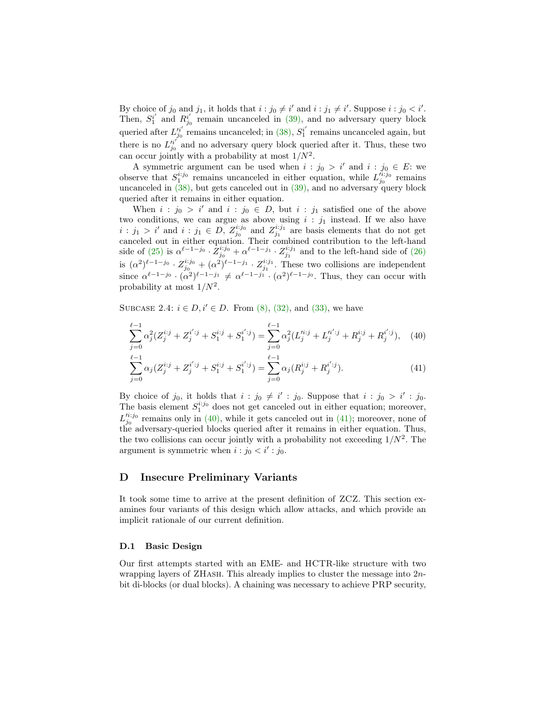By choice of  $j_0$  and  $j_1$ , it holds that  $i : j_0 \neq i'$  and  $i : j_1 \neq i'$ . Suppose  $i : j_0 < i'$ . Then,  $S_1^{i'}$  and  $R_{j_0}^{i'}$  remain uncanceled in [\(39\),](#page-37-3) and no adversary query block queried after  $L_{j_0}^{h'}$  remains uncanceled; in [\(38\),](#page-37-4)  $S_1^{i'}$  remains uncanceled again, but there is no  $L_{j_0}^{n'}$  and no adversary query block queried after it. Thus, these two can occur jointly with a probability at most  $1/N^2$ .

A symmetric argument can be used when  $i : j_0 > i'$  and  $i : j_0 \in E$ : we observe that  $S_1^{i:j_0}$  remains uncanceled in either equation, while  $L_{j_0}^{i:j_0}$  remains uncanceled in  $(38)$ , but gets canceled out in  $(39)$ , and no adversary query block queried after it remains in either equation.

When  $i : j_0 > i'$  and  $i : j_0 \in D$ , but  $i : j_1$  satisfied one of the above two conditions, we can argue as above using  $i : j_1$  instead. If we also have  $i : j_1 > i'$  and  $i : j_1 \in D$ ,  $Z_{j_0}^{i:j_0}$  and  $Z_{j_1}^{i:j_1}$  are basis elements that do not get canceled out in either equation. Their combined contribution to the left-hand side of [\(25\)](#page-22-2) is  $\alpha^{\ell-1-j_0} \cdot \bar{Z}_{j_0}^{i:j_0} + \alpha^{\ell-1-j_1} \cdot \bar{Z}_{j_1}^{i:j_1}$  and to the left-hand side of [\(26\)](#page-22-3) is  $(\alpha^2)^{\ell-1-j_0} \cdot Z_{j_0}^{i:j_0} + (\alpha^2)^{\ell-1-j_1} \cdot Z_{j_1}^{i:j_1}$ . These two collisions are independent since  $\alpha^{\ell-1-j_0} \cdot (\alpha^2)^{\ell-1-j_1} \neq \alpha^{\ell-1-j_1} \cdot (\alpha^2)^{\ell-1-j_0}$ . Thus, they can occur with probability at most  $1/N^2$ .

SUBCASE 2.4:  $i \in D$ ,  $i' \in D$ . From [\(8\),](#page-17-1) [\(32\),](#page-37-0) and [\(33\),](#page-37-1) we have

<span id="page-38-1"></span>
$$
\sum_{j=0}^{\ell-1} \alpha_j^2 (Z_j^{i:j} + Z_j^{i' : j} + S_1^{i:j} + S_1^{i' : j}) = \sum_{j=0}^{\ell-1} \alpha_j^2 (L_j'^{i:j} + L_j'^{i' : j} + R_j^{i:j} + R_j^{i' : j}), \quad (40)
$$

<span id="page-38-2"></span>
$$
\sum_{j=0}^{\ell-1} \alpha_j (Z_j^{i:j} + Z_j^{i' : j} + S_1^{i:j} + S_1^{i' : j}) = \sum_{j=0}^{\ell-1} \alpha_j (R_j^{i:j} + R_j^{i' : j}).
$$
\n(41)

By choice of  $j_0$ , it holds that  $i : j_0 \neq i' : j_0$ . Suppose that  $i : j_0 > i' : j_0$ . The basis element  $S_1^{i:j_0}$  does not get canceled out in either equation; moreover,  $L_{j_0}^{i i:j_0}$  remains only in [\(40\),](#page-38-1) while it gets canceled out in [\(41\);](#page-38-2) moreover, none of the adversary-queried blocks queried after it remains in either equation. Thus, the two collisions can occur jointly with a probability not exceeding  $1/N^2$ . The argument is symmetric when  $i : j_0 < i' : j_0$ .

# <span id="page-38-0"></span>D Insecure Preliminary Variants

It took some time to arrive at the present definition of ZCZ. This section examines four variants of this design which allow attacks, and which provide an implicit rationale of our current definition.

#### D.1 Basic Design

Our first attempts started with an EME- and HCTR-like structure with two wrapping layers of ZHash. This already implies to cluster the message into 2nbit di-blocks (or dual blocks). A chaining was necessary to achieve PRP security,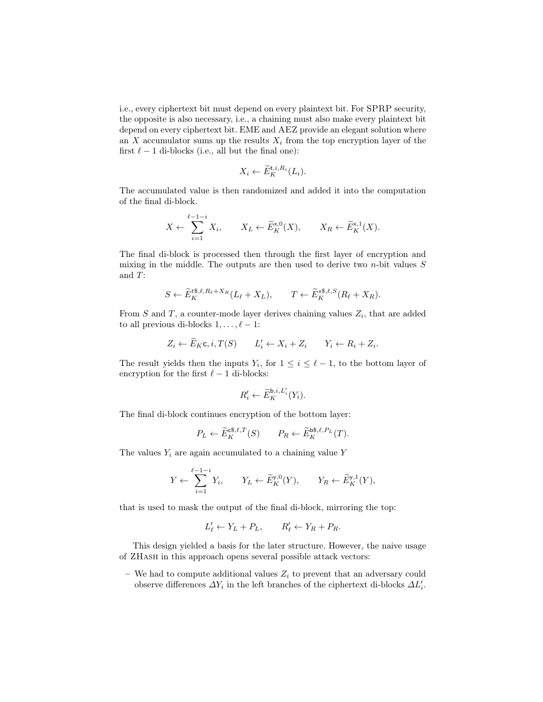i.e., every ciphertext bit must depend on every plaintext bit. For SPRP security, the opposite is also necessary, i.e., a chaining must also make every plaintext bit depend on every ciphertext bit. EME and AEZ provide an elegant solution where an  $X$  accumulator sums up the results  $X_i$  from the top encryption layer of the first  $\ell - 1$  di-blocks (i.e., all but the final one):

$$
X_i \leftarrow \widetilde{E}_K^{\mathsf{t},i,R_i}(L_i).
$$

The accumulated value is then randomized and added it into the computation of the final di-block.

$$
X \leftarrow \sum_{i=1}^{\ell-1-i} X_i, \qquad X_L \leftarrow \widetilde{E}_K^{\times,0}(X), \qquad X_R \leftarrow \widetilde{E}_K^{\times,1}(X).
$$

The final di-block is processed then through the first layer of encryption and mixing in the middle. The outputs are then used to derive two  $n$ -bit values  $S$ and T:

$$
S \leftarrow \widetilde{E}_K^{t\$, \ell, R_\ell + X_R} (L_\ell + X_L), \qquad T \leftarrow \widetilde{E}_K^{s\$, \ell, S}(R_\ell + X_R).
$$

From  $S$  and  $T$ , a counter-mode layer derives chaining values  $Z_i$ , that are added to all previous di-blocks  $1, \ldots, \ell - 1$ :

$$
Z_i \leftarrow \widetilde{E}_K \mathsf{c}, i, T(S) \qquad L'_i \leftarrow X_i + Z_i \qquad Y_i \leftarrow R_i + Z_i.
$$

The result yields then the inputs  $Y_i$ , for  $1 \leq i \leq \ell - 1$ , to the bottom layer of encryption for the first  $\ell - 1$  di-blocks:

$$
R_i' \leftarrow \widetilde{E}_K^{\mathsf{b},i,L_i'}(Y_i).
$$

The final di-block continues encryption of the bottom layer:

$$
P_L \leftarrow \widetilde{E}_K^{\mathfrak{cs},\ell,T}(S) \qquad P_R \leftarrow \widetilde{E}_K^{\mathfrak{bs},\ell,P_L}(T).
$$

The values  $Y_i$  are again accumulated to a chaining value Y

$$
Y \leftarrow \sum_{i=1}^{\ell-1-i} Y_i, \qquad Y_L \leftarrow \widetilde{E}_K^{\mathsf{y},0}(Y), \qquad Y_R \leftarrow \widetilde{E}_K^{\mathsf{y},1}(Y),
$$

that is used to mask the output of the final di-block, mirroring the top:

$$
L'_{\ell} \leftarrow Y_L + P_L, \qquad R'_{\ell} \leftarrow Y_R + P_R.
$$

This design yielded a basis for the later structure. However, the naive usage of ZHash in this approach opens several possible attack vectors:

– We had to compute additional values  $Z_i$  to prevent that an adversary could observe differences  $\varDelta Y_i$  in the left branches of the ciphertext di-blocks  $\varDelta L_i'$ .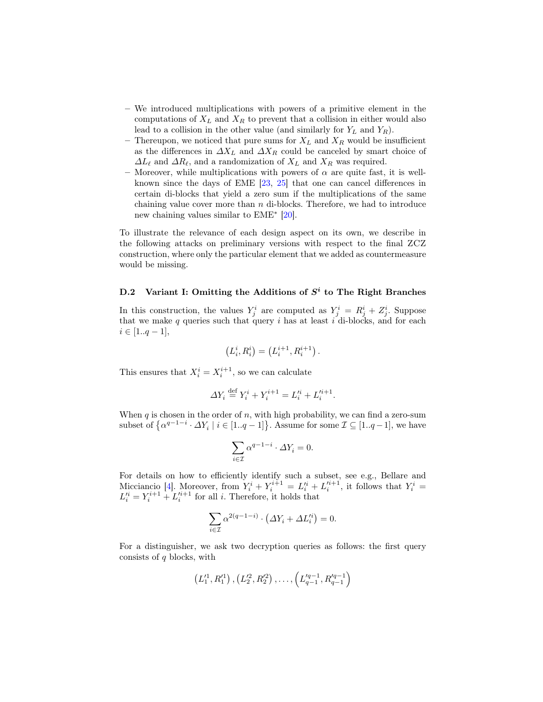- We introduced multiplications with powers of a primitive element in the computations of  $X_L$  and  $X_R$  to prevent that a collision in either would also lead to a collision in the other value (and similarly for  $Y_L$  and  $Y_R$ ).
- Thereupon, we noticed that pure sums for  $X_L$  and  $X_R$  would be insufficient as the differences in  $\Delta X_L$  and  $\Delta X_R$  could be canceled by smart choice of  $\Delta L_{\ell}$  and  $\Delta R_{\ell}$ , and a randomization of  $X_L$  and  $X_R$  was required.
- Moreover, while multiplications with powers of  $\alpha$  are quite fast, it is wellknown since the days of EME [\[23,](#page-32-12) [25\]](#page-32-0) that one can cancel differences in certain di-blocks that yield a zero sum if the multiplications of the same chaining value cover more than  $n$  di-blocks. Therefore, we had to introduce new chaining values similar to EME<sup>∗</sup> [\[20\]](#page-31-7).

To illustrate the relevance of each design aspect on its own, we describe in the following attacks on preliminary versions with respect to the final ZCZ construction, where only the particular element that we added as countermeasure would be missing.

# D.2 Variant I: Omitting the Additions of  $S<sup>i</sup>$  to The Right Branches

In this construction, the values  $Y_j^i$  are computed as  $Y_j^i = R_j^i + Z_j^i$ . Suppose that we make  $q$  queries such that query  $i$  has at least  $i$  di-blocks, and for each  $i \in [1..q-1],$ 

$$
(L_i^i, R_i^i) = (L_i^{i+1}, R_i^{i+1}).
$$

This ensures that  $X_i^i = X_i^{i+1}$ , so we can calculate

$$
\varDelta Y_i \stackrel{\text{def}}{=} Y_i^i + Y_i^{i+1} = L_i'^i + L_i'^{i+1}.
$$

When  $q$  is chosen in the order of  $n$ , with high probability, we can find a zero-sum subset of  $\{\alpha^{q-1-i} \cdot \Delta Y_i \mid i \in [1..q-1]\}$ . Assume for some  $\mathcal{I} \subseteq [1..q-1]$ , we have

$$
\sum_{i \in \mathcal{I}} \alpha^{q-1-i} \cdot \Delta Y_i = 0.
$$

For details on how to efficiently identify such a subset, see e.g., Bellare and Micciancio [\[4\]](#page-30-6). Moreover, from  $Y_i^i + Y_i^{i+1} = L_i'^i + L_i'^{i+1}$ , it follows that  $Y_i^i =$  $L_i^{\prime i} = Y_i^{i+1} + L_i^{\prime i+1}$  for all *i*. Therefore, it holds that

$$
\sum_{i \in \mathcal{I}} \alpha^{2(q-1-i)} \cdot (\Delta Y_i + \Delta L_i'^i) = 0.
$$

For a distinguisher, we ask two decryption queries as follows: the first query consists of  $q$  blocks, with

$$
(L'_1, R'_1), (L'_2, R'_2), \ldots, (L'_{q-1}, R'_{q-1})
$$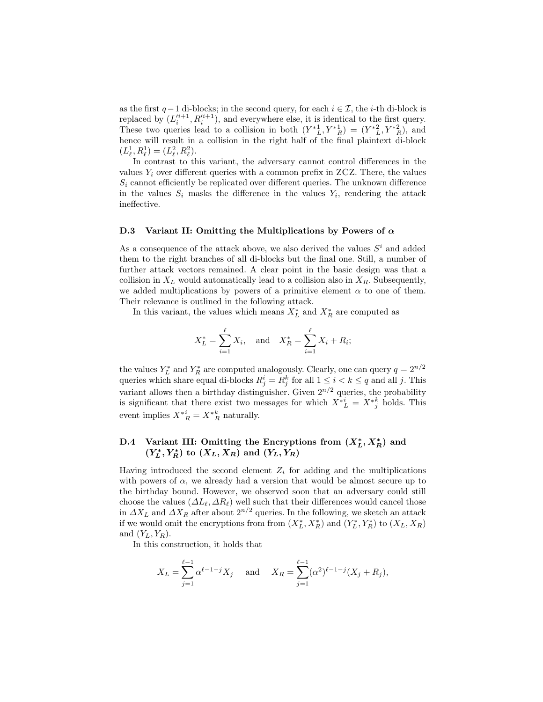as the first  $q-1$  di-blocks; in the second query, for each  $i \in \mathcal{I}$ , the *i*-th di-block is replaced by  $(L_i^{i+1}, R_i^{i+1})$ , and everywhere else, it is identical to the first query. These two queries lead to a collision in both  $(Y^*_{L}^1, Y^*_{R}^1) = (Y^*_{L}^2, Y^*_{R}^2)$ , and hence will result in a collision in the right half of the final plaintext di-block  $(L_{\ell}^1, R_{\ell}^1) = (L_{\ell}^2, R_{\ell}^2).$ 

In contrast to this variant, the adversary cannot control differences in the values  $Y_i$  over different queries with a common prefix in ZCZ. There, the values  $S_i$  cannot efficiently be replicated over different queries. The unknown difference in the values  $S_i$  masks the difference in the values  $Y_i$ , rendering the attack ineffective.

#### D.3 Variant II: Omitting the Multiplications by Powers of  $\alpha$

As a consequence of the attack above, we also derived the values  $S<sup>i</sup>$  and added them to the right branches of all di-blocks but the final one. Still, a number of further attack vectors remained. A clear point in the basic design was that a collision in  $X_L$  would automatically lead to a collision also in  $X_R$ . Subsequently, we added multiplications by powers of a primitive element  $\alpha$  to one of them. Their relevance is outlined in the following attack.

In this variant, the values which means  $X_L^*$  and  $X_R^*$  are computed as

$$
X_L^* = \sum_{i=1}^{\ell} X_i
$$
, and  $X_R^* = \sum_{i=1}^{\ell} X_i + R_i$ ;

the values  $Y_L^*$  and  $Y_R^*$  are computed analogously. Clearly, one can query  $q = 2^{n/2}$ queries which share equal di-blocks  $R_j^i = R_j^k$  for all  $1 \leq i < k \leq q$  and all j. This variant allows then a birthday distinguisher. Given  $2^{n/2}$  queries, the probability is significant that there exist two messages for which  $X^*_{L}^i = X^*_{j}^k$  holds. This event implies  $X^*_{R}^i = X^*_{R}^k$  naturally.

# D.4 Variant III: Omitting the Encryptions from  $(X_L^*, X_R^*)$  and  $(Y_L^*, Y_R^*)$  to  $(X_L, X_R)$  and  $(Y_L, Y_R)$

Having introduced the second element  $Z_i$  for adding and the multiplications with powers of  $\alpha$ , we already had a version that would be almost secure up to the birthday bound. However, we observed soon that an adversary could still choose the values  $(\Delta L_{\ell}, \Delta R_{\ell})$  well such that their differences would cancel those in  $\Delta X_L$  and  $\Delta X_R$  after about  $2^{n/2}$  queries. In the following, we sketch an attack if we would omit the encryptions from from  $(X_L^*, X_R^*)$  and  $(Y_L^*, Y_R^*)$  to  $(X_L, X_R)$ and  $(Y_L, Y_R)$ .

In this construction, it holds that

$$
X_L = \sum_{j=1}^{\ell-1} \alpha^{\ell-1-j} X_j
$$
 and  $X_R = \sum_{j=1}^{\ell-1} (\alpha^2)^{\ell-1-j} (X_j + R_j),$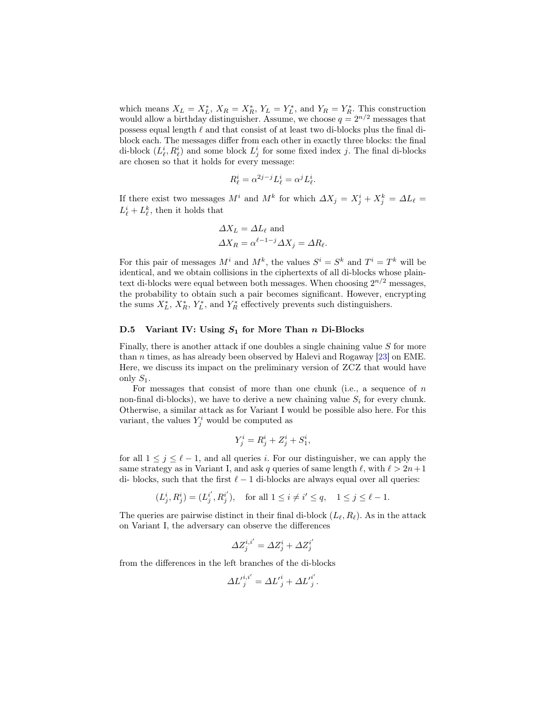which means  $X_L = X_L^*$ ,  $X_R = X_R^*$ ,  $Y_L = Y_L^*$ , and  $Y_R = Y_R^*$ . This construction would allow a birthday distinguisher. Assume, we choose  $q = 2^{n/2}$  messages that possess equal length  $\ell$  and that consist of at least two di-blocks plus the final diblock each. The messages differ from each other in exactly three blocks: the final di-block  $(L^i_\ell, R^i_\ell)$  and some block  $L^i_j$  for some fixed index j. The final di-blocks are chosen so that it holds for every message:

$$
R^i_\ell = \alpha^{2j-j} L^i_\ell = \alpha^j L^i_\ell.
$$

If there exist two messages  $M^i$  and  $M^k$  for which  $\Delta X_j = X_j^i + X_j^k = \Delta L_\ell =$  $L^i_{\ell} + L^k_{\ell}$ , then it holds that

$$
\Delta X_L = \Delta L_{\ell} \text{ and}
$$
  

$$
\Delta X_R = \alpha^{\ell - 1 - j} \Delta X_j = \Delta R_{\ell}.
$$

For this pair of messages  $M^i$  and  $M^k$ , the values  $S^i = S^k$  and  $T^i = T^k$  will be identical, and we obtain collisions in the ciphertexts of all di-blocks whose plaintext di-blocks were equal between both messages. When choosing  $2^{n/2}$  messages, the probability to obtain such a pair becomes significant. However, encrypting the sums  $X_L^*$ ,  $X_R^*$ ,  $Y_L^*$ , and  $Y_R^*$  effectively prevents such distinguishers.

#### D.5 Variant IV: Using  $S_1$  for More Than n Di-Blocks

Finally, there is another attack if one doubles a single chaining value  $S$  for more than n times, as has already been observed by Halevi and Rogaway [\[23\]](#page-32-12) on EME. Here, we discuss its impact on the preliminary version of ZCZ that would have only  $S_1$ .

For messages that consist of more than one chunk (i.e., a sequence of  $n$ non-final di-blocks), we have to derive a new chaining value  $S_i$  for every chunk. Otherwise, a similar attack as for Variant I would be possible also here. For this variant, the values  $Y_j^i$  would be computed as

$$
Y_j^i = R_j^i + Z_j^i + S_1^i,
$$

for all  $1 \leq j \leq \ell - 1$ , and all queries i. For our distinguisher, we can apply the same strategy as in Variant I, and ask q queries of same length  $\ell$ , with  $\ell > 2n+1$ di- blocks, such that the first  $\ell - 1$  di-blocks are always equal over all queries:

$$
(L^i_j, R^i_j) = (L^{i'}_j, R^{i'}_j), \text{ for all } 1 \le i \neq i' \le q, \quad 1 \le j \le \ell - 1.
$$

The queries are pairwise distinct in their final di-block  $(L_{\ell}, R_{\ell})$ . As in the attack on Variant I, the adversary can observe the differences

$$
\varDelta Z^{i,i'}_j=\varDelta Z^i_j+\varDelta Z^{i'}_j
$$

from the differences in the left branches of the di-blocks

$$
\Delta L'_{j}^{i,i'} = \Delta L'_{j}^{i} + \Delta L'_{j}^{i'}.
$$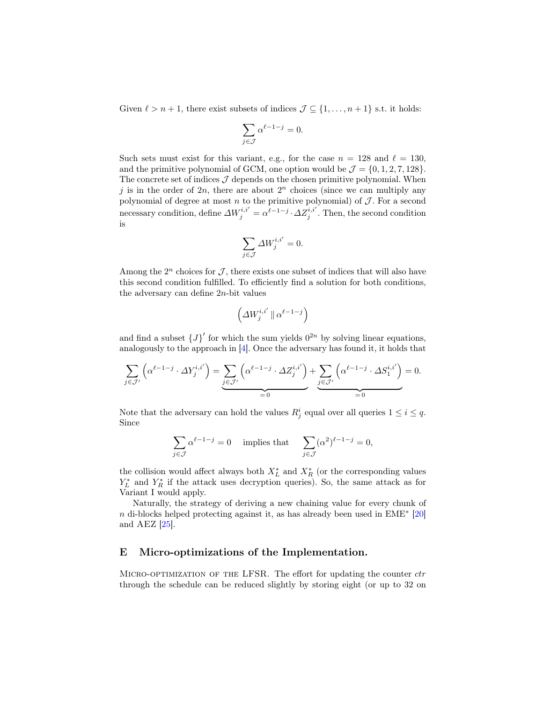Given  $\ell > n + 1$ , there exist subsets of indices  $\mathcal{J} \subseteq \{1, \ldots, n + 1\}$  s.t. it holds:

$$
\sum_{j \in \mathcal{J}} \alpha^{\ell - 1 - j} = 0.
$$

Such sets must exist for this variant, e.g., for the case  $n = 128$  and  $\ell = 130$ , and the primitive polynomial of GCM, one option would be  $\mathcal{J} = \{0, 1, 2, 7, 128\}.$ The concrete set of indices  $\mathcal J$  depends on the chosen primitive polynomial. When j is in the order of  $2n$ , there are about  $2<sup>n</sup>$  choices (since we can multiply any polynomial of degree at most  $n$  to the primitive polynomial) of  $J$ . For a second necessary condition, define  $\Delta W_j^{i,i'} = \alpha^{\ell-1-j} \cdot \Delta Z_j^{i,i'}$ . Then, the second condition is

$$
\sum_{j\in\mathcal{J}}\varDelta W^{i,i'}_j=0.
$$

Among the  $2^n$  choices for  $\mathcal{J}$ , there exists one subset of indices that will also have this second condition fulfilled. To efficiently find a solution for both conditions, the adversary can define 2n-bit values

$$
\left(\varDelta W^{i,i'}_j\,\|\,\alpha^{\ell-1-j}\right)
$$

and find a subset  ${J}^{\prime}$  for which the sum yields  $0^{2n}$  by solving linear equations, analogously to the approach in [\[4\]](#page-30-6). Once the adversary has found it, it holds that

$$
\sum_{j \in \mathcal{J}'} \left( \alpha^{\ell-1-j} \cdot \Delta Y^{i,i'}_j \right) = \underbrace{\sum_{j \in \mathcal{J}'} \left( \alpha^{\ell-1-j} \cdot \Delta Z^{i,i'}_j \right)}_{=0} + \underbrace{\sum_{j \in \mathcal{J}'} \left( \alpha^{\ell-1-j} \cdot \Delta S^{i,i'}_1 \right)}_{=0} = 0.
$$

Note that the adversary can hold the values  $R_j^i$  equal over all queries  $1 \leq i \leq q$ . Since

$$
\sum_{j \in \mathcal{J}} \alpha^{\ell - 1 - j} = 0 \quad \text{ implies that } \quad \sum_{j \in \mathcal{J}} (\alpha^2)^{\ell - 1 - j} = 0,
$$

the collision would affect always both  $X_L^*$  and  $X_R^*$  (or the corresponding values  $Y_L^*$  and  $Y_R^*$  if the attack uses decryption queries). So, the same attack as for Variant I would apply.

Naturally, the strategy of deriving a new chaining value for every chunk of n di-blocks helped protecting against it, as has already been used in  $EME^*$  [\[20\]](#page-31-7) and AEZ [\[25\]](#page-32-0).

### <span id="page-43-0"></span>E Micro-optimizations of the Implementation.

MICRO-OPTIMIZATION OF THE LFSR. The effort for updating the counter  $ctr$ through the schedule can be reduced slightly by storing eight (or up to 32 on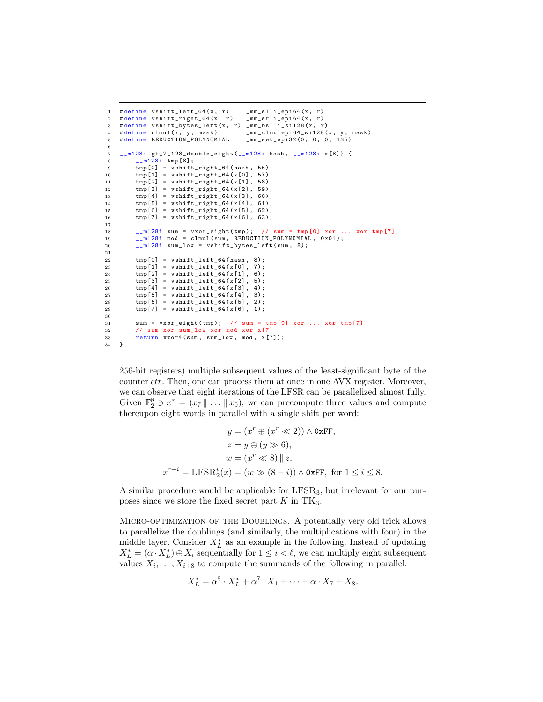```
1 # define vshift_left_64(x, r) _mm_slli_epi64(x, r)
 2 # define vshift_right_64 (x , r) _mm_srli_epi64 (x , r)
 3 # define vshift_bytes_left (x, r) _mm_bslli_si128 (x, r)<br>4 # define clmul (x, y, mask) _mm_clmulepi64_si128 (
 4 # define clmul (x, y, mask) _mm_clmulepi64_si128 (x, y, mask)<br>5 # define REDUCTION_POLYNOMIAL _mm_set_epi32 (0, 0, 0, 135)
 5 #define REDUCTION_POLYNOMIAL
 6
 7 __m128i gf_2_128_double_eight ( __m128i hash , __m128i x [8]) {
             _{--}m128i tmp [8];
 9 tmp [0] = vshift\_right_64 (hash, 56);10 \text{tmp [1]} = \text{vshift\_right\_64} (\text{x [0]}, 57);11 \text{tmp [2]} = \text{vshift\_right_64(x[1], 58)};<br>
12 \text{tmp [3]} = \text{vshift\_right_64(x[2], 59)};\text{tmp [3]} = \text{vshift\_right\_64} (\text{x [2], 59)};13 \text{tmp [4]} = \text{vshift\_right\_64 (x [3], 60)};<br>
\text{tmp [5]} = \text{vshift\_right\_64 (x [4], 61)};14 \text{tmp} [5] = \text{vshift\_right\_64 (x [4], 61)};<br>
\text{tmp} [6] = \text{vshift\_right\_64 (x [5], 62)};
\begin{align*}\n 15 \quad \text{tmp [6]} = \text{vshift\_right\_64 (x [5], 62)}; \\
 16 \quad \text{tmp [7]} = \text{vshift right } 64 (x [6], 63)}. \n \end{align*}tmp [7] = vshift\_right_64(x[6], 63);17
18 \frac{18}{10} \frac{128i \text{ sum}}{10} = vxor_eight(tmp); // sum = tmp [0] xor ... xor tmp [7]
19 - m128i mod = clmul(sum, REDUCTION_POLYNOMIAL, 0x01);<br>20 - m128i sum low = vshift_bytes_left(sum, 8);
            \texttt{__m128i} sum_low = vshift_bytes_leff ( sum, 8);21
22 tmp [0] = vshift_left_64 (hash, 8);<br>23 tmp [1] = vshift left 64 (x[0], 7);
             tmp [1] = vshift\_left_64(x[0], 7);24 tmp [2] = vshift_left_64(x [1], 6);<br>25 tmp [3] = vshift left 64(x [2], 5);
             \text{tmp [3]} = \text{vshift\_left_64 (x [2], 5)};26 tmp [4] = vshift_left_64(x[3], 4);
27 tmp [5] = vshift_left_64(x[4], 3);<br>
28 tmp [6] = vshift_left_64(x[5], 2);
            \text{tmp [6]} = \text{vshift\_left64} ( x [5], 2);29 tmp [7] = vshift\_left_64(x[6], 1);30
31 sum = vxor_eight (tmp); // sum = tmp [0] xor ... xor tmp [7]
32 // sum xor sum_low xor mod xor x[7]<br>33 return vxor4(sum, sum_low, mod, x[7]
            return vxor4 ( sum, sum_low, mod, x [7]);
34 }
```
256-bit registers) multiple subsequent values of the least-significant byte of the counter *ctr*. Then, one can process them at once in one AVX register. Moreover, we can observe that eight iterations of the LFSR can be parallelized almost fully. Given  $\mathbb{F}_2^8 \ni x^r = (x_7 \parallel \ldots \parallel x_0)$ , we can precompute three values and compute thereupon eight words in parallel with a single shift per word:

$$
y = (x^r \oplus (x^r \ll 2)) \land \text{OxFF},
$$

$$
z = y \oplus (y \gg 6),
$$

$$
w = (x^r \ll 8) || z,
$$

$$
x^{r+i} = \text{LFSR}_2^i(x) = (w \gg (8-i)) \land \text{OxFF, for } 1 \le i \le 8.
$$

A similar procedure would be applicable for LFSR3, but irrelevant for our purposes since we store the fixed secret part  $K$  in TK<sub>3</sub>.

Micro-optimization of the Doublings. A potentially very old trick allows to parallelize the doublings (and similarly, the multiplications with four) in the middle layer. Consider  $X_L^*$  as an example in the following. Instead of updating  $X_L^* = (\alpha \cdot X_L^*) \oplus X_i$  sequentially for  $1 \leq i < \ell$ , we can multiply eight subsequent values  $X_i, \ldots, X_{i+8}$  to compute the summands of the following in parallel:

$$
X_L^* = \alpha^8 \cdot X_L^* + \alpha^7 \cdot X_1 + \dots + \alpha \cdot X_7 + X_8.
$$